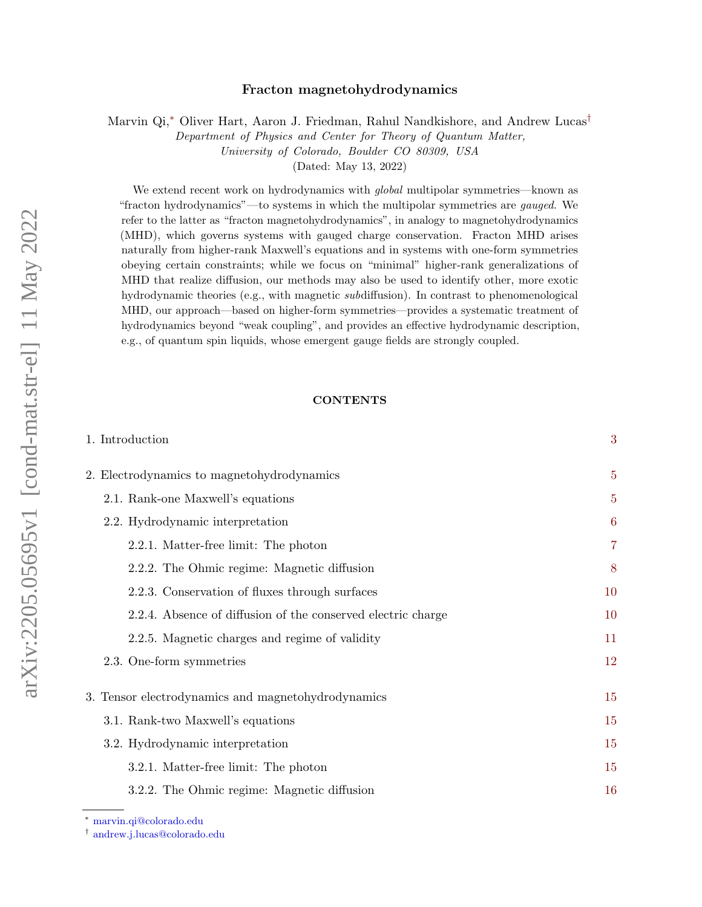# arXiv:2205.05695v1 [cond-mat.str-el] 11 May 2022 arXiv:2205.05695v1 [cond-mat.str-el] 11 May 2022

# Fracton magnetohydrodynamics

Marvin Qi,[∗](#page-0-0) Oliver Hart, Aaron J. Friedman, Rahul Nandkishore, and Andrew Lucas[†](#page-0-1)

Department of Physics and Center for Theory of Quantum Matter, University of Colorado, Boulder CO 80309, USA

(Dated: May 13, 2022)

We extend recent work on hydrodynamics with *global* multipolar symmetries—known as "fracton hydrodynamics"—to systems in which the multipolar symmetries are gauged. We refer to the latter as "fracton magnetohydrodynamics", in analogy to magnetohydrodynamics (MHD), which governs systems with gauged charge conservation. Fracton MHD arises naturally from higher-rank Maxwell's equations and in systems with one-form symmetries obeying certain constraints; while we focus on "minimal" higher-rank generalizations of MHD that realize diffusion, our methods may also be used to identify other, more exotic hydrodynamic theories (e.g., with magnetic subdiffusion). In contrast to phenomenological MHD, our approach—based on higher-form symmetries—provides a systematic treatment of hydrodynamics beyond "weak coupling", and provides an effective hydrodynamic description, e.g., of quantum spin liquids, whose emergent gauge fields are strongly coupled.

# **CONTENTS**

| 1. Introduction                                              | 3              |
|--------------------------------------------------------------|----------------|
| 2. Electrodynamics to magnetohydrodynamics                   | $\overline{5}$ |
| 2.1. Rank-one Maxwell's equations                            | $\overline{5}$ |
| 2.2. Hydrodynamic interpretation                             | 6              |
| 2.2.1. Matter-free limit: The photon                         | $\overline{7}$ |
| 2.2.2. The Ohmic regime: Magnetic diffusion                  | 8              |
| 2.2.3. Conservation of fluxes through surfaces               | 10             |
| 2.2.4. Absence of diffusion of the conserved electric charge | 10             |
| 2.2.5. Magnetic charges and regime of validity               | 11             |
| 2.3. One-form symmetries                                     | 12             |
| 3. Tensor electrodynamics and magnetohydrodynamics           | 15             |
| 3.1. Rank-two Maxwell's equations                            | 15             |
| 3.2. Hydrodynamic interpretation                             | 15             |
| 3.2.1. Matter-free limit: The photon                         | 15             |
| 3.2.2. The Ohmic regime: Magnetic diffusion                  | 16             |

<span id="page-0-0"></span><sup>∗</sup> [marvin.qi@colorado.edu](mailto:marvin.qi@colorado.edu)

<span id="page-0-1"></span><sup>†</sup> [andrew.j.lucas@colorado.edu](mailto:andrew.j.lucas@colorado.edu)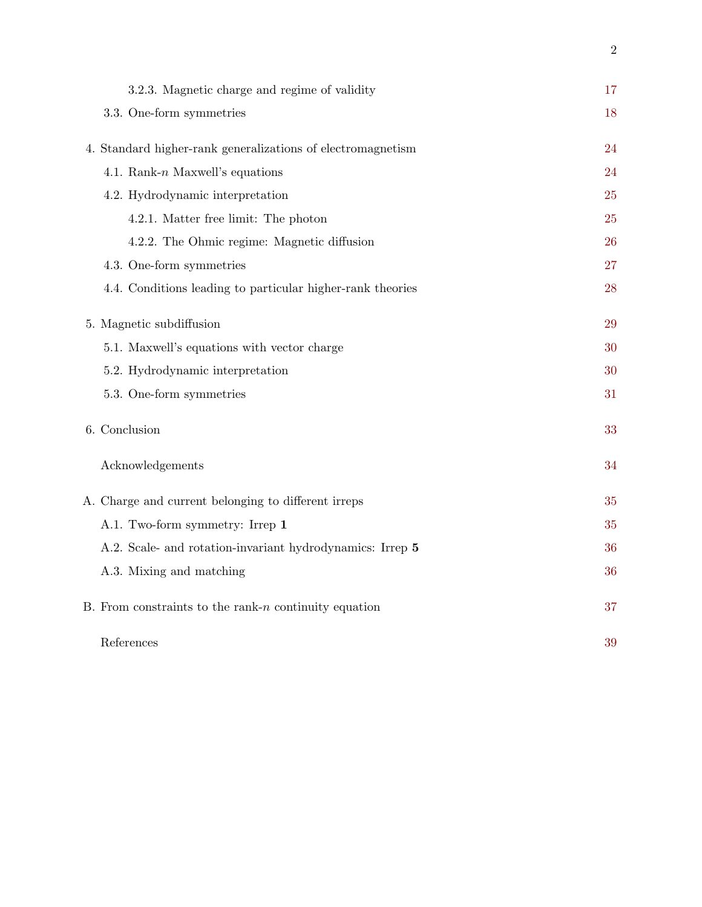| 3.2.3. Magnetic charge and regime of validity               | 17 |
|-------------------------------------------------------------|----|
| 3.3. One-form symmetries                                    | 18 |
|                                                             | 24 |
| 4. Standard higher-rank generalizations of electromagnetism |    |
| 4.1. Rank- $n$ Maxwell's equations                          | 24 |
| 4.2. Hydrodynamic interpretation                            | 25 |
| 4.2.1. Matter free limit: The photon                        | 25 |
| 4.2.2. The Ohmic regime: Magnetic diffusion                 | 26 |
| 4.3. One-form symmetries                                    | 27 |
| 4.4. Conditions leading to particular higher-rank theories  | 28 |
| 5. Magnetic subdiffusion                                    | 29 |
|                                                             |    |
| 5.1. Maxwell's equations with vector charge                 | 30 |
| 5.2. Hydrodynamic interpretation                            | 30 |
| 5.3. One-form symmetries                                    | 31 |
| 6. Conclusion                                               | 33 |
| Acknowledgements                                            | 34 |
| A. Charge and current belonging to different irreps         | 35 |
| A.1. Two-form symmetry: Irrep 1                             | 35 |
| A.2. Scale- and rotation-invariant hydrodynamics: Irrep 5   | 36 |
| A.3. Mixing and matching                                    | 36 |
| B. From constraints to the rank- $n$ continuity equation    | 37 |
| References                                                  | 39 |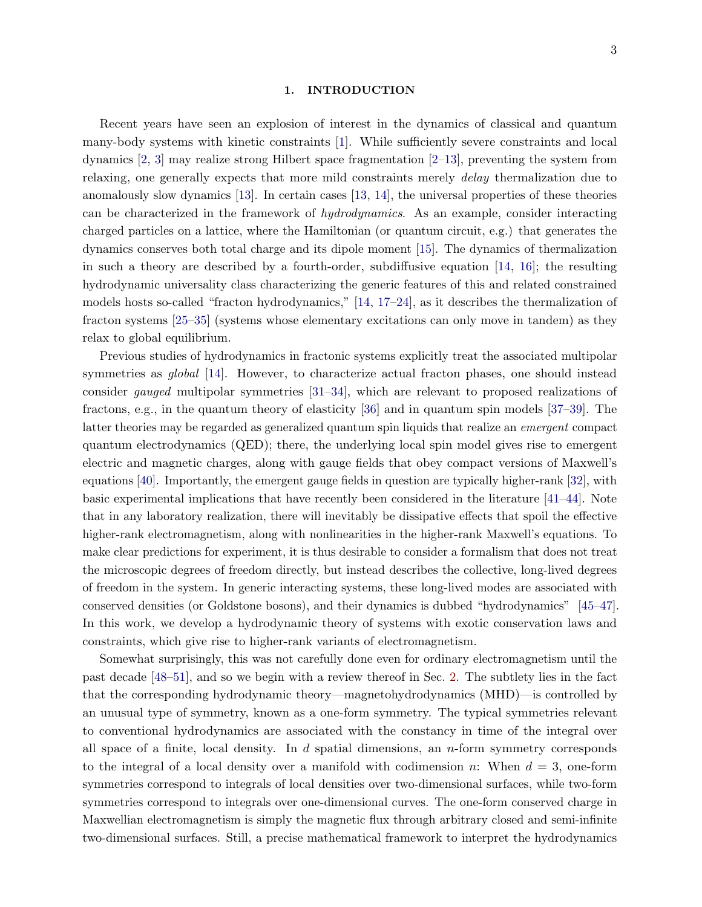#### <span id="page-2-0"></span>1. INTRODUCTION

Recent years have seen an explosion of interest in the dynamics of classical and quantum many-body systems with kinetic constraints [\[1\]](#page-38-1). While sufficiently severe constraints and local dynamics [\[2,](#page-38-2) [3\]](#page-38-3) may realize strong Hilbert space fragmentation [\[2](#page-38-2)[–13\]](#page-38-4), preventing the system from relaxing, one generally expects that more mild constraints merely delay thermalization due to anomalously slow dynamics [\[13\]](#page-38-4). In certain cases [\[13,](#page-38-4) [14\]](#page-38-5), the universal properties of these theories can be characterized in the framework of hydrodynamics. As an example, consider interacting charged particles on a lattice, where the Hamiltonian (or quantum circuit, e.g.) that generates the dynamics conserves both total charge and its dipole moment [\[15\]](#page-38-6). The dynamics of thermalization in such a theory are described by a fourth-order, subdiffusive equation [\[14,](#page-38-5) [16\]](#page-39-0); the resulting hydrodynamic universality class characterizing the generic features of this and related constrained models hosts so-called "fracton hydrodynamics," [\[14,](#page-38-5) [17](#page-39-1)[–24\]](#page-39-2), as it describes the thermalization of fracton systems [\[25](#page-39-3)[–35\]](#page-39-4) (systems whose elementary excitations can only move in tandem) as they relax to global equilibrium.

Previous studies of hydrodynamics in fractonic systems explicitly treat the associated multipolar symmetries as *global* [\[14\]](#page-38-5). However, to characterize actual fracton phases, one should instead consider gauged multipolar symmetries [\[31](#page-39-5)[–34\]](#page-39-6), which are relevant to proposed realizations of fractons, e.g., in the quantum theory of elasticity [\[36\]](#page-39-7) and in quantum spin models [\[37–](#page-39-8)[39\]](#page-39-9). The latter theories may be regarded as generalized quantum spin liquids that realize an emergent compact quantum electrodynamics (QED); there, the underlying local spin model gives rise to emergent electric and magnetic charges, along with gauge fields that obey compact versions of Maxwell's equations [\[40\]](#page-39-10). Importantly, the emergent gauge fields in question are typically higher-rank [\[32\]](#page-39-11), with basic experimental implications that have recently been considered in the literature [\[41–](#page-40-0)[44\]](#page-40-1). Note that in any laboratory realization, there will inevitably be dissipative effects that spoil the effective higher-rank electromagnetism, along with nonlinearities in the higher-rank Maxwell's equations. To make clear predictions for experiment, it is thus desirable to consider a formalism that does not treat the microscopic degrees of freedom directly, but instead describes the collective, long-lived degrees of freedom in the system. In generic interacting systems, these long-lived modes are associated with conserved densities (or Goldstone bosons), and their dynamics is dubbed "hydrodynamics" [\[45–](#page-40-2)[47\]](#page-40-3). In this work, we develop a hydrodynamic theory of systems with exotic conservation laws and constraints, which give rise to higher-rank variants of electromagnetism.

Somewhat surprisingly, this was not carefully done even for ordinary electromagnetism until the past decade [\[48–](#page-40-4)[51\]](#page-40-5), and so we begin with a review thereof in Sec. [2.](#page-4-0) The subtlety lies in the fact that the corresponding hydrodynamic theory—magnetohydrodynamics (MHD)—is controlled by an unusual type of symmetry, known as a one-form symmetry. The typical symmetries relevant to conventional hydrodynamics are associated with the constancy in time of the integral over all space of a finite, local density. In  $d$  spatial dimensions, an  $n$ -form symmetry corresponds to the integral of a local density over a manifold with codimension n: When  $d = 3$ , one-form symmetries correspond to integrals of local densities over two-dimensional surfaces, while two-form symmetries correspond to integrals over one-dimensional curves. The one-form conserved charge in Maxwellian electromagnetism is simply the magnetic flux through arbitrary closed and semi-infinite two-dimensional surfaces. Still, a precise mathematical framework to interpret the hydrodynamics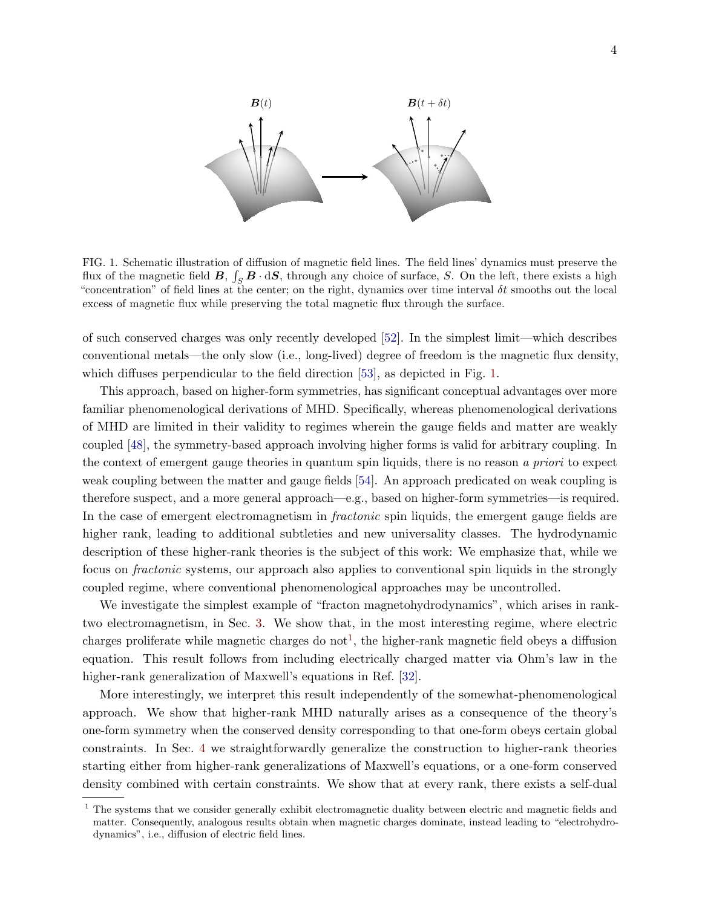

<span id="page-3-0"></span>FIG. 1. Schematic illustration of diffusion of magnetic field lines. The field lines' dynamics must preserve the flux of the magnetic field  $B, \int_S B \cdot dS$ , through any choice of surface, S. On the left, there exists a high "concentration" of field lines at the center; on the right, dynamics over time interval  $\delta t$  smooths out the local excess of magnetic flux while preserving the total magnetic flux through the surface.

of such conserved charges was only recently developed [\[52\]](#page-40-6). In the simplest limit—which describes conventional metals—the only slow (i.e., long-lived) degree of freedom is the magnetic flux density, which diffuses perpendicular to the field direction [\[53\]](#page-40-7), as depicted in Fig. [1.](#page-3-0)

This approach, based on higher-form symmetries, has significant conceptual advantages over more familiar phenomenological derivations of MHD. Specifically, whereas phenomenological derivations of MHD are limited in their validity to regimes wherein the gauge fields and matter are weakly coupled [\[48\]](#page-40-4), the symmetry-based approach involving higher forms is valid for arbitrary coupling. In the context of emergent gauge theories in quantum spin liquids, there is no reason a priori to expect weak coupling between the matter and gauge fields [\[54\]](#page-40-8). An approach predicated on weak coupling is therefore suspect, and a more general approach—e.g., based on higher-form symmetries—is required. In the case of emergent electromagnetism in *fractonic* spin liquids, the emergent gauge fields are higher rank, leading to additional subtleties and new universality classes. The hydrodynamic description of these higher-rank theories is the subject of this work: We emphasize that, while we focus on fractonic systems, our approach also applies to conventional spin liquids in the strongly coupled regime, where conventional phenomenological approaches may be uncontrolled.

We investigate the simplest example of "fracton magnetohydrodynamics", which arises in ranktwo electromagnetism, in Sec. [3.](#page-14-0) We show that, in the most interesting regime, where electric charges proliferate while magnetic charges do not<sup>[1](#page-3-1)</sup>, the higher-rank magnetic field obeys a diffusion equation. This result follows from including electrically charged matter via Ohm's law in the higher-rank generalization of Maxwell's equations in Ref. [\[32\]](#page-39-11).

More interestingly, we interpret this result independently of the somewhat-phenomenological approach. We show that higher-rank MHD naturally arises as a consequence of the theory's one-form symmetry when the conserved density corresponding to that one-form obeys certain global constraints. In Sec. [4](#page-23-0) we straightforwardly generalize the construction to higher-rank theories starting either from higher-rank generalizations of Maxwell's equations, or a one-form conserved density combined with certain constraints. We show that at every rank, there exists a self-dual

<span id="page-3-1"></span><sup>&</sup>lt;sup>1</sup> The systems that we consider generally exhibit electromagnetic duality between electric and magnetic fields and matter. Consequently, analogous results obtain when magnetic charges dominate, instead leading to "electrohydrodynamics", i.e., diffusion of electric field lines.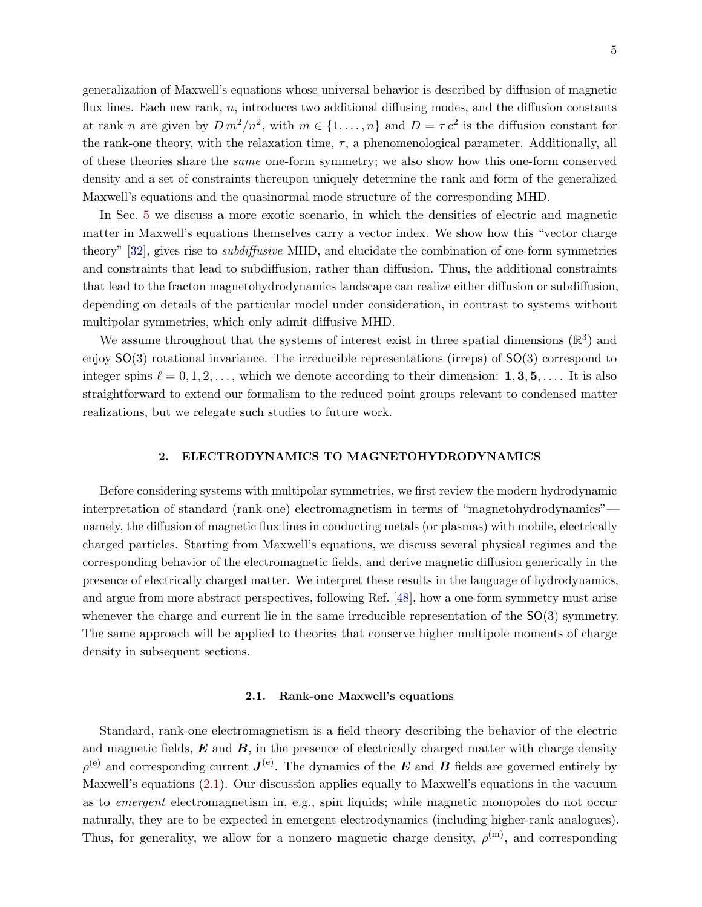generalization of Maxwell's equations whose universal behavior is described by diffusion of magnetic flux lines. Each new rank,  $n$ , introduces two additional diffusing modes, and the diffusion constants at rank *n* are given by  $D m^2/n^2$ , with  $m \in \{1, ..., n\}$  and  $D = \tau c^2$  is the diffusion constant for the rank-one theory, with the relaxation time,  $\tau$ , a phenomenological parameter. Additionally, all of these theories share the same one-form symmetry; we also show how this one-form conserved density and a set of constraints thereupon uniquely determine the rank and form of the generalized Maxwell's equations and the quasinormal mode structure of the corresponding MHD.

In Sec. [5](#page-28-0) we discuss a more exotic scenario, in which the densities of electric and magnetic matter in Maxwell's equations themselves carry a vector index. We show how this "vector charge theory" [\[32\]](#page-39-11), gives rise to subdiffusive MHD, and elucidate the combination of one-form symmetries and constraints that lead to subdiffusion, rather than diffusion. Thus, the additional constraints that lead to the fracton magnetohydrodynamics landscape can realize either diffusion or subdiffusion, depending on details of the particular model under consideration, in contrast to systems without multipolar symmetries, which only admit diffusive MHD.

We assume throughout that the systems of interest exist in three spatial dimensions  $(\mathbb{R}^3)$  and enjoy SO(3) rotational invariance. The irreducible representations (irreps) of SO(3) correspond to integer spins  $\ell = 0, 1, 2, \ldots$ , which we denote according to their dimension: 1, 3, 5, .... It is also straightforward to extend our formalism to the reduced point groups relevant to condensed matter realizations, but we relegate such studies to future work.

## <span id="page-4-0"></span>2. ELECTRODYNAMICS TO MAGNETOHYDRODYNAMICS

Before considering systems with multipolar symmetries, we first review the modern hydrodynamic interpretation of standard (rank-one) electromagnetism in terms of "magnetohydrodynamics" namely, the diffusion of magnetic flux lines in conducting metals (or plasmas) with mobile, electrically charged particles. Starting from Maxwell's equations, we discuss several physical regimes and the corresponding behavior of the electromagnetic fields, and derive magnetic diffusion generically in the presence of electrically charged matter. We interpret these results in the language of hydrodynamics, and argue from more abstract perspectives, following Ref. [\[48\]](#page-40-4), how a one-form symmetry must arise whenever the charge and current lie in the same irreducible representation of the  $SO(3)$  symmetry. The same approach will be applied to theories that conserve higher multipole moments of charge density in subsequent sections.

## <span id="page-4-1"></span>2.1. Rank-one Maxwell's equations

Standard, rank-one electromagnetism is a field theory describing the behavior of the electric and magnetic fields,  $\boldsymbol{E}$  and  $\boldsymbol{B}$ , in the presence of electrically charged matter with charge density  $\rho^{(e)}$  and corresponding current  $\bm{J}^{(e)}$ . The dynamics of the  $\bm{E}$  and  $\bm{B}$  fields are governed entirely by Maxwell's equations [\(2.1\)](#page-5-1). Our discussion applies equally to Maxwell's equations in the vacuum as to *emergent* electromagnetism in, e.g., spin liquids; while magnetic monopoles do not occur naturally, they are to be expected in emergent electrodynamics (including higher-rank analogues). Thus, for generality, we allow for a nonzero magnetic charge density,  $\rho^{(m)}$ , and corresponding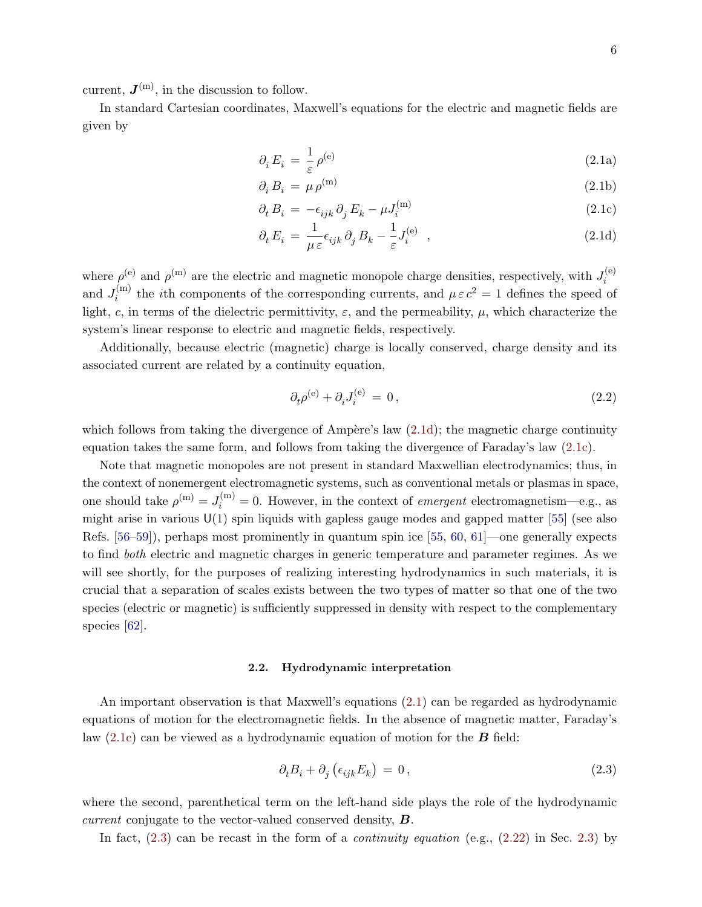current,  $J^{(m)}$ , in the discussion to follow.

<span id="page-5-1"></span>In standard Cartesian coordinates, Maxwell's equations for the electric and magnetic fields are given by

<span id="page-5-5"></span>
$$
\partial_i E_i = \frac{1}{\varepsilon} \rho^{(e)} \tag{2.1a}
$$

<span id="page-5-6"></span><span id="page-5-3"></span>
$$
\partial_i B_i = \mu \rho^{(m)} \tag{2.1b}
$$

$$
\partial_t B_i = -\epsilon_{ijk} \partial_j E_k - \mu J_i^{(m)}
$$
\n(2.1c)

<span id="page-5-2"></span>
$$
\partial_t E_i = \frac{1}{\mu \varepsilon} \epsilon_{ijk} \partial_j B_k - \frac{1}{\varepsilon} J_i^{(e)} \quad , \tag{2.1d}
$$

where  $\rho^{(e)}$  and  $\rho^{(m)}$  are the electric and magnetic monopole charge densities, respectively, with  $J_i^{(e)}$ i and  $J_i^{(m)}$ <sup>(m)</sup> the *i*th components of the corresponding currents, and  $\mu \varepsilon c^2 = 1$  defines the speed of light, c, in terms of the dielectric permittivity,  $\varepsilon$ , and the permeability,  $\mu$ , which characterize the system's linear response to electric and magnetic fields, respectively.

Additionally, because electric (magnetic) charge is locally conserved, charge density and its associated current are related by a continuity equation,

<span id="page-5-7"></span>
$$
\partial_t \rho^{(e)} + \partial_i J_i^{(e)} = 0, \qquad (2.2)
$$

which follows from taking the divergence of Ampère's law  $(2.1d)$ ; the magnetic charge continuity equation takes the same form, and follows from taking the divergence of Faraday's law [\(2.1c\)](#page-5-3).

Note that magnetic monopoles are not present in standard Maxwellian electrodynamics; thus, in the context of nonemergent electromagnetic systems, such as conventional metals or plasmas in space, one should take  $\rho^{(m)} = J_i^{(m)} = 0$ . However, in the context of *emergent* electromagnetism—e.g., as might arise in various  $U(1)$  spin liquids with gapless gauge modes and gapped matter [\[55\]](#page-40-9) (see also Refs. [\[56](#page-40-10)[–59\]](#page-40-11)), perhaps most prominently in quantum spin ice [\[55,](#page-40-9) [60,](#page-40-12) [61\]](#page-40-13)—one generally expects to find both electric and magnetic charges in generic temperature and parameter regimes. As we will see shortly, for the purposes of realizing interesting hydrodynamics in such materials, it is crucial that a separation of scales exists between the two types of matter so that one of the two species (electric or magnetic) is sufficiently suppressed in density with respect to the complementary species [\[62\]](#page-40-14).

## <span id="page-5-0"></span>2.2. Hydrodynamic interpretation

An important observation is that Maxwell's equations [\(2.1\)](#page-5-1) can be regarded as hydrodynamic equations of motion for the electromagnetic fields. In the absence of magnetic matter, Faraday's law  $(2.1c)$  can be viewed as a hydrodynamic equation of motion for the **B** field:

<span id="page-5-4"></span>
$$
\partial_t B_i + \partial_j \left( \epsilon_{ijk} E_k \right) = 0, \qquad (2.3)
$$

where the second, parenthetical term on the left-hand side plays the role of the hydrodynamic *current* conjugate to the vector-valued conserved density,  $\boldsymbol{B}$ .

In fact,  $(2.3)$  can be recast in the form of a *continuity equation* (e.g.,  $(2.22)$  in Sec. [2.3\)](#page-11-0) by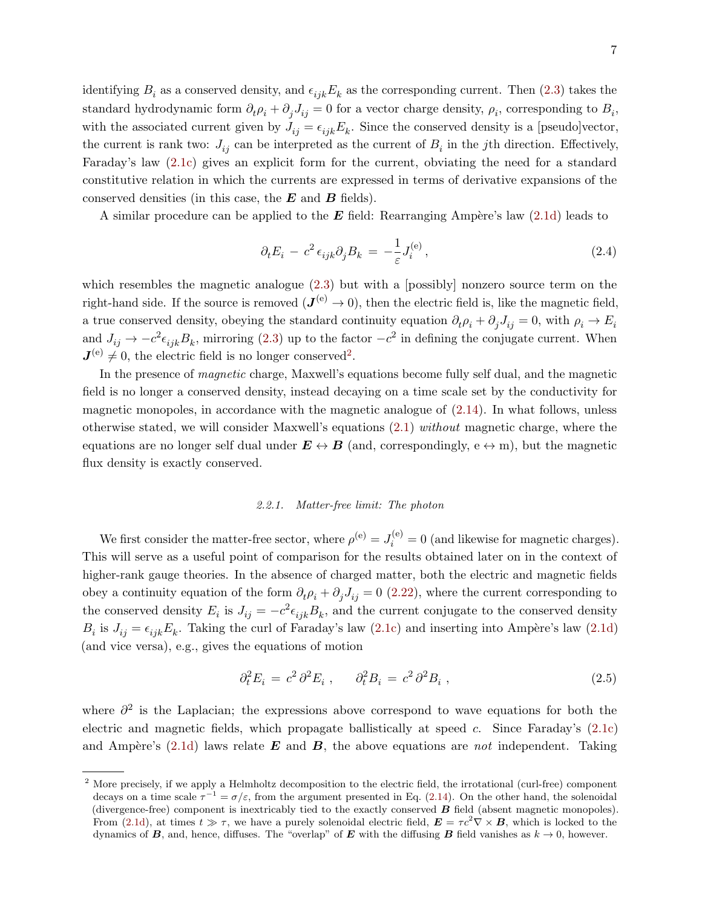identifying  $B_i$  as a conserved density, and  $\epsilon_{ijk}E_k$  as the corresponding current. Then [\(2.3\)](#page-5-4) takes the standard hydrodynamic form  $\partial_t \rho_i + \partial_j J_{ij} = 0$  for a vector charge density,  $\rho_i$ , corresponding to  $B_i$ , with the associated current given by  $J_{ij} = \epsilon_{ijk} E_k$ . Since the conserved density is a [pseudo]vector, the current is rank two:  $J_{ij}$  can be interpreted as the current of  $B_i$  in the *j*th direction. Effectively, Faraday's law [\(2.1c\)](#page-5-3) gives an explicit form for the current, obviating the need for a standard constitutive relation in which the currents are expressed in terms of derivative expansions of the conserved densities (in this case, the  $E$  and  $B$  fields).

A similar procedure can be applied to the  $E$  field: Rearranging Ampère's law [\(2.1d\)](#page-5-2) leads to

<span id="page-6-2"></span>
$$
\partial_t E_i - c^2 \epsilon_{ijk} \partial_j B_k = -\frac{1}{\varepsilon} J_i^{(e)} \,, \tag{2.4}
$$

which resembles the magnetic analogue  $(2.3)$  but with a [possibly] nonzero source term on the right-hand side. If the source is removed  $(\mathbf{J}^{(e)} \to 0)$ , then the electric field is, like the magnetic field, a true conserved density, obeying the standard continuity equation  $\partial_t \rho_i + \partial_j J_{ij} = 0$ , with  $\rho_i \to E_i$ and  $J_{ij} \to -c^2 \epsilon_{ijk} B_k$ , mirroring [\(2.3\)](#page-5-4) up to the factor  $-c^2$  in defining the conjugate current. When  $J^{(e)} \neq 0$ , the electric field is no longer conserved<sup>[2](#page-6-1)</sup>.

In the presence of magnetic charge, Maxwell's equations become fully self dual, and the magnetic field is no longer a conserved density, instead decaying on a time scale set by the conductivity for magnetic monopoles, in accordance with the magnetic analogue of [\(2.14\)](#page-9-2). In what follows, unless otherwise stated, we will consider Maxwell's equations [\(2.1\)](#page-5-1) without magnetic charge, where the equations are no longer self dual under  $E \leftrightarrow B$  (and, correspondingly,  $e \leftrightarrow m$ ), but the magnetic flux density is exactly conserved.

#### <span id="page-6-0"></span>2.2.1. Matter-free limit: The photon

We first consider the matter-free sector, where  $\rho^{(e)} = J_i^{(e)} = 0$  (and likewise for magnetic charges). This will serve as a useful point of comparison for the results obtained later on in the context of higher-rank gauge theories. In the absence of charged matter, both the electric and magnetic fields obey a continuity equation of the form  $\partial_t \rho_i + \partial_j J_{ij} = 0$  [\(2.22\)](#page-11-1), where the current corresponding to the conserved density  $E_i$  is  $J_{ij} = -c^2 \epsilon_{ijk} B_k$ , and the current conjugate to the conserved density  $B_i$  is  $J_{ij} = \epsilon_{ijk} E_k$ . Taking the curl of Faraday's law [\(2.1c\)](#page-5-3) and inserting into Ampère's law [\(2.1d\)](#page-5-2) (and vice versa), e.g., gives the equations of motion

$$
\partial_t^2 E_i = c^2 \partial^2 E_i , \qquad \partial_t^2 B_i = c^2 \partial^2 B_i , \qquad (2.5)
$$

where  $\partial^2$  is the Laplacian; the expressions above correspond to wave equations for both the electric and magnetic fields, which propagate ballistically at speed c. Since Faraday's [\(2.1c\)](#page-5-3) and Ampère's  $(2.1d)$  laws relate E and B, the above equations are not independent. Taking

<span id="page-6-1"></span><sup>&</sup>lt;sup>2</sup> More precisely, if we apply a Helmholtz decomposition to the electric field, the irrotational (curl-free) component decays on a time scale  $\tau^{-1} = \sigma/\varepsilon$ , from the argument presented in Eq. [\(2.14\)](#page-9-2). On the other hand, the solenoidal (divergence-free) component is inextricably tied to the exactly conserved  $\bf{B}$  field (absent magnetic monopoles). From [\(2.1d\)](#page-5-2), at times  $t \gg \tau$ , we have a purely solenoidal electric field,  $\mathbf{E} = \tau c^2 \nabla \times \mathbf{B}$ , which is locked to the dynamics of B, and, hence, diffuses. The "overlap" of E with the diffusing B field vanishes as  $k \to 0$ , however.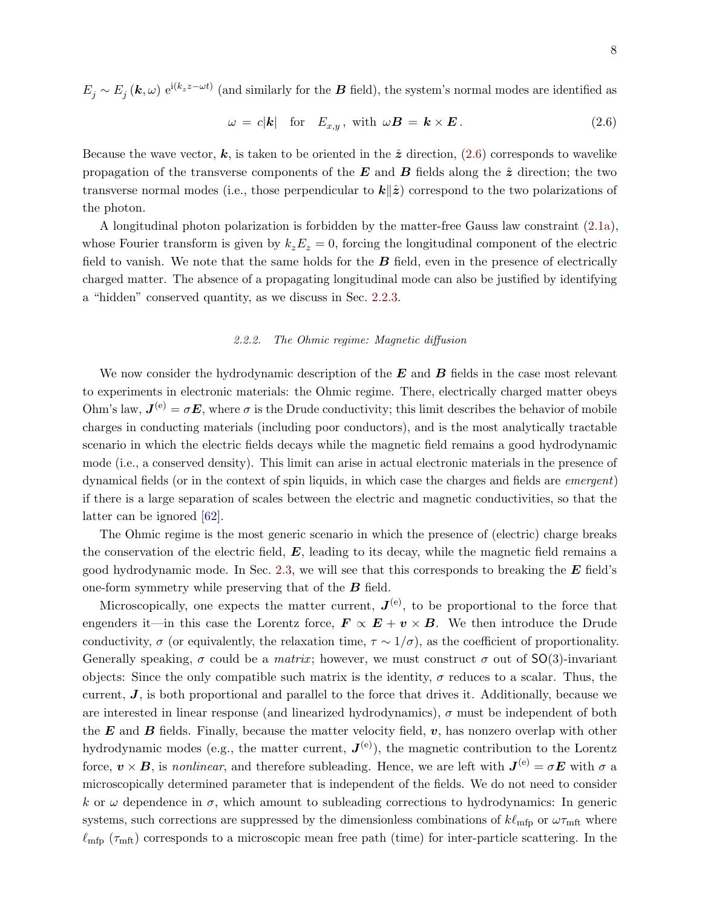$E_j \sim E_j(\mathbf{k}, \omega) e^{i(k_z z - \omega t)}$  (and similarly for the  $\mathbf{B}$  field), the system's normal modes are identified as

<span id="page-7-1"></span>
$$
\omega = c|\mathbf{k}| \quad \text{for} \quad E_{x,y}, \text{ with } \omega \mathbf{B} = \mathbf{k} \times \mathbf{E}. \tag{2.6}
$$

Because the wave vector, k, is taken to be oriented in the  $\hat{z}$  direction, [\(2.6\)](#page-7-1) corresponds to wavelike propagation of the transverse components of the E and B fields along the  $\hat{z}$  direction; the two transverse normal modes (i.e., those perpendicular to  $\mathbf{k}|\hat{z}$ ) correspond to the two polarizations of the photon.

A longitudinal photon polarization is forbidden by the matter-free Gauss law constraint [\(2.1a\)](#page-5-5), whose Fourier transform is given by  $k_z E_z = 0$ , forcing the longitudinal component of the electric field to vanish. We note that the same holds for the  $B$  field, even in the presence of electrically charged matter. The absence of a propagating longitudinal mode can also be justified by identifying a "hidden" conserved quantity, as we discuss in Sec. [2.2.3.](#page-9-0)

# <span id="page-7-0"></span>2.2.2. The Ohmic regime: Magnetic diffusion

We now consider the hydrodynamic description of the  $E$  and  $B$  fields in the case most relevant to experiments in electronic materials: the Ohmic regime. There, electrically charged matter obeys Ohm's law,  $J^{(e)} = \sigma E$ , where  $\sigma$  is the Drude conductivity; this limit describes the behavior of mobile charges in conducting materials (including poor conductors), and is the most analytically tractable scenario in which the electric fields decays while the magnetic field remains a good hydrodynamic mode (i.e., a conserved density). This limit can arise in actual electronic materials in the presence of dynamical fields (or in the context of spin liquids, in which case the charges and fields are emergent) if there is a large separation of scales between the electric and magnetic conductivities, so that the latter can be ignored [\[62\]](#page-40-14).

The Ohmic regime is the most generic scenario in which the presence of (electric) charge breaks the conservation of the electric field,  $E$ , leading to its decay, while the magnetic field remains a good hydrodynamic mode. In Sec. [2.3,](#page-11-0) we will see that this corresponds to breaking the  $E$  field's one-form symmetry while preserving that of the  $\boldsymbol{B}$  field.

Microscopically, one expects the matter current,  $J^{(e)}$ , to be proportional to the force that engenders it—in this case the Lorentz force,  $\mathbf{F} \propto \mathbf{E} + \mathbf{v} \times \mathbf{B}$ . We then introduce the Drude conductivity,  $\sigma$  (or equivalently, the relaxation time,  $\tau \sim 1/\sigma$ ), as the coefficient of proportionality. Generally speaking,  $\sigma$  could be a *matrix*; however, we must construct  $\sigma$  out of SO(3)-invariant objects: Since the only compatible such matrix is the identity,  $\sigma$  reduces to a scalar. Thus, the current,  $J$ , is both proportional and parallel to the force that drives it. Additionally, because we are interested in linear response (and linearized hydrodynamics),  $\sigma$  must be independent of both the  $E$  and  $B$  fields. Finally, because the matter velocity field,  $v$ , has nonzero overlap with other hydrodynamic modes (e.g., the matter current,  $J^{(e)}$ ), the magnetic contribution to the Lorentz force,  $v \times B$ , is nonlinear, and therefore subleading. Hence, we are left with  $J^{(e)} = \sigma E$  with  $\sigma$  a microscopically determined parameter that is independent of the fields. We do not need to consider k or  $\omega$  dependence in  $\sigma$ , which amount to subleading corrections to hydrodynamics: In generic systems, such corrections are suppressed by the dimensionless combinations of  $k\ell_{\rm mfp}$  or  $\omega\tau_{\rm mft}$  where  $\ell_{\rm mfp}$  ( $\tau_{\rm mft}$ ) corresponds to a microscopic mean free path (time) for inter-particle scattering. In the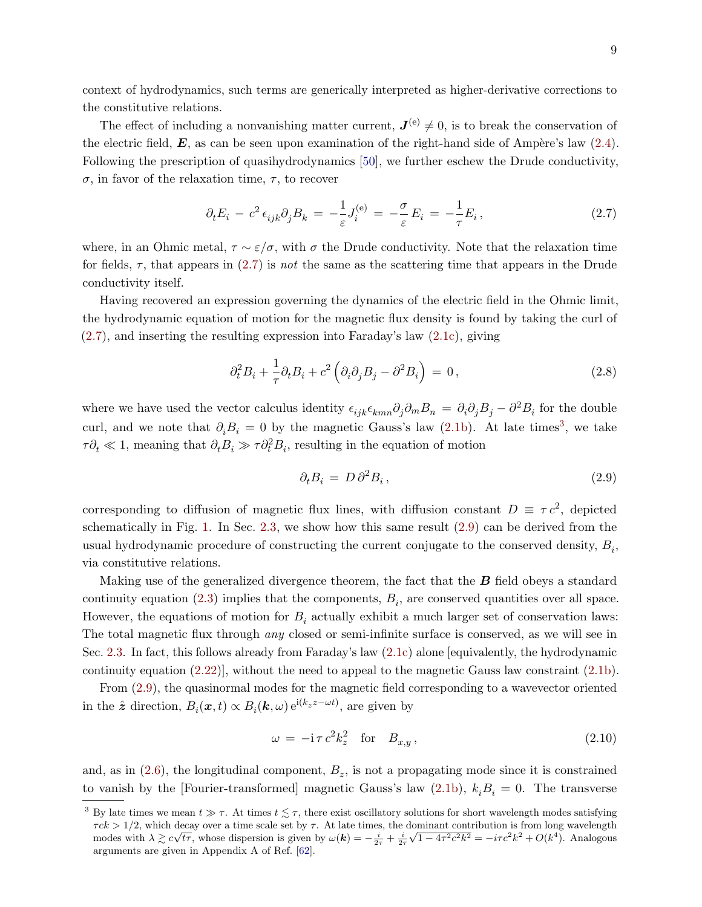context of hydrodynamics, such terms are generically interpreted as higher-derivative corrections to the constitutive relations.

The effect of including a nonvanishing matter current,  $J^{(e)} \neq 0$ , is to break the conservation of the electric field,  $E$ , as can be seen upon examination of the right-hand side of Ampère's law  $(2.4)$ . Following the prescription of quasihydrodynamics [\[50\]](#page-40-15), we further eschew the Drude conductivity,  $\sigma$ , in favor of the relaxation time,  $\tau$ , to recover

<span id="page-8-0"></span>
$$
\partial_t E_i - c^2 \epsilon_{ijk} \partial_j B_k = -\frac{1}{\varepsilon} J_i^{(e)} = -\frac{\sigma}{\varepsilon} E_i = -\frac{1}{\tau} E_i, \qquad (2.7)
$$

where, in an Ohmic metal,  $\tau \sim \varepsilon/\sigma$ , with  $\sigma$  the Drude conductivity. Note that the relaxation time for fields,  $\tau$ , that appears in [\(2.7\)](#page-8-0) is not the same as the scattering time that appears in the Drude conductivity itself.

Having recovered an expression governing the dynamics of the electric field in the Ohmic limit, the hydrodynamic equation of motion for the magnetic flux density is found by taking the curl of [\(2.7\)](#page-8-0), and inserting the resulting expression into Faraday's law [\(2.1c\)](#page-5-3), giving

$$
\partial_t^2 B_i + \frac{1}{\tau} \partial_t B_i + c^2 \left( \partial_i \partial_j B_j - \partial^2 B_i \right) = 0, \qquad (2.8)
$$

where we have used the vector calculus identity  $\epsilon_{ijk}\epsilon_{kmn}\partial_j\partial_mB_n = \partial_i\partial_jB_j - \partial^2B_i$  for the double curl, and we note that  $\partial_i B_i = 0$  by the magnetic Gauss's law [\(2.1b\)](#page-5-6). At late times<sup>[3](#page-8-1)</sup>, we take  $\tau \partial_t \ll 1$ , meaning that  $\partial_t B_i \gg \tau \partial_t^2 B_i$ , resulting in the equation of motion

<span id="page-8-2"></span>
$$
\partial_t B_i = D \partial^2 B_i, \qquad (2.9)
$$

corresponding to diffusion of magnetic flux lines, with diffusion constant  $D \equiv \tau c^2$ , depicted schematically in Fig. [1.](#page-3-0) In Sec. [2.3,](#page-11-0) we show how this same result [\(2.9\)](#page-8-2) can be derived from the usual hydrodynamic procedure of constructing the current conjugate to the conserved density,  $B_i$ , via constitutive relations.

Making use of the generalized divergence theorem, the fact that the  $\bm{B}$  field obeys a standard continuity equation [\(2.3\)](#page-5-4) implies that the components,  $B_i$ , are conserved quantities over all space. However, the equations of motion for  $B<sub>i</sub>$  actually exhibit a much larger set of conservation laws: The total magnetic flux through *any* closed or semi-infinite surface is conserved, as we will see in Sec. [2.3.](#page-11-0) In fact, this follows already from Faraday's law [\(2.1c\)](#page-5-3) alone [equivalently, the hydrodynamic continuity equation [\(2.22\)](#page-11-1)], without the need to appeal to the magnetic Gauss law constraint [\(2.1b\)](#page-5-6).

From [\(2.9\)](#page-8-2), the quasinormal modes for the magnetic field corresponding to a wavevector oriented in the  $\hat{\boldsymbol{z}}$  direction,  $B_i(\boldsymbol{x},t) \propto B_i(\boldsymbol{k},\omega) e^{i(k_z z - \omega t)}$ , are given by

<span id="page-8-3"></span>
$$
\omega = -\mathrm{i}\,\tau\,c^2 k_z^2 \quad \text{for} \quad B_{x,y} \,, \tag{2.10}
$$

and, as in  $(2.6)$ , the longitudinal component,  $B_z$ , is not a propagating mode since it is constrained to vanish by the [Fourier-transformed] magnetic Gauss's law [\(2.1b\)](#page-5-6),  $k_i B_i = 0$ . The transverse

<span id="page-8-1"></span><sup>&</sup>lt;sup>3</sup> By late times we mean  $t \gg \tau$ . At times  $t \lesssim \tau$ , there exist oscillatory solutions for short wavelength modes satisfying  $\tau c k > 1/2$ , which decay over a time scale set by  $\tau$ . At late times, the dominant contribution is from long wavelength  $\tau c \kappa > 1/2$ , which decay over a time scale set by  $\tau$ . At late times, the modes with  $\lambda \gtrsim c\sqrt{t_{\tau}}$ , whose dispersion is given by  $\omega(\mathbf{k}) = -\frac{i}{2\tau} + \frac{i}{2\tau}$  $\sqrt{1-4\tau^2c^2k^2} = -i\tau c^2k^2 + O(k^4)$ . Analogous arguments are given in Appendix A of Ref. [\[62\]](#page-40-14).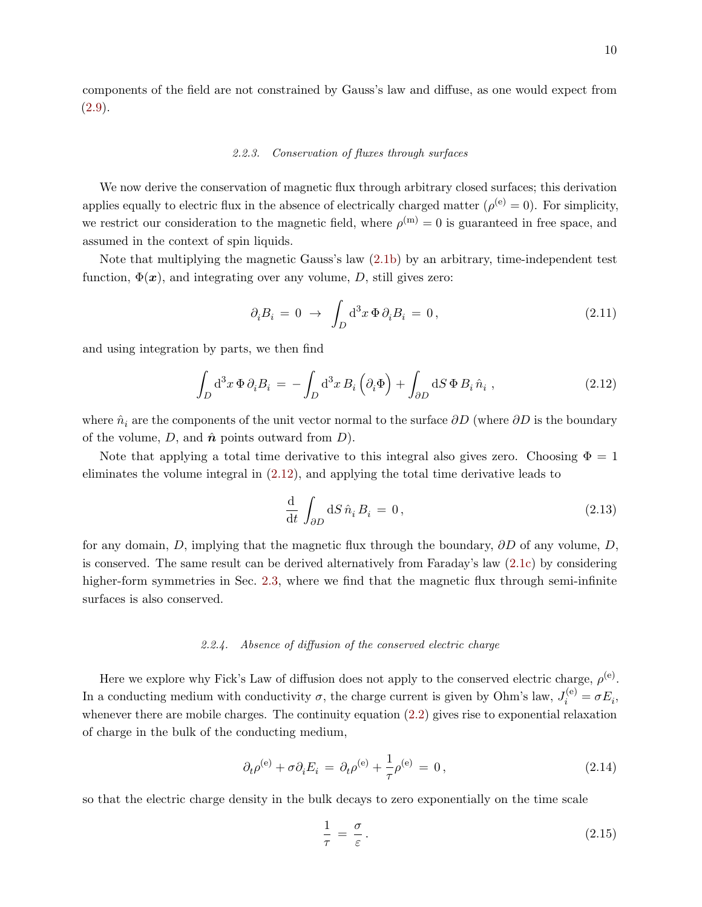components of the field are not constrained by Gauss's law and diffuse, as one would expect from [\(2.9\)](#page-8-2).

#### <span id="page-9-0"></span>2.2.3. Conservation of fluxes through surfaces

We now derive the conservation of magnetic flux through arbitrary closed surfaces; this derivation applies equally to electric flux in the absence of electrically charged matter  $(\rho^{(e)} = 0)$ . For simplicity, we restrict our consideration to the magnetic field, where  $\rho^{(m)} = 0$  is guaranteed in free space, and assumed in the context of spin liquids.

Note that multiplying the magnetic Gauss's law [\(2.1b\)](#page-5-6) by an arbitrary, time-independent test function,  $\Phi(x)$ , and integrating over any volume, D, still gives zero:

$$
\partial_i B_i = 0 \to \int_D d^3x \, \Phi \, \partial_i B_i = 0, \qquad (2.11)
$$

and using integration by parts, we then find

<span id="page-9-3"></span>
$$
\int_{D} d^{3}x \, \Phi \, \partial_{i} B_{i} = -\int_{D} d^{3}x \, B_{i} \left( \partial_{i} \Phi \right) + \int_{\partial D} dS \, \Phi \, B_{i} \, \hat{n}_{i} \,, \tag{2.12}
$$

where  $\hat{n}_i$  are the components of the unit vector normal to the surface  $\partial D$  (where  $\partial D$  is the boundary of the volume,  $D$ , and  $\hat{\boldsymbol{n}}$  points outward from  $D$ ).

Note that applying a total time derivative to this integral also gives zero. Choosing  $\Phi = 1$ eliminates the volume integral in [\(2.12\)](#page-9-3), and applying the total time derivative leads to

$$
\frac{\mathrm{d}}{\mathrm{d}t} \int_{\partial D} \mathrm{d}S \,\hat{n}_i \, B_i = 0, \tag{2.13}
$$

for any domain, D, implying that the magnetic flux through the boundary,  $\partial D$  of any volume, D, is conserved. The same result can be derived alternatively from Faraday's law [\(2.1c\)](#page-5-3) by considering higher-form symmetries in Sec. [2.3,](#page-11-0) where we find that the magnetic flux through semi-infinite surfaces is also conserved.

# <span id="page-9-1"></span>2.2.4. Absence of diffusion of the conserved electric charge

Here we explore why Fick's Law of diffusion does not apply to the conserved electric charge,  $\rho^{(e)}$ . In a conducting medium with conductivity  $\sigma$ , the charge current is given by Ohm's law,  $J_i^{(e)} = \sigma E_i$ , whenever there are mobile charges. The continuity equation [\(2.2\)](#page-5-7) gives rise to exponential relaxation of charge in the bulk of the conducting medium,

<span id="page-9-2"></span>
$$
\partial_t \rho^{(e)} + \sigma \partial_i E_i = \partial_t \rho^{(e)} + \frac{1}{\tau} \rho^{(e)} = 0, \qquad (2.14)
$$

so that the electric charge density in the bulk decays to zero exponentially on the time scale

<span id="page-9-4"></span>
$$
\frac{1}{\tau} = \frac{\sigma}{\varepsilon}.
$$
\n(2.15)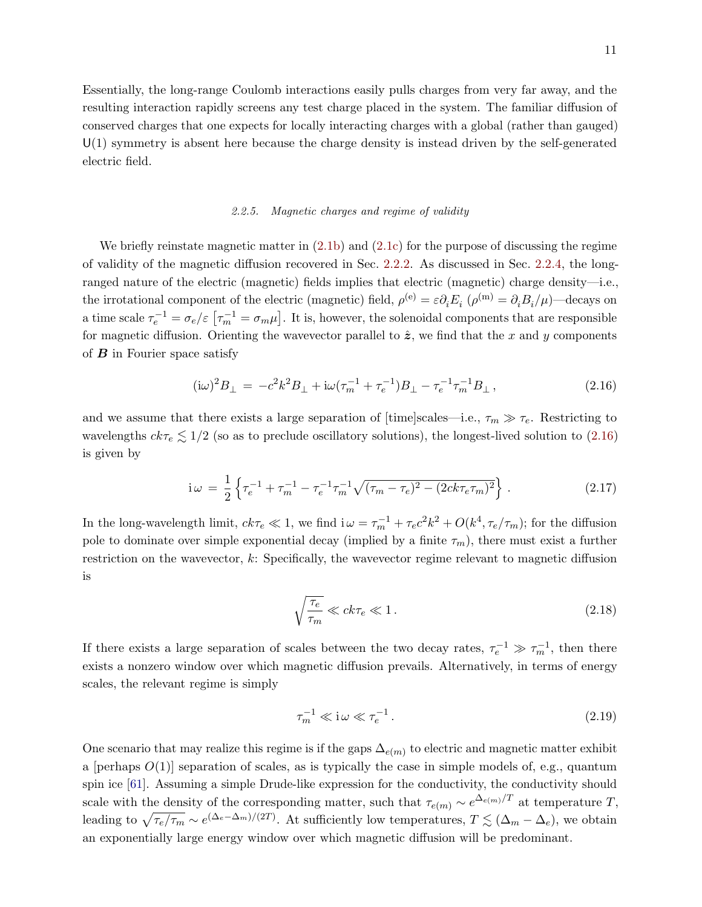Essentially, the long-range Coulomb interactions easily pulls charges from very far away, and the resulting interaction rapidly screens any test charge placed in the system. The familiar diffusion of conserved charges that one expects for locally interacting charges with a global (rather than gauged)  $U(1)$  symmetry is absent here because the charge density is instead driven by the self-generated electric field.

#### <span id="page-10-0"></span>2.2.5. Magnetic charges and regime of validity

We briefly reinstate magnetic matter in  $(2.1b)$  and  $(2.1c)$  for the purpose of discussing the regime of validity of the magnetic diffusion recovered in Sec. [2.2.2.](#page-7-0) As discussed in Sec. [2.2.4,](#page-9-1) the longranged nature of the electric (magnetic) fields implies that electric (magnetic) charge density—i.e., the irrotational component of the electric (magnetic) field,  $\rho^{(e)} = \varepsilon \partial_i E_i$  ( $\rho^{(m)} = \partial_i B_i / \mu$ )—decays on a time scale  $\tau_e^{-1} = \sigma_e/\varepsilon$   $[\tau_m^{-1} = \sigma_m \mu]$ . It is, however, the solenoidal components that are responsible for magnetic diffusion. Orienting the wavevector parallel to  $\hat{z}$ , we find that the x and y components of  $\bm{B}$  in Fourier space satisfy

<span id="page-10-1"></span>
$$
(\mathrm{i}\omega)^2 B_{\perp} = -c^2 k^2 B_{\perp} + \mathrm{i}\omega (\tau_m^{-1} + \tau_e^{-1}) B_{\perp} - \tau_e^{-1} \tau_m^{-1} B_{\perp},\tag{2.16}
$$

and we assume that there exists a large separation of [time]scales—i.e.,  $\tau_m \gg \tau_e$ . Restricting to wavelengths  $ck\tau_e \lesssim 1/2$  (so as to preclude oscillatory solutions), the longest-lived solution to [\(2.16\)](#page-10-1) is given by

$$
i\omega = \frac{1}{2}\left\{\tau_e^{-1} + \tau_m^{-1} - \tau_e^{-1}\tau_m^{-1}\sqrt{(\tau_m - \tau_e)^2 - (2ck\tau_e\tau_m)^2}\right\}.
$$
 (2.17)

In the long-wavelength limit,  $ck\tau_e \ll 1$ , we find  $i\omega = \tau_m^{-1} + \tau_e c^2 k^2 + O(k^4, \tau_e/\tau_m)$ ; for the diffusion pole to dominate over simple exponential decay (implied by a finite  $\tau_m$ ), there must exist a further restriction on the wavevector, k: Specifically, the wavevector regime relevant to magnetic diffusion is

$$
\sqrt{\frac{\tau_e}{\tau_m}} \ll ck\tau_e \ll 1. \tag{2.18}
$$

If there exists a large separation of scales between the two decay rates,  $\tau_e^{-1} \gg \tau_m^{-1}$ , then there exists a nonzero window over which magnetic diffusion prevails. Alternatively, in terms of energy scales, the relevant regime is simply

$$
\tau_m^{-1} \ll \mathbf{i}\,\omega \ll \tau_e^{-1} \,. \tag{2.19}
$$

One scenario that may realize this regime is if the gaps  $\Delta_{e(m)}$  to electric and magnetic matter exhibit a [perhaps  $O(1)$ ] separation of scales, as is typically the case in simple models of, e.g., quantum spin ice [\[61\]](#page-40-13). Assuming a simple Drude-like expression for the conductivity, the conductivity should scale with the density of the corresponding matter, such that  $\tau_{e(m)} \sim e^{\Delta_{e(m)}/T}$  at temperature T, leading to  $\sqrt{\tau_e/\tau_m} \sim e^{(\Delta_e - \Delta_m)/(2T)}$ . At sufficiently low temperatures,  $T \lesssim (\Delta_m - \Delta_e)$ , we obtain an exponentially large energy window over which magnetic diffusion will be predominant.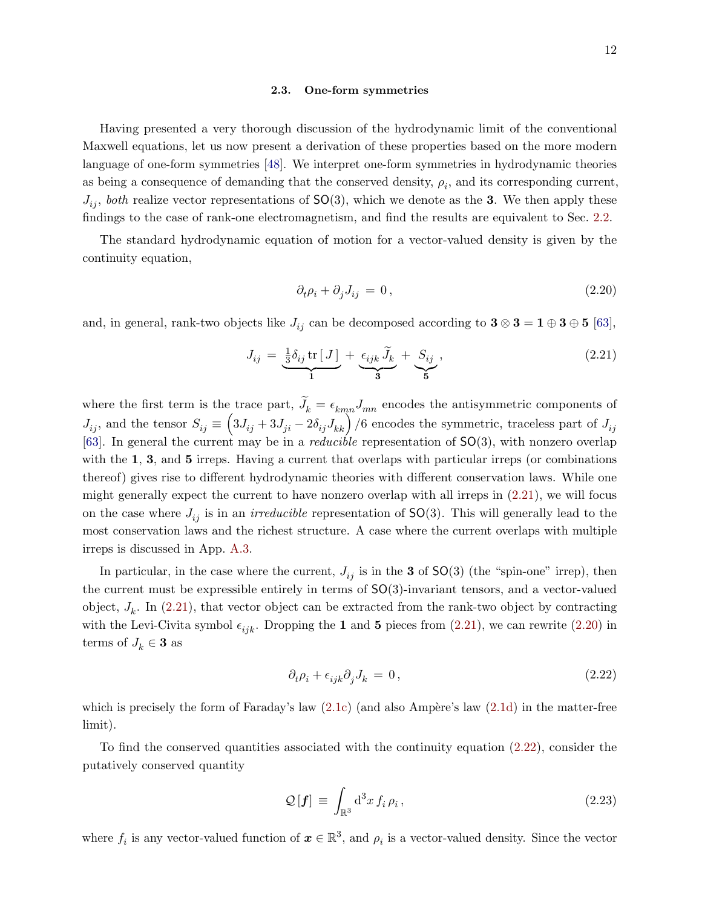#### <span id="page-11-0"></span>2.3. One-form symmetries

Having presented a very thorough discussion of the hydrodynamic limit of the conventional Maxwell equations, let us now present a derivation of these properties based on the more modern language of one-form symmetries [\[48\]](#page-40-4). We interpret one-form symmetries in hydrodynamic theories as being a consequence of demanding that the conserved density,  $\rho_i$ , and its corresponding current,  $J_{ij}$ , both realize vector representations of  $SO(3)$ , which we denote as the 3. We then apply these findings to the case of rank-one electromagnetism, and find the results are equivalent to Sec. [2.2.](#page-5-0)

The standard hydrodynamic equation of motion for a vector-valued density is given by the continuity equation,

<span id="page-11-3"></span>
$$
\partial_t \rho_i + \partial_j J_{ij} = 0, \qquad (2.20)
$$

and, in general, rank-two objects like  $J_{ij}$  can be decomposed according to  $3 \otimes 3 = 1 \oplus 3 \oplus 5$  [\[63\]](#page-40-16),

<span id="page-11-2"></span>
$$
J_{ij} = \underbrace{\frac{1}{3}\delta_{ij}\operatorname{tr}\left[J\right]}_{1} + \underbrace{\epsilon_{ijk}\widetilde{J}_k}_{3} + \underbrace{S_{ij}}_{5},\tag{2.21}
$$

where the first term is the trace part,  $J_k = \epsilon_{km} J_{mn}$  encodes the antisymmetric components of  $J_{ij}$ , and the tensor  $S_{ij} \equiv (3J_{ij} + 3J_{ji} - 2\delta_{ij}J_{kk})/6$  encodes the symmetric, traceless part of  $J_{ij}$ [\[63\]](#page-40-16). In general the current may be in a *reducible* representation of  $SO(3)$ , with nonzero overlap with the 1, 3, and 5 irreps. Having a current that overlaps with particular irreps (or combinations thereof) gives rise to different hydrodynamic theories with different conservation laws. While one might generally expect the current to have nonzero overlap with all irreps in [\(2.21\)](#page-11-2), we will focus on the case where  $J_{ij}$  is in an *irreducible* representation of  $SO(3)$ . This will generally lead to the most conservation laws and the richest structure. A case where the current overlaps with multiple irreps is discussed in App. [A.3.](#page-35-1)

In particular, in the case where the current,  $J_{ii}$  is in the 3 of SO(3) (the "spin-one" irrep), then the current must be expressible entirely in terms of SO(3)-invariant tensors, and a vector-valued object,  $J_k$ . In [\(2.21\)](#page-11-2), that vector object can be extracted from the rank-two object by contracting with the Levi-Civita symbol  $\epsilon_{ijk}$ . Dropping the 1 and 5 pieces from [\(2.21\)](#page-11-2), we can rewrite [\(2.20\)](#page-11-3) in terms of  $J_k \in \mathbf{3}$  as

<span id="page-11-1"></span>
$$
\partial_t \rho_i + \epsilon_{ijk} \partial_j J_k = 0, \qquad (2.22)
$$

which is precisely the form of Faraday's law  $(2.1c)$  (and also Ampère's law  $(2.1d)$ ) in the matter-free limit).

To find the conserved quantities associated with the continuity equation [\(2.22\)](#page-11-1), consider the putatively conserved quantity

<span id="page-11-4"></span>
$$
\mathcal{Q}\left[\mathbf{f}\right] \equiv \int_{\mathbb{R}^3} \mathrm{d}^3 x \, f_i \, \rho_i \,, \tag{2.23}
$$

where  $f_i$  is any vector-valued function of  $\boldsymbol{x} \in \mathbb{R}^3$ , and  $\rho_i$  is a vector-valued density. Since the vector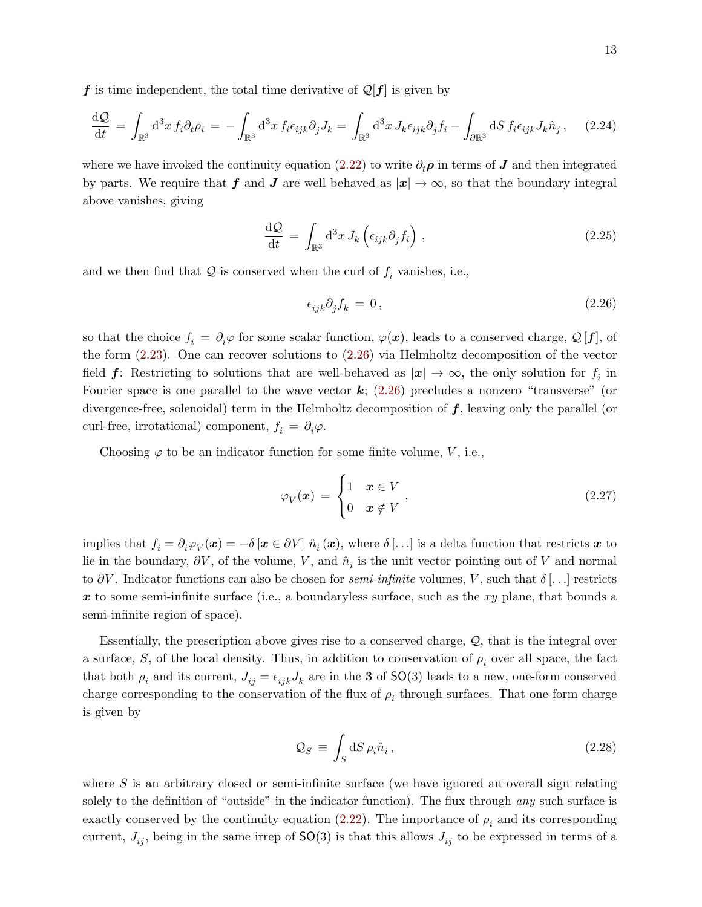f is time independent, the total time derivative of  $\mathcal{Q}[f]$  is given by

$$
\frac{\mathrm{d}\mathcal{Q}}{\mathrm{d}t} = \int_{\mathbb{R}^3} \mathrm{d}^3 x \, f_i \partial_t \rho_i = -\int_{\mathbb{R}^3} \mathrm{d}^3 x \, f_i \epsilon_{ijk} \partial_j J_k = \int_{\mathbb{R}^3} \mathrm{d}^3 x \, J_k \epsilon_{ijk} \partial_j f_i - \int_{\partial \mathbb{R}^3} \mathrm{d}S \, f_i \epsilon_{ijk} J_k \hat{n}_j \,, \tag{2.24}
$$

where we have invoked the continuity equation [\(2.22\)](#page-11-1) to write  $\partial_t \rho$  in terms of J and then integrated by parts. We require that f and J are well behaved as  $|x| \to \infty$ , so that the boundary integral above vanishes, giving

$$
\frac{\mathrm{d}\mathcal{Q}}{\mathrm{d}t} = \int_{\mathbb{R}^3} \mathrm{d}^3 x \, J_k \left( \epsilon_{ijk} \partial_j f_i \right) , \qquad (2.25)
$$

and we then find that  $Q$  is conserved when the curl of  $f_i$  vanishes, i.e.,

<span id="page-12-0"></span>
$$
\epsilon_{ijk}\partial_j f_k = 0,\t\t(2.26)
$$

so that the choice  $f_i = \partial_i \varphi$  for some scalar function,  $\varphi(x)$ , leads to a conserved charge,  $\mathcal{Q}[f]$ , of the form [\(2.23\)](#page-11-4). One can recover solutions to [\(2.26\)](#page-12-0) via Helmholtz decomposition of the vector field  $f$ : Restricting to solutions that are well-behaved as  $|x| \to \infty$ , the only solution for  $f_i$  in Fourier space is one parallel to the wave vector  $k$ ; [\(2.26\)](#page-12-0) precludes a nonzero "transverse" (or divergence-free, solenoidal) term in the Helmholtz decomposition of  $f$ , leaving only the parallel (or curl-free, irrotational) component,  $f_i = \partial_i \varphi$ .

Choosing  $\varphi$  to be an indicator function for some finite volume, V, i.e.,

$$
\varphi_V(\boldsymbol{x}) = \begin{cases} 1 & \boldsymbol{x} \in V \\ 0 & \boldsymbol{x} \notin V \end{cases}, \tag{2.27}
$$

implies that  $f_i = \partial_i \varphi_V(\boldsymbol{x}) = -\delta [\boldsymbol{x} \in \partial V] \hat{n}_i(\boldsymbol{x})$ , where  $\delta[\ldots]$  is a delta function that restricts  $\boldsymbol{x}$  to lie in the boundary,  $\partial V$ , of the volume, V, and  $\hat{n}_i$  is the unit vector pointing out of V and normal to  $\partial V$ . Indicator functions can also be chosen for *semi-infinite* volumes, V, such that  $\delta$ [...] restricts x to some semi-infinite surface (i.e., a boundaryless surface, such as the  $xy$  plane, that bounds a semi-infinite region of space).

Essentially, the prescription above gives rise to a conserved charge,  $Q$ , that is the integral over a surface, S, of the local density. Thus, in addition to conservation of  $\rho_i$  over all space, the fact that both  $\rho_i$  and its current,  $J_{ij} = \epsilon_{ijk} J_k$  are in the 3 of SO(3) leads to a new, one-form conserved charge corresponding to the conservation of the flux of  $\rho_i$  through surfaces. That one-form charge is given by

$$
\mathcal{Q}_S \equiv \int_S \mathrm{d}S \,\rho_i \hat{n}_i \,, \tag{2.28}
$$

where  $S$  is an arbitrary closed or semi-infinite surface (we have ignored an overall sign relating solely to the definition of "outside" in the indicator function). The flux through *any* such surface is exactly conserved by the continuity equation [\(2.22\)](#page-11-1). The importance of  $\rho_i$  and its corresponding current,  $J_{ij}$ , being in the same irrep of  $SO(3)$  is that this allows  $J_{ij}$  to be expressed in terms of a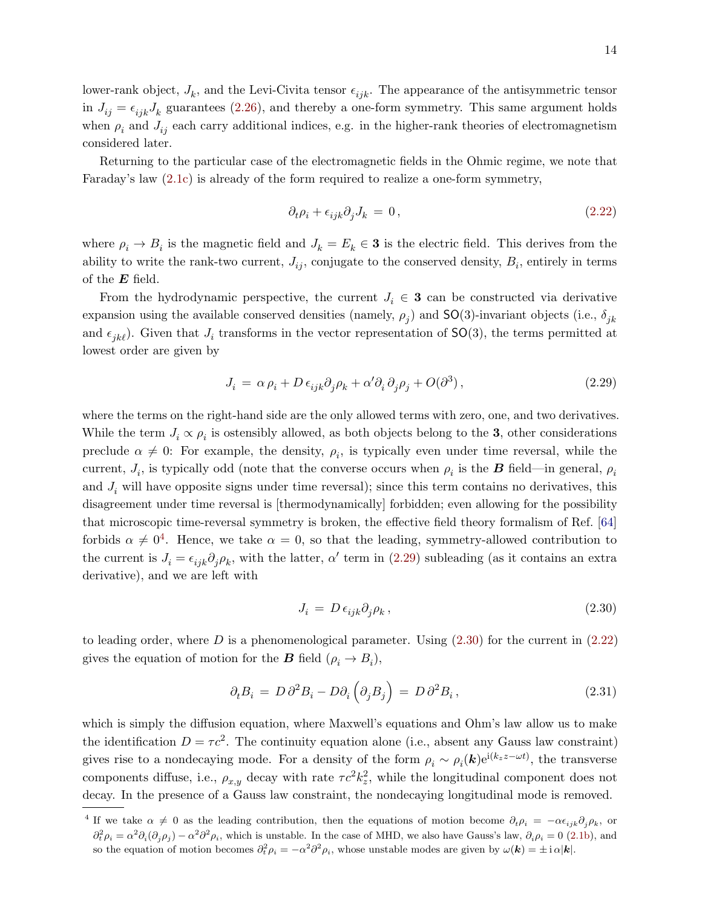lower-rank object,  $J_k$ , and the Levi-Civita tensor  $\epsilon_{ijk}$ . The appearance of the antisymmetric tensor in  $J_{ij} = \epsilon_{ijk}J_k$  guarantees [\(2.26\)](#page-12-0), and thereby a one-form symmetry. This same argument holds when  $\rho_i$  and  $J_{ij}$  each carry additional indices, e.g. in the higher-rank theories of electromagnetism considered later.

Returning to the particular case of the electromagnetic fields in the Ohmic regime, we note that Faraday's law [\(2.1c\)](#page-5-3) is already of the form required to realize a one-form symmetry,

<span id="page-13-3"></span>
$$
\partial_t \rho_i + \epsilon_{ijk} \partial_j J_k = 0, \qquad (2.22)
$$

where  $\rho_i \to B_i$  is the magnetic field and  $J_k = E_k \in \mathbf{3}$  is the electric field. This derives from the ability to write the rank-two current,  $J_{ij}$ , conjugate to the conserved density,  $B_i$ , entirely in terms of the  $E$  field.

From the hydrodynamic perspective, the current  $J_i \in \mathbf{3}$  can be constructed via derivative expansion using the available conserved densities (namely,  $\rho_j$ ) and SO(3)-invariant objects (i.e.,  $\delta_{jk}$ and  $\epsilon_{jk\ell}$ ). Given that  $J_i$  transforms in the vector representation of SO(3), the terms permitted at lowest order are given by

<span id="page-13-1"></span>
$$
J_i = \alpha \rho_i + D \epsilon_{ijk} \partial_j \rho_k + \alpha' \partial_i \partial_j \rho_j + O(\partial^3), \qquad (2.29)
$$

where the terms on the right-hand side are the only allowed terms with zero, one, and two derivatives. While the term  $J_i \propto \rho_i$  is ostensibly allowed, as both objects belong to the 3, other considerations preclude  $\alpha \neq 0$ : For example, the density,  $\rho_i$ , is typically even under time reversal, while the current,  $J_i$ , is typically odd (note that the converse occurs when  $\rho_i$  is the **B** field—in general,  $\rho_i$ and  $J_i$  will have opposite signs under time reversal); since this term contains no derivatives, this disagreement under time reversal is [thermodynamically] forbidden; even allowing for the possibility that microscopic time-reversal symmetry is broken, the effective field theory formalism of Ref. [\[64\]](#page-40-17) forbids  $\alpha \neq 0^4$  $\alpha \neq 0^4$ . Hence, we take  $\alpha = 0$ , so that the leading, symmetry-allowed contribution to the current is  $J_i = \epsilon_{ijk}\partial_j \rho_k$ , with the latter,  $\alpha'$  term in [\(2.29\)](#page-13-1) subleading (as it contains an extra derivative), and we are left with

<span id="page-13-2"></span>
$$
J_i = D \,\epsilon_{ijk} \partial_j \rho_k \,, \tag{2.30}
$$

to leading order, where D is a phenomenological parameter. Using  $(2.30)$  for the current in  $(2.22)$ gives the equation of motion for the **B** field  $(\rho_i \to B_i)$ ,

$$
\partial_t B_i = D \partial^2 B_i - D \partial_i \left( \partial_j B_j \right) = D \partial^2 B_i, \qquad (2.31)
$$

which is simply the diffusion equation, where Maxwell's equations and Ohm's law allow us to make the identification  $D = \tau c^2$ . The continuity equation alone (i.e., absent any Gauss law constraint) gives rise to a nondecaying mode. For a density of the form  $\rho_i \sim \rho_i(\mathbf{k})e^{i(k_z z - \omega t)}$ , the transverse components diffuse, i.e.,  $\rho_{x,y}$  decay with rate  $\tau c^2 k_z^2$ , while the longitudinal component does not decay. In the presence of a Gauss law constraint, the nondecaying longitudinal mode is removed.

<span id="page-13-0"></span><sup>&</sup>lt;sup>4</sup> If we take  $\alpha \neq 0$  as the leading contribution, then the equations of motion become  $\partial_t \rho_i = -\alpha \epsilon_{ijk} \partial_j \rho_k$ , or  $\partial_t^2 \rho_i = \alpha^2 \partial_i (\partial_j \rho_j) - \alpha^2 \partial^2 \rho_i$ , which is unstable. In the case of MHD, we also have Gauss's law,  $\partial_i \rho_i = 0$  [\(2.1b\)](#page-5-6), and so the equation of motion becomes  $\partial_t^2 \rho_i = -\alpha^2 \partial^2 \rho_i$ , whose unstable modes are given by  $\omega(\mathbf{k}) = \pm i \alpha |\mathbf{k}|$ .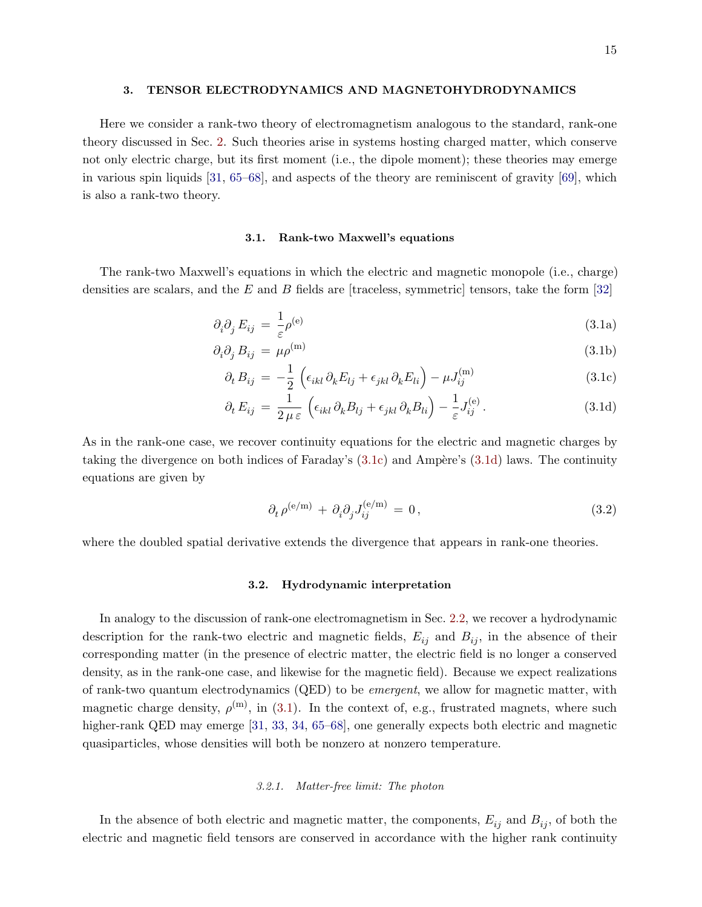#### <span id="page-14-0"></span>3. TENSOR ELECTRODYNAMICS AND MAGNETOHYDRODYNAMICS

Here we consider a rank-two theory of electromagnetism analogous to the standard, rank-one theory discussed in Sec. [2.](#page-4-0) Such theories arise in systems hosting charged matter, which conserve not only electric charge, but its first moment (i.e., the dipole moment); these theories may emerge in various spin liquids [\[31,](#page-39-5) [65](#page-40-18)[–68\]](#page-41-0), and aspects of the theory are reminiscent of gravity [\[69\]](#page-41-1), which is also a rank-two theory.

## <span id="page-14-8"></span><span id="page-14-7"></span><span id="page-14-6"></span><span id="page-14-1"></span>3.1. Rank-two Maxwell's equations

The rank-two Maxwell's equations in which the electric and magnetic monopole (i.e., charge) densities are scalars, and the E and B fields are [traceless, symmetric] tensors, take the form  $[32]$ 

$$
\partial_i \partial_j E_{ij} = \frac{1}{\varepsilon} \rho^{(e)} \tag{3.1a}
$$

$$
\partial_i \partial_j B_{ij} = \mu \rho^{(m)} \tag{3.1b}
$$

$$
\partial_t B_{ij} = -\frac{1}{2} \left( \epsilon_{ikl} \partial_k E_{lj} + \epsilon_{jkl} \partial_k E_{li} \right) - \mu J_{ij}^{(m)}
$$
(3.1c)

$$
\partial_t E_{ij} = \frac{1}{2 \mu \varepsilon} \left( \epsilon_{ikl} \partial_k B_{lj} + \epsilon_{jkl} \partial_k B_{li} \right) - \frac{1}{\varepsilon} J_{ij}^{(e)}.
$$
 (3.1d)

As in the rank-one case, we recover continuity equations for the electric and magnetic charges by taking the divergence on both indices of Faraday's  $(3.1c)$  and Ampère's  $(3.1d)$  laws. The continuity equations are given by

<span id="page-14-5"></span><span id="page-14-4"></span>
$$
\partial_t \rho^{(e/m)} + \partial_i \partial_j J_{ij}^{(e/m)} = 0, \qquad (3.2)
$$

where the doubled spatial derivative extends the divergence that appears in rank-one theories.

## <span id="page-14-2"></span>3.2. Hydrodynamic interpretation

In analogy to the discussion of rank-one electromagnetism in Sec. [2.2,](#page-5-0) we recover a hydrodynamic description for the rank-two electric and magnetic fields,  $E_{ij}$  and  $B_{ij}$ , in the absence of their corresponding matter (in the presence of electric matter, the electric field is no longer a conserved density, as in the rank-one case, and likewise for the magnetic field). Because we expect realizations of rank-two quantum electrodynamics (QED) to be emergent, we allow for magnetic matter, with magnetic charge density,  $\rho^{(m)}$ , in [\(3.1\)](#page-14-6). In the context of, e.g., frustrated magnets, where such higher-rank QED may emerge [\[31,](#page-39-5) [33,](#page-39-12) [34,](#page-39-6) [65–](#page-40-18)[68\]](#page-41-0), one generally expects both electric and magnetic quasiparticles, whose densities will both be nonzero at nonzero temperature.

#### <span id="page-14-3"></span>3.2.1. Matter-free limit: The photon

In the absence of both electric and magnetic matter, the components,  $E_{ij}$  and  $B_{ij}$ , of both the electric and magnetic field tensors are conserved in accordance with the higher rank continuity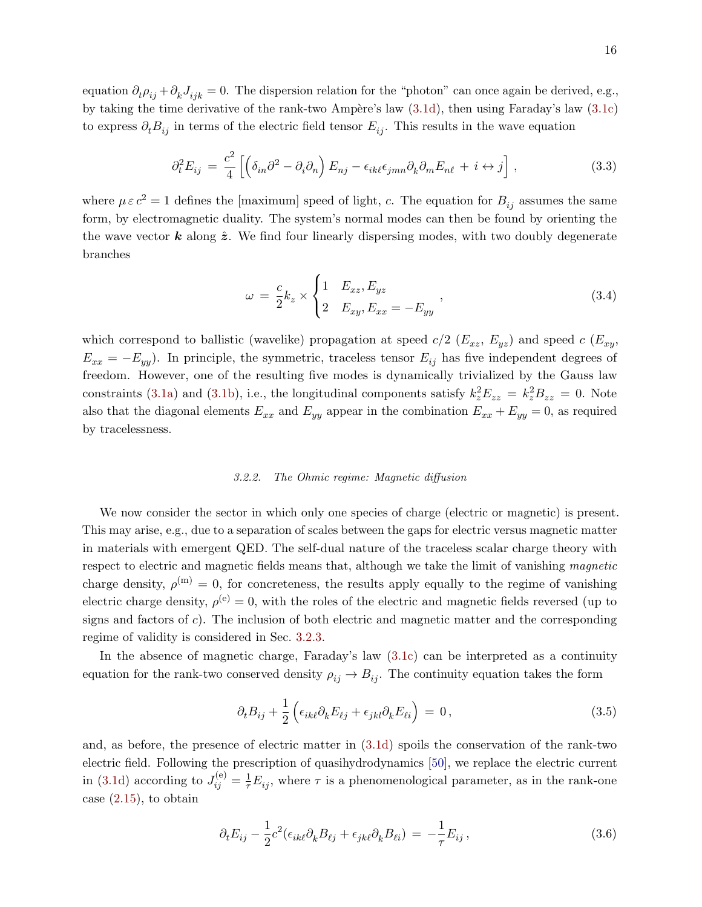equation  $\partial_t \rho_{ij} + \partial_k J_{ijk} = 0$ . The dispersion relation for the "photon" can once again be derived, e.g., by taking the time derivative of the rank-two Ampère's law  $(3.1d)$ , then using Faraday's law  $(3.1c)$ to express  $\partial_t B_{ij}$  in terms of the electric field tensor  $E_{ij}$ . This results in the wave equation

$$
\partial_t^2 E_{ij} = \frac{c^2}{4} \left[ \left( \delta_{in} \partial^2 - \partial_i \partial_n \right) E_{nj} - \epsilon_{ik\ell} \epsilon_{jmn} \partial_k \partial_m E_{n\ell} + i \leftrightarrow j \right], \tag{3.3}
$$

where  $\mu \varepsilon c^2 = 1$  defines the [maximum] speed of light, c. The equation for  $B_{ij}$  assumes the same form, by electromagnetic duality. The system's normal modes can then be found by orienting the the wave vector **k** along  $\hat{z}$ . We find four linearly dispersing modes, with two doubly degenerate branches

<span id="page-15-2"></span>
$$
\omega = \frac{c}{2}k_z \times \begin{cases} 1 & E_{xz}, E_{yz} \\ 2 & E_{xy}, E_{xx} = -E_{yy} \end{cases} \tag{3.4}
$$

which correspond to ballistic (wavelike) propagation at speed  $c/2$  ( $E_{xz}$ ,  $E_{yz}$ ) and speed  $c$  ( $E_{xy}$ ,  $E_{xx} = -E_{yy}$ ). In principle, the symmetric, traceless tensor  $E_{ij}$  has five independent degrees of freedom. However, one of the resulting five modes is dynamically trivialized by the Gauss law constraints [\(3.1a\)](#page-14-7) and [\(3.1b\)](#page-14-8), i.e., the longitudinal components satisfy  $k_z^2 E_{zz} = k_z^2 B_{zz} = 0$ . Note also that the diagonal elements  $E_{xx}$  and  $E_{yy}$  appear in the combination  $E_{xx} + E_{yy} = 0$ , as required by tracelessness.

#### <span id="page-15-0"></span>3.2.2. The Ohmic regime: Magnetic diffusion

We now consider the sector in which only one species of charge (electric or magnetic) is present. This may arise, e.g., due to a separation of scales between the gaps for electric versus magnetic matter in materials with emergent QED. The self-dual nature of the traceless scalar charge theory with respect to electric and magnetic fields means that, although we take the limit of vanishing magnetic charge density,  $\rho^{(m)} = 0$ , for concreteness, the results apply equally to the regime of vanishing electric charge density,  $\rho^{(e)} = 0$ , with the roles of the electric and magnetic fields reversed (up to signs and factors of  $c$ ). The inclusion of both electric and magnetic matter and the corresponding regime of validity is considered in Sec. [3.2.3.](#page-16-0)

In the absence of magnetic charge, Faraday's law [\(3.1c\)](#page-14-4) can be interpreted as a continuity equation for the rank-two conserved density  $\rho_{ij} \to B_{ij}$ . The continuity equation takes the form

<span id="page-15-1"></span>
$$
\partial_t B_{ij} + \frac{1}{2} \left( \epsilon_{ik\ell} \partial_k E_{\ell j} + \epsilon_{jkl} \partial_k E_{\ell i} \right) = 0, \qquad (3.5)
$$

and, as before, the presence of electric matter in [\(3.1d\)](#page-14-5) spoils the conservation of the rank-two electric field. Following the prescription of quasihydrodynamics [\[50\]](#page-40-15), we replace the electric current in [\(3.1d\)](#page-14-5) according to  $J_{ij}^{(e)} = \frac{1}{\tau} E_{ij}$ , where  $\tau$  is a phenomenological parameter, as in the rank-one case [\(2.15\)](#page-9-4), to obtain

$$
\partial_t E_{ij} - \frac{1}{2} c^2 (\epsilon_{ik\ell} \partial_k B_{\ell j} + \epsilon_{jk\ell} \partial_k B_{\ell i}) = -\frac{1}{\tau} E_{ij} , \qquad (3.6)
$$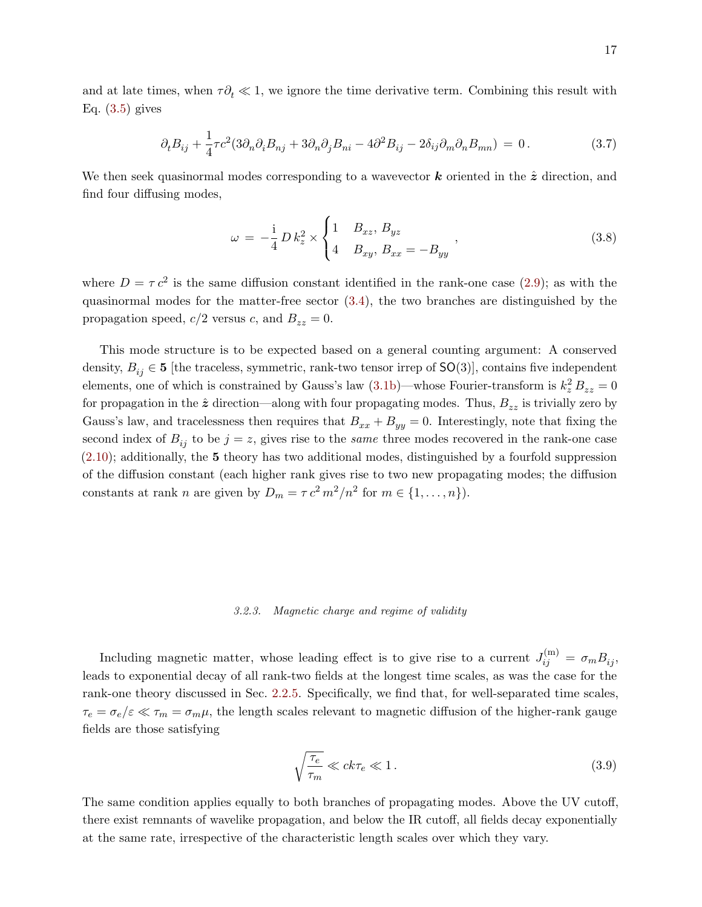and at late times, when  $\tau \partial_t \ll 1$ , we ignore the time derivative term. Combining this result with Eq.  $(3.5)$  gives

$$
\partial_t B_{ij} + \frac{1}{4} \tau c^2 (3 \partial_n \partial_i B_{nj} + 3 \partial_n \partial_j B_{ni} - 4 \partial^2 B_{ij} - 2 \delta_{ij} \partial_m \partial_n B_{mn}) = 0. \tag{3.7}
$$

We then seek quasinormal modes corresponding to a wavevector  $k$  oriented in the  $\hat{z}$  direction, and find four diffusing modes,

<span id="page-16-1"></span>
$$
\omega = -\frac{1}{4} D k_z^2 \times \begin{cases} 1 & B_{xz}, B_{yz} \\ 4 & B_{xy}, B_{xx} = -B_{yy} \end{cases},
$$
\n(3.8)

where  $D = \tau c^2$  is the same diffusion constant identified in the rank-one case [\(2.9\)](#page-8-2); as with the quasinormal modes for the matter-free sector [\(3.4\)](#page-15-2), the two branches are distinguished by the propagation speed,  $c/2$  versus c, and  $B_{zz} = 0$ .

This mode structure is to be expected based on a general counting argument: A conserved density,  $B_{ij} \in \mathbf{5}$  [the traceless, symmetric, rank-two tensor irrep of  $\mathsf{SO}(3)$ ], contains five independent elements, one of which is constrained by Gauss's law  $(3.1b)$ —whose Fourier-transform is  $k_z^2 B_{zz} = 0$ for propagation in the  $\hat{z}$  direction—along with four propagating modes. Thus,  $B_{zz}$  is trivially zero by Gauss's law, and tracelessness then requires that  $B_{xx} + B_{yy} = 0$ . Interestingly, note that fixing the second index of  $B_{ij}$  to be  $j = z$ , gives rise to the *same* three modes recovered in the rank-one case  $(2.10)$ ; additionally, the 5 theory has two additional modes, distinguished by a fourfold suppression of the diffusion constant (each higher rank gives rise to two new propagating modes; the diffusion constants at rank *n* are given by  $D_m = \tau c^2 m^2/n^2$  for  $m \in \{1, ..., n\}$ .

## <span id="page-16-0"></span>3.2.3. Magnetic charge and regime of validity

Including magnetic matter, whose leading effect is to give rise to a current  $J_{ij}^{(m)} = \sigma_m B_{ij}$ , leads to exponential decay of all rank-two fields at the longest time scales, as was the case for the rank-one theory discussed in Sec. [2.2.5.](#page-10-0) Specifically, we find that, for well-separated time scales,  $\tau_e = \sigma_e/\varepsilon \ll \tau_m = \sigma_m\mu$ , the length scales relevant to magnetic diffusion of the higher-rank gauge fields are those satisfying

$$
\sqrt{\frac{\tau_e}{\tau_m}} \ll ck\tau_e \ll 1. \tag{3.9}
$$

The same condition applies equally to both branches of propagating modes. Above the UV cutoff, there exist remnants of wavelike propagation, and below the IR cutoff, all fields decay exponentially at the same rate, irrespective of the characteristic length scales over which they vary.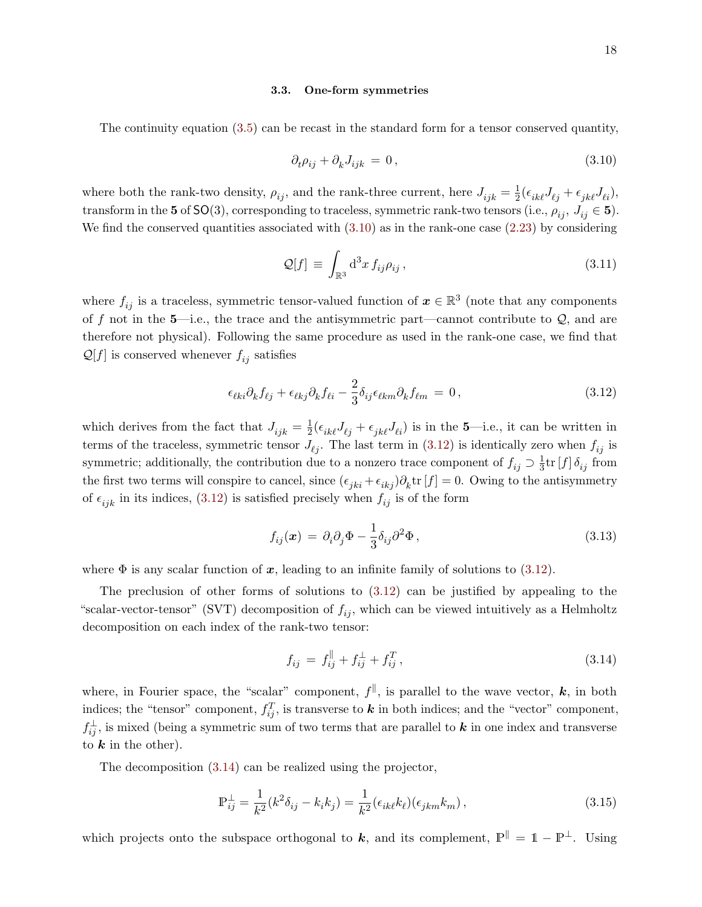#### <span id="page-17-0"></span>3.3. One-form symmetries

The continuity equation [\(3.5\)](#page-15-1) can be recast in the standard form for a tensor conserved quantity,

<span id="page-17-1"></span>
$$
\partial_t \rho_{ij} + \partial_k J_{ijk} = 0, \qquad (3.10)
$$

where both the rank-two density,  $\rho_{ij}$ , and the rank-three current, here  $J_{ijk} = \frac{1}{2}$  $\frac{1}{2}(\epsilon_{ik\ell}J_{\ell j}+\epsilon_{jk\ell}J_{\ell i}),$ transform in the 5 of SO(3), corresponding to traceless, symmetric rank-two tensors (i.e.,  $\rho_{ij}$ ,  $J_{ij} \in \mathbf{5}$ ). We find the conserved quantities associated with  $(3.10)$  as in the rank-one case  $(2.23)$  by considering

<span id="page-17-5"></span>
$$
\mathcal{Q}[f] \equiv \int_{\mathbb{R}^3} d^3x \, f_{ij} \rho_{ij} \,, \tag{3.11}
$$

where  $f_{ij}$  is a traceless, symmetric tensor-valued function of  $\boldsymbol{x} \in \mathbb{R}^3$  (note that any components of f not in the 5—i.e., the trace and the antisymmetric part—cannot contribute to  $\mathcal{Q}$ , and are therefore not physical). Following the same procedure as used in the rank-one case, we find that  $\mathcal{Q}[f]$  is conserved whenever  $f_{ij}$  satisfies

<span id="page-17-2"></span>
$$
\epsilon_{\ell ki} \partial_k f_{\ell j} + \epsilon_{\ell kj} \partial_k f_{\ell i} - \frac{2}{3} \delta_{ij} \epsilon_{\ell km} \partial_k f_{\ell m} = 0, \qquad (3.12)
$$

which derives from the fact that  $J_{ijk} = \frac{1}{2}$  $\frac{1}{2}(\epsilon_{ik\ell}J_{\ell j} + \epsilon_{jk\ell}J_{\ell i})$  is in the 5-i.e., it can be written in terms of the traceless, symmetric tensor  $J_{\ell j}$ . The last term in [\(3.12\)](#page-17-2) is identically zero when  $f_{ij}$  is symmetric; additionally, the contribution due to a nonzero trace component of  $f_{ij} \supset \frac{1}{3}$  $\frac{1}{3}$ tr  $[f] \, \delta_{ij}$  from the first two terms will conspire to cancel, since  $(\epsilon_{jki} + \epsilon_{ikj})\partial_k \text{tr}[f] = 0$ . Owing to the antisymmetry of  $\epsilon_{ijk}$  in its indices, [\(3.12\)](#page-17-2) is satisfied precisely when  $f_{ij}$  is of the form

<span id="page-17-4"></span>
$$
f_{ij}(\boldsymbol{x}) = \partial_i \partial_j \Phi - \frac{1}{3} \delta_{ij} \partial^2 \Phi, \qquad (3.13)
$$

where  $\Phi$  is any scalar function of x, leading to an infinite family of solutions to [\(3.12\)](#page-17-2).

The preclusion of other forms of solutions to [\(3.12\)](#page-17-2) can be justified by appealing to the "scalar-vector-tensor" (SVT) decomposition of  $f_{ij}$ , which can be viewed intuitively as a Helmholtz decomposition on each index of the rank-two tensor:

<span id="page-17-3"></span>
$$
f_{ij} = f_{ij}^{\parallel} + f_{ij}^{\perp} + f_{ij}^{T}, \qquad (3.14)
$$

where, in Fourier space, the "scalar" component,  $f^{\parallel}$ , is parallel to the wave vector,  $k$ , in both indices; the "tensor" component,  $f_{ij}^T$ , is transverse to k in both indices; and the "vector" component,  $f_{ij}^{\perp}$ , is mixed (being a symmetric sum of two terms that are parallel to  $k$  in one index and transverse to  $k$  in the other).

The decomposition [\(3.14\)](#page-17-3) can be realized using the projector,

$$
\mathbb{P}_{ij}^{\perp} = \frac{1}{k^2} (k^2 \delta_{ij} - k_i k_j) = \frac{1}{k^2} (\epsilon_{ik\ell} k_\ell)(\epsilon_{jkm} k_m), \qquad (3.15)
$$

which projects onto the subspace orthogonal to k, and its complement,  $\mathbb{P}^{\parallel} = \mathbb{1} - \mathbb{P}^{\perp}$ . Using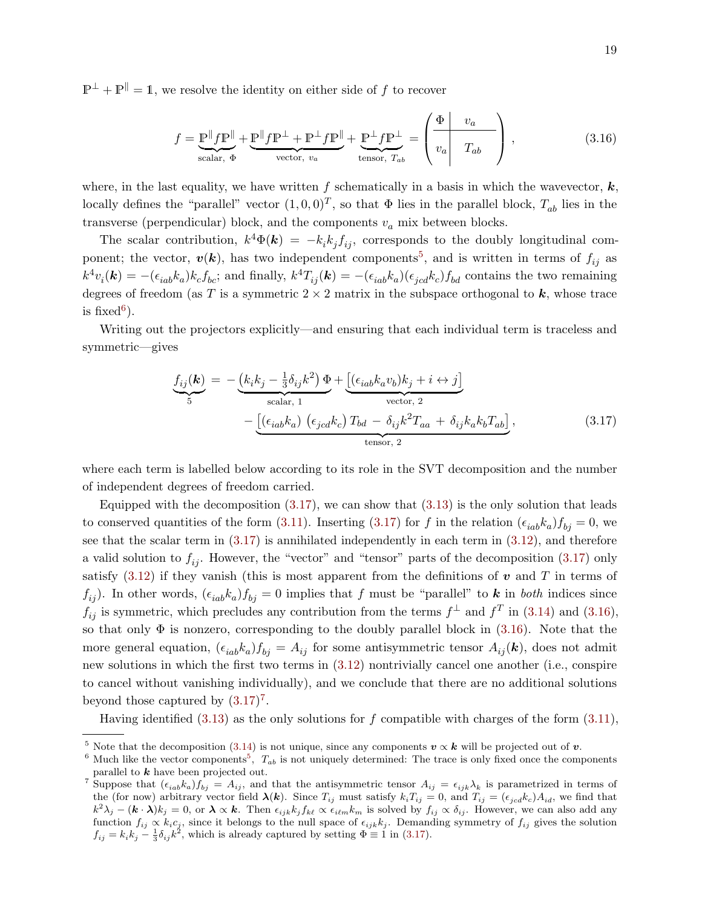$\mathbb{P}^{\perp} + \mathbb{P}^{\parallel} = 1$ , we resolve the identity on either side of f to recover

<span id="page-18-3"></span>
$$
f = \underbrace{\mathbb{P}^{\parallel} f \mathbb{P}^{\parallel}}_{\text{scalar, } \Phi} + \underbrace{\mathbb{P}^{\parallel} f \mathbb{P}^{\perp} + \mathbb{P}^{\perp} f \mathbb{P}^{\parallel}}_{\text{vector, } v_a} + \underbrace{\mathbb{P}^{\perp} f \mathbb{P}^{\perp}}_{\text{tensor, } T_{ab}} = \left( \begin{array}{c|c} \Phi & v_a \\ v_a & T_{ab} \end{array} \right), \tag{3.16}
$$

where, in the last equality, we have written f schematically in a basis in which the wavevector,  $k$ , locally defines the "parallel" vector  $(1,0,0)^T$ , so that  $\Phi$  lies in the parallel block,  $T_{ab}$  lies in the transverse (perpendicular) block, and the components  $v_a$  mix between blocks.

The scalar contribution,  $k^4 \Phi(\mathbf{k}) = -k_i k_j f_{ij}$ , corresponds to the doubly longitudinal component; the vector,  $v(k)$ , has two independent components<sup>[5](#page-18-0)</sup>, and is written in terms of  $f_{ij}$  as  $k^4v_i(\mathbf{k}) = -(\epsilon_{iab}k_a)k_cf_{bc}$ ; and finally,  $k^4T_{ij}(\mathbf{k}) = -(\epsilon_{iab}k_a)(\epsilon_{jcd}k_c)f_{bd}$  contains the two remaining degrees of freedom (as T is a symmetric  $2 \times 2$  matrix in the subspace orthogonal to k, whose trace is fixed<sup>[6](#page-18-1)</sup>).

Writing out the projectors explicitly—and ensuring that each individual term is traceless and symmetric—gives

<span id="page-18-2"></span>
$$
\underbrace{f_{ij}(\mathbf{k})}_{5} = -\underbrace{\left(k_i k_j - \frac{1}{3} \delta_{ij} k^2\right) \Phi}_{\text{scalar, 1}} + \underbrace{\left[\left(\epsilon_{iab} k_a v_b\right) k_j + i \leftrightarrow j\right]}_{\text{vector, 2}} - \underbrace{\left[\left(\epsilon_{iab} k_a\right) \left(\epsilon_{jcd} k_c\right) T_{bd} - \delta_{ij} k^2 T_{aa} + \delta_{ij} k_a k_b T_{ab}\right]}_{\text{tensor, 2}},
$$
\n(3.17)

where each term is labelled below according to its role in the SVT decomposition and the number of independent degrees of freedom carried.

Equipped with the decomposition  $(3.17)$ , we can show that  $(3.13)$  is the only solution that leads to conserved quantities of the form [\(3.11\)](#page-17-5). Inserting [\(3.17\)](#page-18-2) for f in the relation  $(\epsilon_{iab}k_a) f_{bj} = 0$ , we see that the scalar term in [\(3.17\)](#page-18-2) is annihilated independently in each term in [\(3.12\)](#page-17-2), and therefore a valid solution to  $f_{ii}$ . However, the "vector" and "tensor" parts of the decomposition [\(3.17\)](#page-18-2) only satisfy  $(3.12)$  if they vanish (this is most apparent from the definitions of v and T in terms of  $f_{ij}$ ). In other words,  $(\epsilon_{iab} k_a) f_{bj} = 0$  implies that f must be "parallel" to k in both indices since  $f_{ij}$  is symmetric, which precludes any contribution from the terms  $f^{\perp}$  and  $f^{T}$  in [\(3.14\)](#page-17-3) and [\(3.16\)](#page-18-3), so that only  $\Phi$  is nonzero, corresponding to the doubly parallel block in  $(3.16)$ . Note that the more general equation,  $(\epsilon_{iab}k_a) f_{bj} = A_{ij}$  for some antisymmetric tensor  $A_{ij}(\mathbf{k})$ , does not admit new solutions in which the first two terms in [\(3.12\)](#page-17-2) nontrivially cancel one another (i.e., conspire to cancel without vanishing individually), and we conclude that there are no additional solutions beyond those captured by  $(3.17)^7$  $(3.17)^7$  $(3.17)^7$ .

Having identified  $(3.13)$  as the only solutions for f compatible with charges of the form  $(3.11)$ ,

<span id="page-18-0"></span><sup>&</sup>lt;sup>5</sup> Note that the decomposition [\(3.14\)](#page-17-3) is not unique, since any components  $v \propto k$  will be projected out of v.

<span id="page-18-1"></span><sup>&</sup>lt;sup>6</sup> Much like the vector components<sup>[5](#page-18-0)</sup>,  $T_{ab}$  is not uniquely determined: The trace is only fixed once the components parallel to  $k$  have been projected out.

<span id="page-18-4"></span><sup>&</sup>lt;sup>7</sup> Suppose that  $(\epsilon_{iab}k_a)f_{bj} = A_{ij}$ , and that the antisymmetric tensor  $A_{ij} = \epsilon_{ijk}\lambda_k$  is parametrized in terms of the (for now) arbitrary vector field  $\lambda(k)$ . Since  $T_{ij}$  must satisfy  $k_iT_{ij} = 0$ , and  $T_{ij} = (\epsilon_{jcd}k_c)A_{id}$ , we find that  $k^2\lambda_j - (\mathbf{k} \cdot \mathbf{\lambda})k_j = 0$ , or  $\mathbf{\lambda} \propto \mathbf{k}$ . Then  $\epsilon_{ijk}k_j f_{k\ell} \propto \epsilon_{i\ell m} k_m$  is solved by  $f_{ij} \propto \delta_{ij}$ . However, we can also add any function  $f_{ij} \propto k_i c_j$ , since it belongs to the null space of  $\epsilon_{ijk} k_j$ . Demanding symmetry of  $f_{ij}$  gives the solution  $f_{ij} = k_i k_j - \frac{1}{3} \delta_{ij} k^2$ , which is already captured by setting  $\Phi \equiv 1$  in [\(3.17\)](#page-18-2).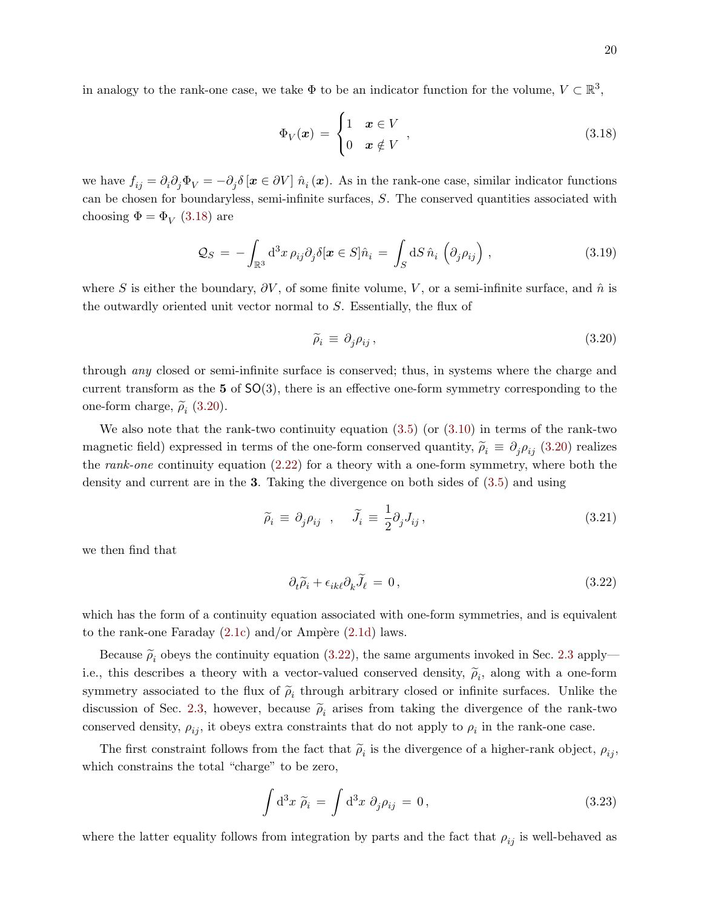in analogy to the rank-one case, we take  $\Phi$  to be an indicator function for the volume,  $V \subset \mathbb{R}^3$ ,

<span id="page-19-0"></span>
$$
\Phi_V(\boldsymbol{x}) = \begin{cases} 1 & \boldsymbol{x} \in V \\ 0 & \boldsymbol{x} \notin V \end{cases},\tag{3.18}
$$

we have  $f_{ij} = \partial_i \partial_j \Phi_V = -\partial_j \delta [\boldsymbol{x} \in \partial V] \hat{n}_i (\boldsymbol{x})$ . As in the rank-one case, similar indicator functions can be chosen for boundaryless, semi-infinite surfaces, S. The conserved quantities associated with choosing  $\Phi = \Phi_V$  [\(3.18\)](#page-19-0) are

$$
\mathcal{Q}_S = -\int_{\mathbb{R}^3} d^3x \,\rho_{ij}\partial_j \delta[\boldsymbol{x} \in S] \hat{n}_i = \int_S dS \,\hat{n}_i \left( \partial_j \rho_{ij} \right), \tag{3.19}
$$

where S is either the boundary,  $\partial V$ , of some finite volume, V, or a semi-infinite surface, and  $\hat{n}$  is the outwardly oriented unit vector normal to S. Essentially, the flux of

<span id="page-19-1"></span>
$$
\widetilde{\rho}_i \equiv \partial_j \rho_{ij},\tag{3.20}
$$

through any closed or semi-infinite surface is conserved; thus, in systems where the charge and current transform as the  $5 \text{ of } SO(3)$ , there is an effective one-form symmetry corresponding to the one-form charge,  $\tilde{\rho}_i$  [\(3.20\)](#page-19-1).

We also note that the rank-two continuity equation  $(3.5)$  (or  $(3.10)$ ) in terms of the rank-two magnetic field) expressed in terms of the one-form conserved quantity,  $\tilde{\rho}_i \equiv \partial_j \rho_{ij}$  [\(3.20\)](#page-19-1) realizes the *rank-one* continuity equation  $(2.22)$  for a theory with a one-form symmetry, where both the density and current are in the 3. Taking the divergence on both sides of [\(3.5\)](#page-15-1) and using

$$
\widetilde{\rho}_i \equiv \partial_j \rho_{ij} \quad , \quad \widetilde{J}_i \equiv \frac{1}{2} \partial_j J_{ij} \,, \tag{3.21}
$$

we then find that

<span id="page-19-2"></span>
$$
\partial_t \widetilde{\rho}_i + \epsilon_{ik\ell} \partial_k \widetilde{J}_\ell = 0, \qquad (3.22)
$$

which has the form of a continuity equation associated with one-form symmetries, and is equivalent to the rank-one Faraday  $(2.1c)$  and/or Ampère  $(2.1d)$  laws.

Because  $\tilde{\rho}_i$  obeys the continuity equation [\(3.22\)](#page-19-2), the same arguments invoked in Sec. [2.3](#page-11-0) apply i.e., this describes a theory with a vector-valued conserved density,  $\tilde{\rho}_i$ , along with a one-form symmetry associated to the flux of  $\tilde{\rho}_i$  through arbitrary closed or infinite surfaces. Unlike the discussion of Sec. [2.3,](#page-11-0) however, because  $\tilde{\rho}_i$  arises from taking the divergence of the rank-two conserved density,  $\rho_{ij}$ , it obeys extra constraints that do not apply to  $\rho_i$  in the rank-one case.

The first constraint follows from the fact that  $\tilde{\rho}_i$  is the divergence of a higher-rank object,  $\rho_{ij}$ , which constrains the total "charge" to be zero,

<span id="page-19-3"></span>
$$
\int d^3x \; \tilde{\rho}_i = \int d^3x \; \partial_j \rho_{ij} = 0, \tag{3.23}
$$

where the latter equality follows from integration by parts and the fact that  $\rho_{ij}$  is well-behaved as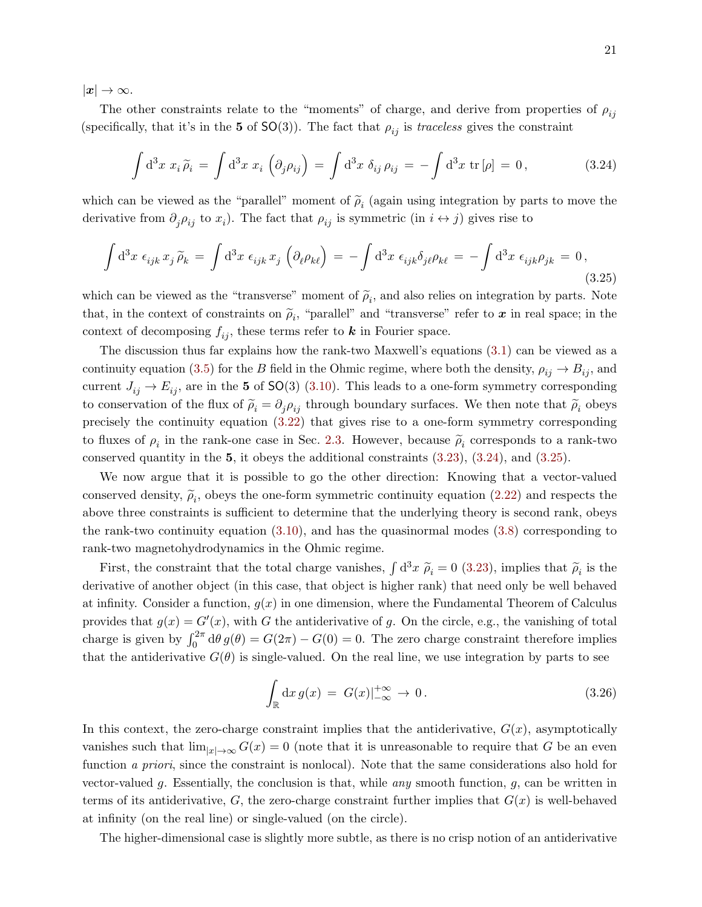$|x| \to \infty$ .

The other constraints relate to the "moments" of charge, and derive from properties of  $\rho_{ij}$ (specifically, that it's in the 5 of  $SO(3)$ ). The fact that  $\rho_{ij}$  is traceless gives the constraint

<span id="page-20-0"></span>
$$
\int d^3x \; x_i \tilde{\rho}_i = \int d^3x \; x_i \left( \partial_j \rho_{ij} \right) = \int d^3x \; \delta_{ij} \, \rho_{ij} = -\int d^3x \; \text{tr} \left[ \rho \right] = 0, \tag{3.24}
$$

which can be viewed as the "parallel" moment of  $\tilde{\rho}_i$  (again using integration by parts to move the derivative from  $\partial_j \rho_{ij}$  to  $x_i$ ). The fact that  $\rho_{ij}$  is symmetric (in  $i \leftrightarrow j$ ) gives rise to

<span id="page-20-1"></span>
$$
\int d^3x \ \epsilon_{ijk} x_j \widetilde{\rho}_k = \int d^3x \ \epsilon_{ijk} x_j \left( \partial_\ell \rho_{k\ell} \right) = - \int d^3x \ \epsilon_{ijk} \delta_{j\ell} \rho_{k\ell} = - \int d^3x \ \epsilon_{ijk} \rho_{jk} = 0,
$$
\n(3.25)

which can be viewed as the "transverse" moment of  $\tilde{\rho}_i$ , and also relies on integration by parts. Note that, in the context of constraints on  $\tilde{\rho}_i$ , "parallel" and "transverse" refer to  $\boldsymbol{x}$  in real space; in the context of decomposing  $f_{ij}$ , these terms refer to **k** in Fourier space.

The discussion thus far explains how the rank-two Maxwell's equations [\(3.1\)](#page-14-6) can be viewed as a continuity equation [\(3.5\)](#page-15-1) for the B field in the Ohmic regime, where both the density,  $\rho_{ij} \to B_{ij}$ , and current  $J_{ij} \rightarrow E_{ij}$ , are in the 5 of SO(3) [\(3.10\)](#page-17-1). This leads to a one-form symmetry corresponding to conservation of the flux of  $\tilde{\rho}_i = \partial_j \rho_{ij}$  through boundary surfaces. We then note that  $\tilde{\rho}_i$  obeys precisely the continuity equation [\(3.22\)](#page-19-2) that gives rise to a one-form symmetry corresponding to fluxes of  $\rho_i$  in the rank-one case in Sec. [2.3.](#page-11-0) However, because  $\tilde{\rho}_i$  corresponds to a rank-two conserved quantity in the 5, it obeys the additional constraints [\(3.23\)](#page-19-3), [\(3.24\)](#page-20-0), and [\(3.25\)](#page-20-1).

We now argue that it is possible to go the other direction: Knowing that a vector-valued conserved density,  $\tilde{\rho}_i$ , obeys the one-form symmetric continuity equation [\(2.22\)](#page-11-1) and respects the above three constraints is sufficient to determine that the underlying theory is second rank, obeys the rank-two continuity equation [\(3.10\)](#page-17-1), and has the quasinormal modes [\(3.8\)](#page-16-1) corresponding to rank-two magnetohydrodynamics in the Ohmic regime.

First, the constraint that the total charge vanishes,  $\int d^3x \ \tilde{\rho}_i = 0$  [\(3.23\)](#page-19-3), implies that  $\tilde{\rho}_i$  is the derivative of another object (in this case, that object is higher rank) that need only be well behaved at infinity. Consider a function,  $g(x)$  in one dimension, where the Fundamental Theorem of Calculus provides that  $g(x) = G'(x)$ , with G the antiderivative of g. On the circle, e.g., the vanishing of total charge is given by  $\int_0^{2\pi} d\theta g(\theta) = G(2\pi) - G(0) = 0$ . The zero charge constraint therefore implies that the antiderivative  $G(\theta)$  is single-valued. On the real line, we use integration by parts to see

$$
\int_{\mathbb{R}} dx g(x) = G(x)|_{-\infty}^{+\infty} \to 0.
$$
\n(3.26)

In this context, the zero-charge constraint implies that the antiderivative,  $G(x)$ , asymptotically vanishes such that  $\lim_{|x|\to\infty} G(x) = 0$  (note that it is unreasonable to require that G be an even function a priori, since the constraint is nonlocal). Note that the same considerations also hold for vector-valued g. Essentially, the conclusion is that, while any smooth function,  $g$ , can be written in terms of its antiderivative, G, the zero-charge constraint further implies that  $G(x)$  is well-behaved at infinity (on the real line) or single-valued (on the circle).

The higher-dimensional case is slightly more subtle, as there is no crisp notion of an antiderivative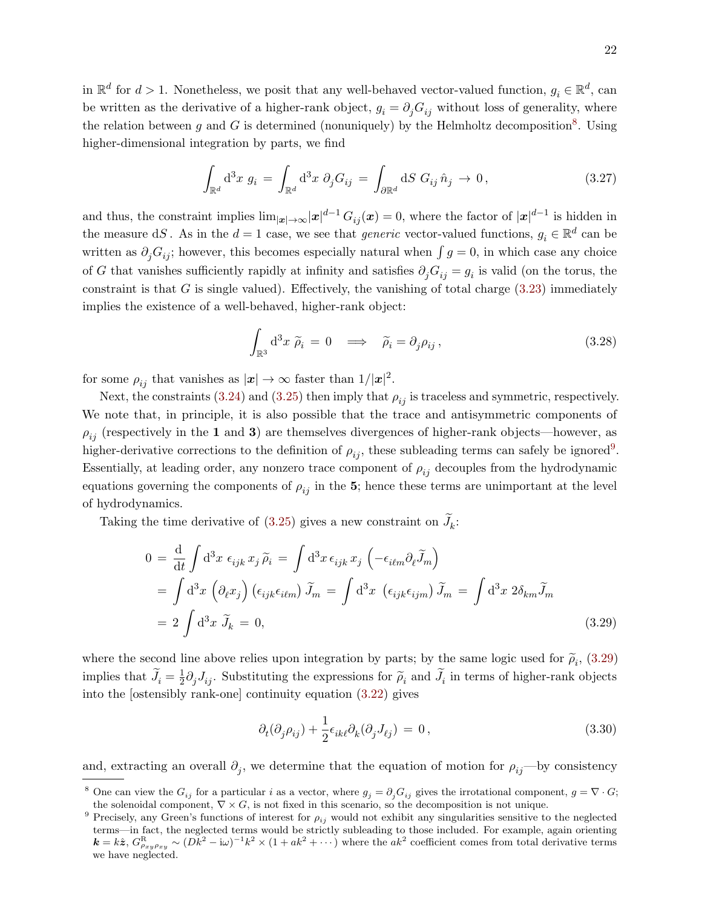in  $\mathbb{R}^d$  for  $d > 1$ . Nonetheless, we posit that any well-behaved vector-valued function,  $g_i \in \mathbb{R}^d$ , can be written as the derivative of a higher-rank object,  $g_i = \partial_j G_{ij}$  without loss of generality, where the relation between g and G is determined (nonuniquely) by the Helmholtz decomposition<sup>[8](#page-21-0)</sup>. Using higher-dimensional integration by parts, we find

$$
\int_{\mathbb{R}^d} d^3x \ g_i = \int_{\mathbb{R}^d} d^3x \ \partial_j G_{ij} = \int_{\partial \mathbb{R}^d} dS \ G_{ij} \ \hat{n}_j \to 0,
$$
\n(3.27)

and thus, the constraint implies  $\lim_{|\bm{x}| \to \infty} |\bm{x}|^{d-1} G_{ij}(\bm{x}) = 0$ , where the factor of  $|\bm{x}|^{d-1}$  is hidden in the measure dS. As in the  $d=1$  case, we see that *generic* vector-valued functions,  $g_i \in \mathbb{R}^d$  can be written as  $\partial_j G_{ij}$ ; however, this becomes especially natural when  $\int g = 0$ , in which case any choice of G that vanishes sufficiently rapidly at infinity and satisfies  $\partial_j G_{ij} = g_i$  is valid (on the torus, the constraint is that  $G$  is single valued). Effectively, the vanishing of total charge  $(3.23)$  immediately implies the existence of a well-behaved, higher-rank object:

$$
\int_{\mathbb{R}^3} d^3x \; \widetilde{\rho}_i = 0 \quad \Longrightarrow \quad \widetilde{\rho}_i = \partial_j \rho_{ij} \,, \tag{3.28}
$$

for some  $\rho_{ij}$  that vanishes as  $|\mathbf{x}| \to \infty$  faster than  $1/|\mathbf{x}|^2$ .

Next, the constraints [\(3.24\)](#page-20-0) and [\(3.25\)](#page-20-1) then imply that  $\rho_{ij}$  is traceless and symmetric, respectively. We note that, in principle, it is also possible that the trace and antisymmetric components of  $\rho_{ij}$  (respectively in the 1 and 3) are themselves divergences of higher-rank objects—however, as higher-derivative corrections to the definition of  $\rho_{ij}$ , these subleading terms can safely be ignored<sup>[9](#page-21-1)</sup>. Essentially, at leading order, any nonzero trace component of  $\rho_{ij}$  decouples from the hydrodynamic equations governing the components of  $\rho_{ij}$  in the 5; hence these terms are unimportant at the level of hydrodynamics.

Taking the time derivative of  $(3.25)$  gives a new constraint on  $J_k$ :

$$
0 = \frac{d}{dt} \int d^3x \epsilon_{ijk} x_j \tilde{\rho}_i = \int d^3x \epsilon_{ijk} x_j \left( -\epsilon_{ilm} \partial_\ell \tilde{J}_m \right)
$$
  
= 
$$
\int d^3x \left( \partial_\ell x_j \right) \left( \epsilon_{ijk} \epsilon_{ilm} \right) \tilde{J}_m = \int d^3x \left( \epsilon_{ijk} \epsilon_{ijm} \right) \tilde{J}_m = \int d^3x 2 \delta_{km} \tilde{J}_m
$$
  
= 
$$
2 \int d^3x \tilde{J}_k = 0,
$$
 (3.29)

where the second line above relies upon integration by parts; by the same logic used for  $\tilde{\rho}_i$ , [\(3.29\)](#page-21-2) implies that  $\widetilde{J}_i = \frac{1}{2}$  $\frac{1}{2}\partial_j J_{ij}$ . Substituting the expressions for  $\tilde{\rho}_i$  and  $J_i$  in terms of higher-rank objects into the [ostensibly rank-one] continuity equation [\(3.22\)](#page-19-2) gives

<span id="page-21-2"></span>
$$
\partial_t(\partial_j \rho_{ij}) + \frac{1}{2} \epsilon_{ik\ell} \partial_k(\partial_j J_{\ell j}) = 0, \qquad (3.30)
$$

and, extracting an overall  $\partial_j$ , we determine that the equation of motion for  $\rho_{ij}$ —by consistency

<span id="page-21-0"></span><sup>&</sup>lt;sup>8</sup> One can view the  $G_{ij}$  for a particular i as a vector, where  $g_j = \partial_j G_{ij}$  gives the irrotational component,  $g = \nabla \cdot G$ ; the solenoidal component,  $\nabla \times G$ , is not fixed in this scenario, so the decomposition is not unique.

<span id="page-21-1"></span><sup>&</sup>lt;sup>9</sup> Precisely, any Green's functions of interest for  $\rho_{ij}$  would not exhibit any singularities sensitive to the neglected terms—in fact, the neglected terms would be strictly subleading to those included. For example, again orienting  $\mathbf{k} = k\hat{\boldsymbol{z}}, \ G_{\rho_{xy}\rho_{xy}}^{\rm R} \sim (Dk^2 - i\omega)^{-1}k^2 \times (1 + ak^2 + \cdots)$  where the  $ak^2$  coefficient comes from total derivative terms we have neglected.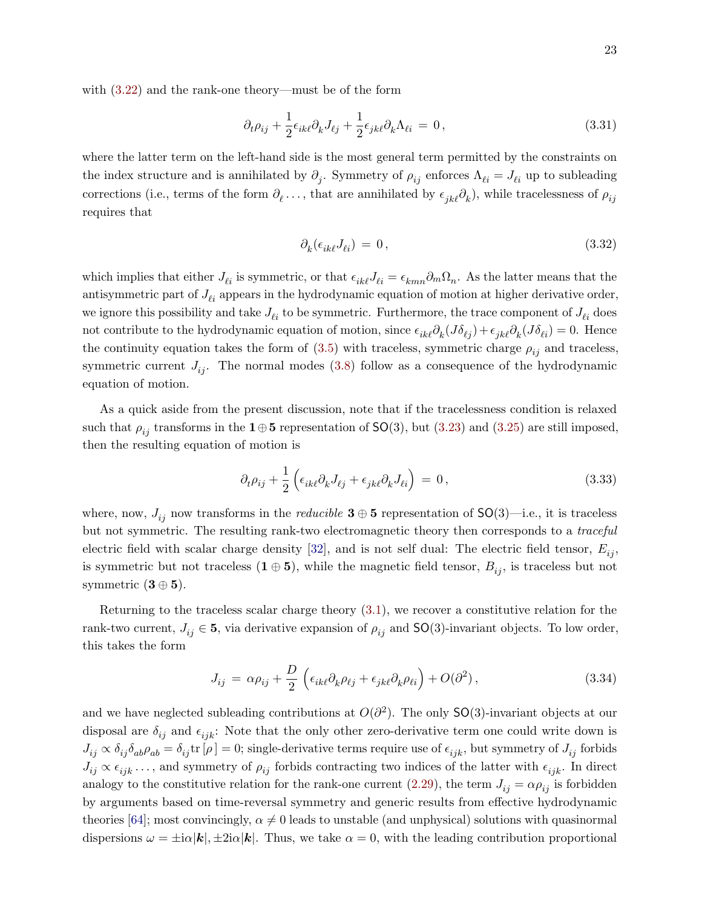with [\(3.22\)](#page-19-2) and the rank-one theory—must be of the form

$$
\partial_t \rho_{ij} + \frac{1}{2} \epsilon_{ik\ell} \partial_k J_{\ell j} + \frac{1}{2} \epsilon_{jk\ell} \partial_k \Lambda_{\ell i} = 0, \qquad (3.31)
$$

where the latter term on the left-hand side is the most general term permitted by the constraints on the index structure and is annihilated by  $\partial_j$ . Symmetry of  $\rho_{ij}$  enforces  $\Lambda_{\ell i} = J_{\ell i}$  up to subleading corrections (i.e., terms of the form  $\partial_\ell \ldots$ , that are annihilated by  $\epsilon_{jk\ell}\partial_k$ ), while tracelessness of  $\rho_{ij}$ requires that

<span id="page-22-0"></span>
$$
\partial_k(\epsilon_{ik\ell}J_{\ell i}) = 0, \qquad (3.32)
$$

which implies that either  $J_{\ell i}$  is symmetric, or that  $\epsilon_{ik\ell}J_{\ell i} = \epsilon_{kmn}\partial_m\Omega_n$ . As the latter means that the antisymmetric part of  $J_{\ell i}$  appears in the hydrodynamic equation of motion at higher derivative order, we ignore this possibility and take  $J_{\ell i}$  to be symmetric. Furthermore, the trace component of  $J_{\ell i}$  does not contribute to the hydrodynamic equation of motion, since  $\epsilon_{ik\ell}\partial_k(J\delta_{\ell j}) + \epsilon_{jk\ell}\partial_k(J\delta_{\ell i}) = 0$ . Hence the continuity equation takes the form of  $(3.5)$  with traceless, symmetric charge  $\rho_{ij}$  and traceless, symmetric current  $J_{ij}$ . The normal modes [\(3.8\)](#page-16-1) follow as a consequence of the hydrodynamic equation of motion.

As a quick aside from the present discussion, note that if the tracelessness condition is relaxed such that  $\rho_{ij}$  transforms in the 1⊕5 representation of SO(3), but [\(3.23\)](#page-19-3) and [\(3.25\)](#page-20-1) are still imposed, then the resulting equation of motion is

$$
\partial_t \rho_{ij} + \frac{1}{2} \left( \epsilon_{ik\ell} \partial_k J_{\ell j} + \epsilon_{jk\ell} \partial_k J_{\ell i} \right) = 0, \qquad (3.33)
$$

where, now,  $J_{ij}$  now transforms in the *reducible*  $\mathbf{3} \oplus \mathbf{5}$  representation of  $\mathsf{SO}(3)$ —i.e., it is traceless but not symmetric. The resulting rank-two electromagnetic theory then corresponds to a *traceful* electric field with scalar charge density [\[32\]](#page-39-11), and is not self dual: The electric field tensor,  $E_{ij}$ , is symmetric but not traceless  $(1 \oplus 5)$ , while the magnetic field tensor,  $B_{ij}$ , is traceless but not symmetric  $(3 \oplus 5)$ .

Returning to the traceless scalar charge theory [\(3.1\)](#page-14-6), we recover a constitutive relation for the rank-two current,  $J_{ij} \in \mathbf{5}$ , via derivative expansion of  $\rho_{ij}$  and  $\mathsf{SO}(3)$ -invariant objects. To low order, this takes the form

$$
J_{ij} = \alpha \rho_{ij} + \frac{D}{2} \left( \epsilon_{ik\ell} \partial_k \rho_{\ell j} + \epsilon_{jk\ell} \partial_k \rho_{\ell i} \right) + O(\partial^2), \qquad (3.34)
$$

and we have neglected subleading contributions at  $O(\partial^2)$ . The only SO(3)-invariant objects at our disposal are  $\delta_{ij}$  and  $\epsilon_{ijk}$ : Note that the only other zero-derivative term one could write down is  $J_{ij} \propto \delta_{ij} \delta_{ab} \rho_{ab} = \delta_{ij} \text{tr}[\rho] = 0$ ; single-derivative terms require use of  $\epsilon_{ijk}$ , but symmetry of  $J_{ij}$  forbids  $J_{ij} \propto \epsilon_{ijk} \ldots$ , and symmetry of  $\rho_{ij}$  forbids contracting two indices of the latter with  $\epsilon_{ijk}$ . In direct analogy to the constitutive relation for the rank-one current [\(2.29\)](#page-13-1), the term  $J_{ij} = \alpha \rho_{ij}$  is forbidden by arguments based on time-reversal symmetry and generic results from effective hydrodynamic theories [\[64\]](#page-40-17); most convincingly,  $\alpha \neq 0$  leads to unstable (and unphysical) solutions with quasinormal dispersions  $\omega = \pm i\alpha |k|$ ,  $\pm 2i\alpha |k|$ . Thus, we take  $\alpha = 0$ , with the leading contribution proportional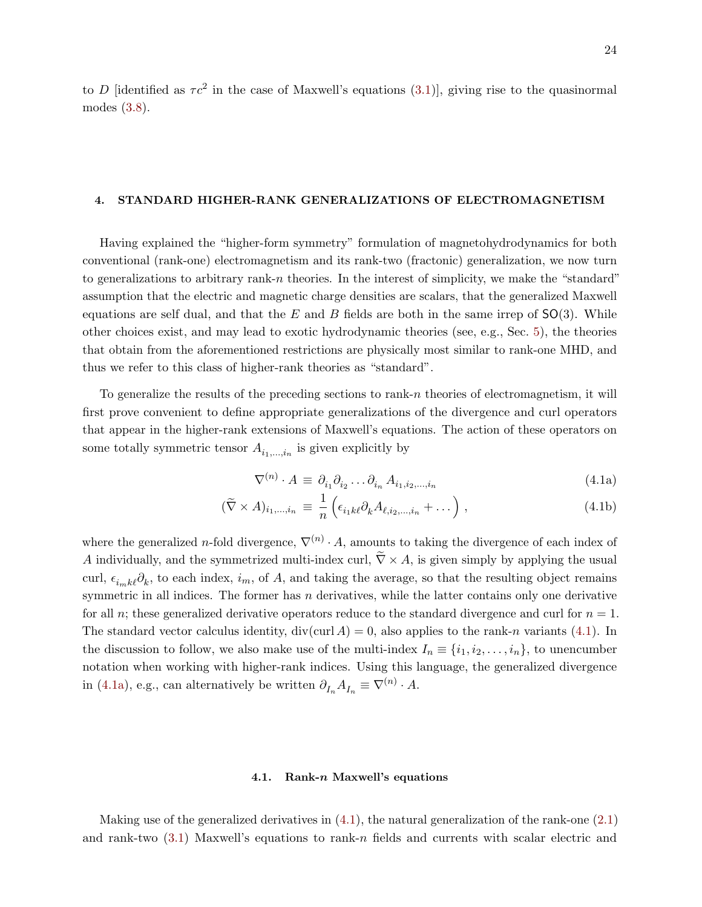to D [identified as  $\tau c^2$  in the case of Maxwell's equations [\(3.1\)](#page-14-6)], giving rise to the quasinormal modes [\(3.8\)](#page-16-1).

## <span id="page-23-0"></span>4. STANDARD HIGHER-RANK GENERALIZATIONS OF ELECTROMAGNETISM

Having explained the "higher-form symmetry" formulation of magnetohydrodynamics for both conventional (rank-one) electromagnetism and its rank-two (fractonic) generalization, we now turn to generalizations to arbitrary rank-n theories. In the interest of simplicity, we make the "standard" assumption that the electric and magnetic charge densities are scalars, that the generalized Maxwell equations are self dual, and that the E and B fields are both in the same irrep of  $SO(3)$ . While other choices exist, and may lead to exotic hydrodynamic theories (see, e.g., Sec. [5\)](#page-28-0), the theories that obtain from the aforementioned restrictions are physically most similar to rank-one MHD, and thus we refer to this class of higher-rank theories as "standard".

To generalize the results of the preceding sections to rank- $n$  theories of electromagnetism, it will first prove convenient to define appropriate generalizations of the divergence and curl operators that appear in the higher-rank extensions of Maxwell's equations. The action of these operators on some totally symmetric tensor  $A_{i_1,\dots,i_n}$  is given explicitly by

<span id="page-23-3"></span><span id="page-23-2"></span>
$$
\nabla^{(n)} \cdot A \equiv \partial_{i_1} \partial_{i_2} \dots \partial_{i_n} A_{i_1, i_2, \dots, i_n}
$$
\n(4.1a)

$$
(\widetilde{\nabla} \times A)_{i_1,\dots,i_n} \equiv \frac{1}{n} \left( \epsilon_{i_1 k \ell} \partial_k A_{\ell, i_2,\dots,i_n} + \dots \right), \qquad (4.1b)
$$

where the generalized *n*-fold divergence,  $\nabla^{(n)} \cdot A$ , amounts to taking the divergence of each index of A individually, and the symmetrized multi-index curl,  $\tilde{\nabla} \times A$ , is given simply by applying the usual curl,  $\epsilon_{i_m k\ell}\partial_k$ , to each index,  $i_m$ , of A, and taking the average, so that the resulting object remains symmetric in all indices. The former has  $n$  derivatives, while the latter contains only one derivative for all n; these generalized derivative operators reduce to the standard divergence and curl for  $n = 1$ . The standard vector calculus identity,  $div(curl A) = 0$ , also applies to the rank-n variants [\(4.1\)](#page-23-2). In the discussion to follow, we also make use of the multi-index  $I_n \equiv \{i_1, i_2, \ldots, i_n\}$ , to unencumber notation when working with higher-rank indices. Using this language, the generalized divergence in [\(4.1a\)](#page-23-3), e.g., can alternatively be written  $\partial_{I_n} A_{I_n} \equiv \nabla^{(n)} \cdot A$ .

#### <span id="page-23-1"></span>4.1. Rank-n Maxwell's equations

Making use of the generalized derivatives in [\(4.1\)](#page-23-2), the natural generalization of the rank-one [\(2.1\)](#page-5-1) and rank-two  $(3.1)$  Maxwell's equations to rank-n fields and currents with scalar electric and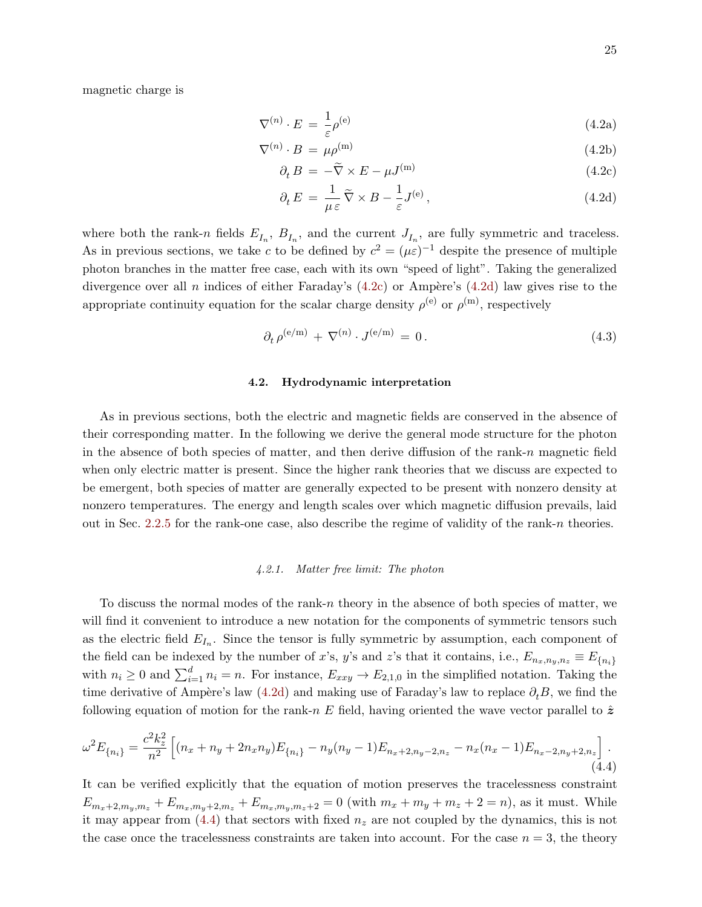magnetic charge is

<span id="page-24-5"></span>
$$
\nabla^{(n)} \cdot E = \frac{1}{\varepsilon} \rho^{(e)} \tag{4.2a}
$$

$$
\nabla^{(n)} \cdot B = \mu \rho^{(m)} \tag{4.2b}
$$

<span id="page-24-2"></span>
$$
\partial_t B = -\tilde{\nabla} \times E - \mu J^{(m)} \tag{4.2c}
$$

<span id="page-24-3"></span>
$$
\partial_t E = \frac{1}{\mu \varepsilon} \tilde{\nabla} \times B - \frac{1}{\varepsilon} J^{(e)}, \qquad (4.2d)
$$

where both the rank-n fields  $E_{I_n}$ ,  $B_{I_n}$ , and the current  $J_{I_n}$ , are fully symmetric and traceless. As in previous sections, we take c to be defined by  $c^2 = (\mu \varepsilon)^{-1}$  despite the presence of multiple photon branches in the matter free case, each with its own "speed of light". Taking the generalized divergence over all n indices of either Faraday's  $(4.2c)$  or Ampère's  $(4.2d)$  law gives rise to the appropriate continuity equation for the scalar charge density  $\rho^{(e)}$  or  $\rho^{(m)}$ , respectively

$$
\partial_t \rho^{(e/m)} + \nabla^{(n)} \cdot J^{(e/m)} = 0. \tag{4.3}
$$

#### <span id="page-24-0"></span>4.2. Hydrodynamic interpretation

As in previous sections, both the electric and magnetic fields are conserved in the absence of their corresponding matter. In the following we derive the general mode structure for the photon in the absence of both species of matter, and then derive diffusion of the rank-n magnetic field when only electric matter is present. Since the higher rank theories that we discuss are expected to be emergent, both species of matter are generally expected to be present with nonzero density at nonzero temperatures. The energy and length scales over which magnetic diffusion prevails, laid out in Sec. [2.2.5](#page-10-0) for the rank-one case, also describe the regime of validity of the rank-n theories.

# <span id="page-24-1"></span>4.2.1. Matter free limit: The photon

To discuss the normal modes of the rank-n theory in the absence of both species of matter, we will find it convenient to introduce a new notation for the components of symmetric tensors such as the electric field  $E_{I_n}$ . Since the tensor is fully symmetric by assumption, each component of the field can be indexed by the number of x's, y's and z's that it contains, i.e.,  $E_{n_x,n_y,n_z} \equiv E_{\{n_i\}}$ with  $n_i \geq 0$  and  $\sum_{i=1}^d n_i = n$ . For instance,  $E_{xxy} \to E_{2,1,0}$  in the simplified notation. Taking the time derivative of Ampère's law [\(4.2d\)](#page-24-3) and making use of Faraday's law to replace  $\partial_t B$ , we find the following equation of motion for the rank-n E field, having oriented the wave vector parallel to  $\hat{z}$ 

<span id="page-24-4"></span>
$$
\omega^2 E_{\{n_i\}} = \frac{c^2 k_z^2}{n^2} \left[ (n_x + n_y + 2n_x n_y) E_{\{n_i\}} - n_y (n_y - 1) E_{n_x + 2, n_y - 2, n_z} - n_x (n_x - 1) E_{n_x - 2, n_y + 2, n_z} \right].
$$
\n(4.4)

It can be verified explicitly that the equation of motion preserves the tracelessness constraint  $E_{m_x+2,m_y,m_z} + E_{m_x,m_y+2,m_z} + E_{m_x,m_y,m_z+2} = 0$  (with  $m_x + m_y + m_z + 2 = n$ ), as it must. While it may appear from  $(4.4)$  that sectors with fixed  $n_z$  are not coupled by the dynamics, this is not the case once the tracelessness constraints are taken into account. For the case  $n = 3$ , the theory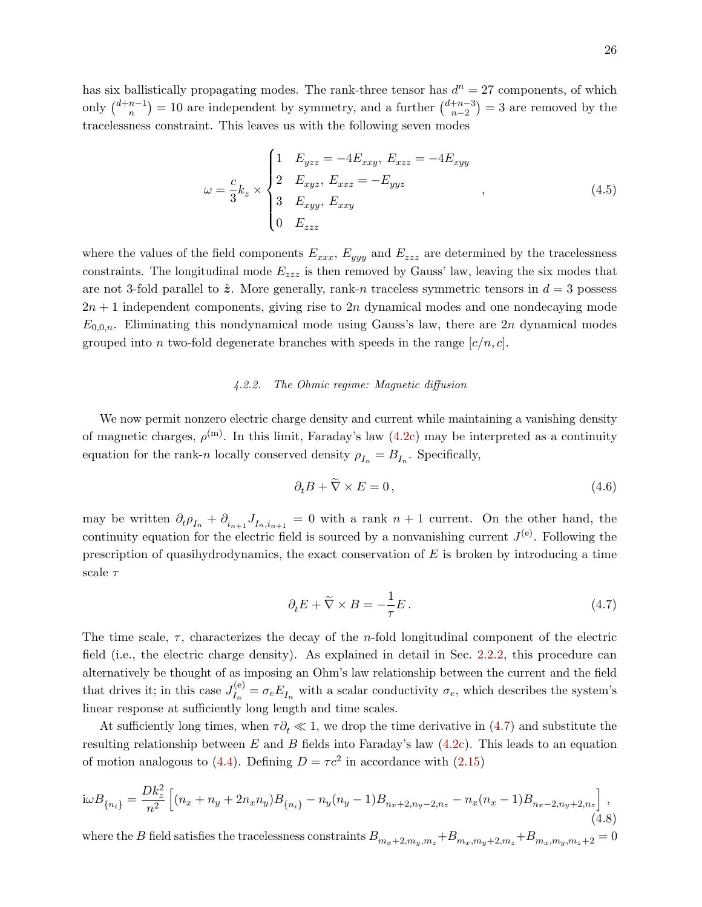has six ballistically propagating modes. The rank-three tensor has  $d^n = 27$  components, of which only  $\binom{d+n-1}{n}$  ${n-1 \choose n} = 10$  are independent by symmetry, and a further  $\binom{d+n-3}{n-2}$  $\binom{+n-3}{n-2}$  = 3 are removed by the tracelessness constraint. This leaves us with the following seven modes

<span id="page-25-2"></span>
$$
\omega = \frac{c}{3} k_z \times \begin{cases} 1 & E_{yzz} = -4E_{xxy}, \ E_{xzz} = -4E_{xyy} \\ 2 & E_{xyz}, \ E_{xxz} = -E_{yyz} \\ 3 & E_{xyy}, \ E_{xxy} \\ 0 & E_{zzz} \end{cases} \tag{4.5}
$$

where the values of the field components  $E_{xxx}$ ,  $E_{yyy}$  and  $E_{zzz}$  are determined by the tracelessness constraints. The longitudinal mode  $E_{zzz}$  is then removed by Gauss' law, leaving the six modes that are not 3-fold parallel to  $\hat{z}$ . More generally, rank-n traceless symmetric tensors in  $d=3$  possess  $2n + 1$  independent components, giving rise to  $2n$  dynamical modes and one nondecaying mode  $E_{0,0,n}$ . Eliminating this nondynamical mode using Gauss's law, there are 2n dynamical modes grouped into n two-fold degenerate branches with speeds in the range  $[c/n, c]$ .

# <span id="page-25-0"></span>4.2.2. The Ohmic regime: Magnetic diffusion

We now permit nonzero electric charge density and current while maintaining a vanishing density of magnetic charges,  $\rho^{(m)}$ . In this limit, Faraday's law  $(4.2c)$  may be interpreted as a continuity equation for the rank-n locally conserved density  $\rho_{I_n} = B_{I_n}$ . Specifically,

$$
\partial_t B + \nabla \times E = 0, \qquad (4.6)
$$

may be written  $\partial_t \rho_{I_n} + \partial_{i_{n+1}} J_{I_n,i_{n+1}} = 0$  with a rank  $n+1$  current. On the other hand, the continuity equation for the electric field is sourced by a nonvanishing current  $J^{(e)}$ . Following the prescription of quasihydrodynamics, the exact conservation of  $E$  is broken by introducing a time scale  $\tau$ 

<span id="page-25-1"></span>
$$
\partial_t E + \tilde{\nabla} \times B = -\frac{1}{\tau} E. \tag{4.7}
$$

The time scale,  $\tau$ , characterizes the decay of the *n*-fold longitudinal component of the electric field (i.e., the electric charge density). As explained in detail in Sec. [2.2.2,](#page-7-0) this procedure can alternatively be thought of as imposing an Ohm's law relationship between the current and the field that drives it; in this case  $J_{I_n}^{(e)}$  $I_{I_n}^{(e)} = \sigma_e E_{I_n}$  with a scalar conductivity  $\sigma_e$ , which describes the system's linear response at sufficiently long length and time scales.

At sufficiently long times, when  $\tau \partial_t \ll 1$ , we drop the time derivative in [\(4.7\)](#page-25-1) and substitute the resulting relationship between  $E$  and  $B$  fields into Faraday's law  $(4.2c)$ . This leads to an equation of motion analogous to [\(4.4\)](#page-24-4). Defining  $D = \tau c^2$  in accordance with [\(2.15\)](#page-9-4)

$$
i\omega B_{\{n_i\}} = \frac{Dk_z^2}{n^2} \left[ (n_x + n_y + 2n_x n_y) B_{\{n_i\}} - n_y (n_y - 1) B_{n_x + 2, n_y - 2, n_z} - n_x (n_x - 1) B_{n_x - 2, n_y + 2, n_z} \right],
$$
\n(4.8)

where the B field satisfies the tracelessness constraints  $B_{m_x+2,m_y,m_z}+B_{m_x,m_y+2,m_z}+B_{m_x,m_y,m_z+2} = 0$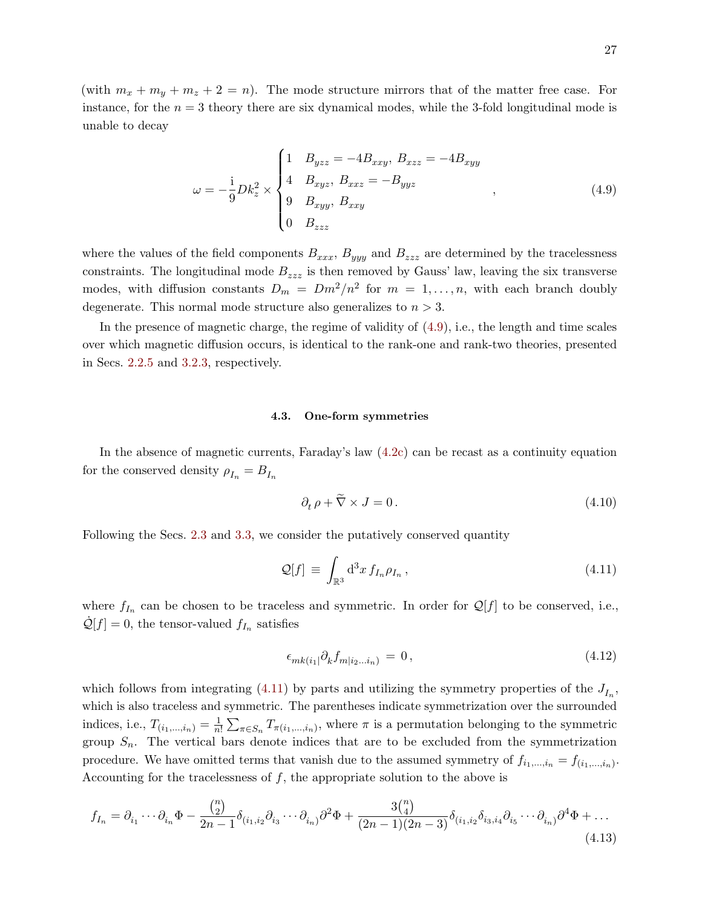(with  $m_x + m_y + m_z + 2 = n$ ). The mode structure mirrors that of the matter free case. For instance, for the  $n = 3$  theory there are six dynamical modes, while the 3-fold longitudinal mode is unable to decay

<span id="page-26-1"></span>
$$
\omega = -\frac{1}{9}Dk_z^2 \times \begin{cases} 1 & B_{yzz} = -4B_{xxy}, B_{xzz} = -4B_{xyy} \\ 4 & B_{xyz}, B_{xxz} = -B_{yyz} \\ 9 & B_{xyy}, B_{xxy} \\ 0 & B_{zzz} \end{cases}
$$
 (4.9)

where the values of the field components  $B_{xxx}$ ,  $B_{yyy}$  and  $B_{zzz}$  are determined by the tracelessness constraints. The longitudinal mode  $B_{zzz}$  is then removed by Gauss' law, leaving the six transverse modes, with diffusion constants  $D_m = Dm^2/n^2$  for  $m = 1, ..., n$ , with each branch doubly degenerate. This normal mode structure also generalizes to  $n > 3$ .

In the presence of magnetic charge, the regime of validity of [\(4.9\)](#page-26-1), i.e., the length and time scales over which magnetic diffusion occurs, is identical to the rank-one and rank-two theories, presented in Secs. [2.2.5](#page-10-0) and [3.2.3,](#page-16-0) respectively.

## <span id="page-26-0"></span>4.3. One-form symmetries

In the absence of magnetic currents, Faraday's law [\(4.2c\)](#page-24-2) can be recast as a continuity equation for the conserved density  $\rho_{I_n} = B_{I_n}$ 

<span id="page-26-3"></span>
$$
\partial_t \rho + \tilde{\nabla} \times J = 0. \tag{4.10}
$$

Following the Secs. [2.3](#page-11-0) and [3.3,](#page-17-0) we consider the putatively conserved quantity

<span id="page-26-2"></span>
$$
\mathcal{Q}[f] \equiv \int_{\mathbb{R}^3} d^3x \, f_{I_n} \rho_{I_n} \,, \tag{4.11}
$$

where  $f_{I_n}$  can be chosen to be traceless and symmetric. In order for  $\mathcal{Q}[f]$  to be conserved, i.e.,  $\dot{\mathcal{Q}}[f] = 0$ , the tensor-valued  $f_{I_n}$  satisfies

$$
\epsilon_{mk(i_1)} \partial_k f_{m|i_2...i_n} = 0, \qquad (4.12)
$$

which follows from integrating [\(4.11\)](#page-26-2) by parts and utilizing the symmetry properties of the  $J_{I_n}$ , which is also traceless and symmetric. The parentheses indicate symmetrization over the surrounded indices, i.e.,  $T_{(i_1,...,i_n)} = \frac{1}{n}$  $\frac{1}{n!} \sum_{\pi \in S_n} T_{\pi(i_1,\ldots,i_n)}$ , where  $\pi$  is a permutation belonging to the symmetric group  $S_n$ . The vertical bars denote indices that are to be excluded from the symmetrization procedure. We have omitted terms that vanish due to the assumed symmetry of  $f_{i_1,\dots,i_n} = f_{(i_1,\dots,i_n)}$ . Accounting for the tracelessness of  $f$ , the appropriate solution to the above is

<span id="page-26-4"></span>
$$
f_{I_n} = \partial_{i_1} \cdots \partial_{i_n} \Phi - \frac{\binom{n}{2}}{2n-1} \delta_{(i_1, i_2} \partial_{i_3} \cdots \partial_{i_n)} \partial^2 \Phi + \frac{3 \binom{n}{4}}{(2n-1)(2n-3)} \delta_{(i_1, i_2} \delta_{i_3, i_4} \partial_{i_5} \cdots \partial_{i_n)} \partial^4 \Phi + \dots
$$
\n(4.13)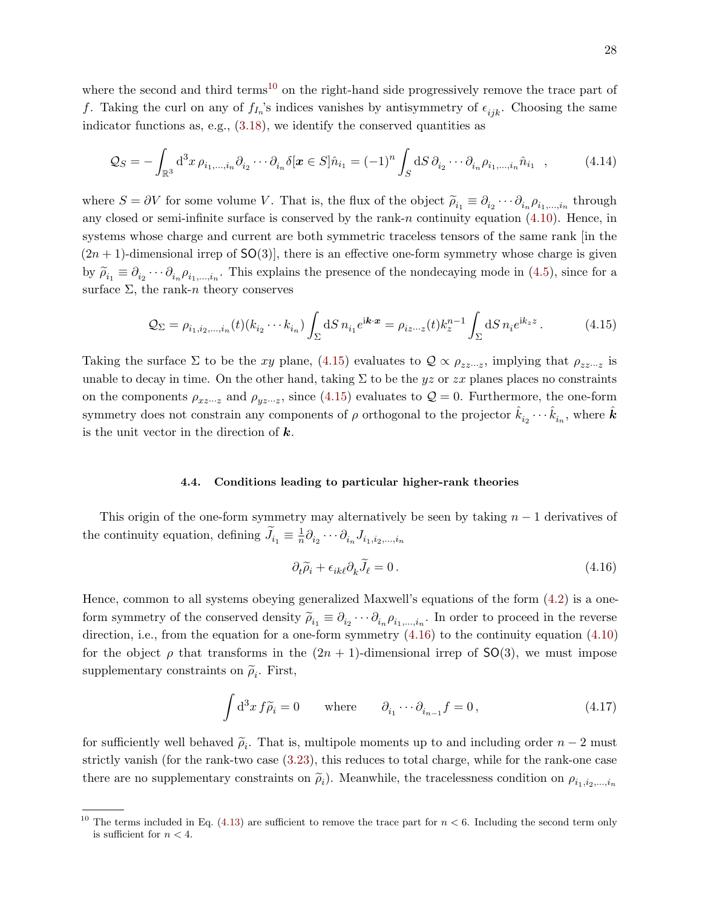where the second and third terms<sup>[10](#page-27-1)</sup> on the right-hand side progressively remove the trace part of f. Taking the curl on any of  $f_{I_n}$ 's indices vanishes by antisymmetry of  $\epsilon_{ijk}$ . Choosing the same indicator functions as, e.g., [\(3.18\)](#page-19-0), we identify the conserved quantities as

$$
Q_S = -\int_{\mathbb{R}^3} d^3x \,\rho_{i_1,\dots,i_n} \partial_{i_2} \cdots \partial_{i_n} \delta[\boldsymbol{x} \in S] \hat{n}_{i_1} = (-1)^n \int_S dS \,\partial_{i_2} \cdots \partial_{i_n} \rho_{i_1,\dots,i_n} \hat{n}_{i_1} \quad , \tag{4.14}
$$

where  $S = \partial V$  for some volume V. That is, the flux of the object  $\widetilde{\rho}_{i_1} \equiv \partial_{i_2} \cdots \partial_{i_n} \rho_{i_1,\dots,i_n}$  through any closed or semi-infinite surface is conserved by the rank-n continuity equation  $(4.10)$ . Hence, in systems whose charge and current are both symmetric traceless tensors of the same rank [in the  $(2n + 1)$ -dimensional irrep of SO(3)], there is an effective one-form symmetry whose charge is given by  $\widetilde{\rho}_{i_1} \equiv \partial_{i_2} \cdots \partial_{i_n} \rho_{i_1,\dots,i_n}$ . This explains the presence of the nondecaying mode in [\(4.5\)](#page-25-2), since for a surface  $\Sigma$ , the rank-n theory conserves

<span id="page-27-2"></span>
$$
Q_{\Sigma} = \rho_{i_1, i_2, \dots, i_n}(t) (k_{i_2} \cdots k_{i_n}) \int_{\Sigma} dS \, n_{i_1} e^{i\mathbf{k} \cdot \mathbf{x}} = \rho_{i z \cdots z}(t) k_z^{n-1} \int_{\Sigma} dS \, n_i e^{i k_z z} \,. \tag{4.15}
$$

Taking the surface  $\Sigma$  to be the xy plane, [\(4.15\)](#page-27-2) evaluates to  $\mathcal{Q} \propto \rho_{zz\cdots z}$ , implying that  $\rho_{zz\cdots z}$  is unable to decay in time. On the other hand, taking  $\Sigma$  to be the yz or zx planes places no constraints on the components  $\rho_{xz\cdots z}$  and  $\rho_{yz\cdots z}$ , since [\(4.15\)](#page-27-2) evaluates to  $\mathcal{Q}=0$ . Furthermore, the one-form symmetry does not constrain any components of  $\rho$  orthogonal to the projector  $\hat{k}_{i_2}\cdots\hat{k}_{i_n}$ , where  $\hat{k}$ is the unit vector in the direction of  $k$ .

## <span id="page-27-0"></span>4.4. Conditions leading to particular higher-rank theories

This origin of the one-form symmetry may alternatively be seen by taking  $n - 1$  derivatives of the continuity equation, defining  $\widetilde{J}_{i_1} \equiv \frac{1}{n}$  $\frac{1}{n} \partial_{i_2} \cdots \partial_{i_n} J_{i_1,i_2,...,i_n}$ 

<span id="page-27-3"></span>
$$
\partial_t \tilde{\rho}_i + \epsilon_{ik\ell} \partial_k \tilde{J}_\ell = 0. \tag{4.16}
$$

Hence, common to all systems obeying generalized Maxwell's equations of the form [\(4.2\)](#page-24-5) is a oneform symmetry of the conserved density  $\widetilde{\rho}_{i_1} \equiv \partial_{i_2} \cdots \partial_{i_n} \rho_{i_1,\dots,i_n}$ . In order to proceed in the reverse direction, i.e., from the equation for a one-form symmetry  $(4.16)$  to the continuity equation  $(4.10)$ for the object  $\rho$  that transforms in the  $(2n + 1)$ -dimensional irrep of SO(3), we must impose supplementary constraints on  $\tilde{\rho}_i$ . First,

<span id="page-27-4"></span>
$$
\int d^3x f \widetilde{\rho}_i = 0 \quad \text{where} \quad \partial_{i_1} \cdots \partial_{i_{n-1}} f = 0, \tag{4.17}
$$

for sufficiently well behaved  $\tilde{\rho}_i$ . That is, multipole moments up to and including order  $n-2$  must strictly vanish (for the rank-two case [\(3.23\)](#page-19-3), this reduces to total charge, while for the rank-one case there are no supplementary constraints on  $\tilde{\rho}_i$ ). Meanwhile, the tracelessness condition on  $\rho_{i_1,i_2,...,i_n}$ 

<span id="page-27-1"></span><sup>&</sup>lt;sup>10</sup> The terms included in Eq. [\(4.13\)](#page-26-4) are sufficient to remove the trace part for  $n < 6$ . Including the second term only is sufficient for  $n < 4$ .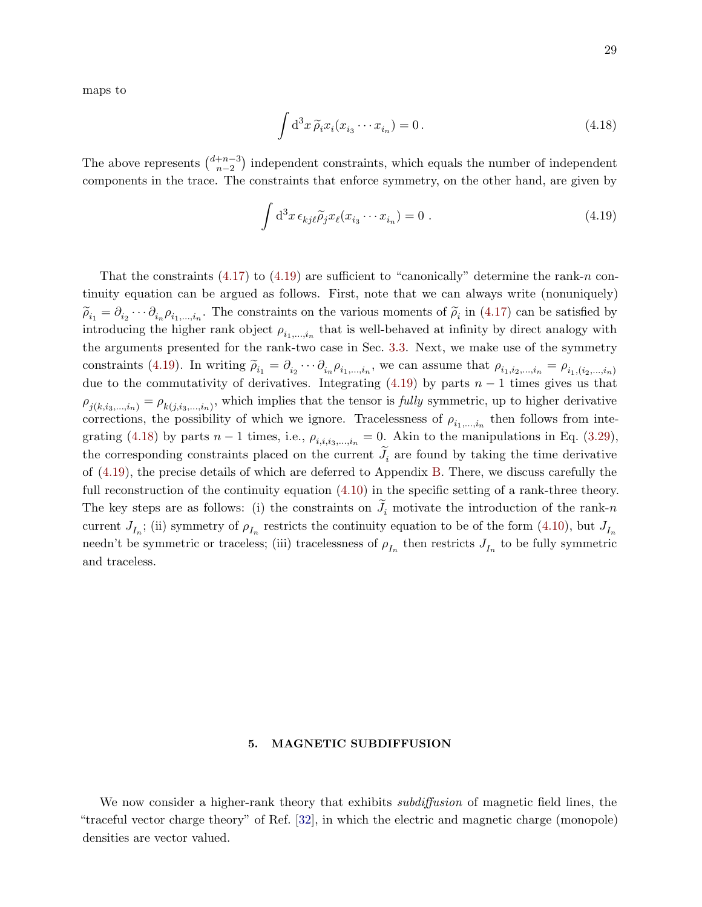maps to

<span id="page-28-2"></span>
$$
\int d^3x \,\widetilde{\rho}_i x_i(x_{i_3}\cdots x_{i_n}) = 0.
$$
\n(4.18)

The above represents  $\binom{d+n-3}{n-2}$  $\binom{+n-3}{n-2}$  independent constraints, which equals the number of independent components in the trace. The constraints that enforce symmetry, on the other hand, are given by

<span id="page-28-1"></span>
$$
\int d^3x \,\epsilon_{kj\ell}\widetilde{\rho}_j x_\ell(x_{i_3}\cdots x_{i_n}) = 0.
$$
\n(4.19)

That the constraints  $(4.17)$  to  $(4.19)$  are sufficient to "canonically" determine the rank-n continuity equation can be argued as follows. First, note that we can always write (nonuniquely)  $\widetilde{\rho}_{i_1} = \partial_{i_2} \cdots \partial_{i_n} \rho_{i_1,\dots,i_n}$ . The constraints on the various moments of  $\widetilde{\rho}_i$  in [\(4.17\)](#page-27-4) can be satisfied by introducing the higher rank object  $\rho_{i_1,\dots,i_n}$  that is well-behaved at infinity by direct analogy with the arguments presented for the rank-two case in Sec. [3.3.](#page-17-0) Next, we make use of the symmetry constraints [\(4.19\)](#page-28-1). In writing  $\widetilde{\rho}_{i_1} = \partial_{i_2} \cdots \partial_{i_n} \rho_{i_1,\dots,i_n}$ , we can assume that  $\rho_{i_1,i_2,\dots,i_n} = \rho_{i_1,(i_2,\dots,i_n)}$ due to the commutativity of derivatives. Integrating [\(4.19\)](#page-28-1) by parts  $n-1$  times gives us that  $\rho_{j(k,i_3,...,i_n)} = \rho_{k(j,i_3,...,i_n)}$ , which implies that the tensor is *fully* symmetric, up to higher derivative corrections, the possibility of which we ignore. Tracelessness of  $\rho_{i_1,\dots,i_n}$  then follows from inte-grating [\(4.18\)](#page-28-2) by parts  $n-1$  times, i.e.,  $\rho_{i,i,i_3,...,i_n} = 0$ . Akin to the manipulations in Eq. [\(3.29\)](#page-21-2), the corresponding constraints placed on the current  $J_i$  are found by taking the time derivative of [\(4.19\)](#page-28-1), the precise details of which are deferred to Appendix [B.](#page-36-0) There, we discuss carefully the full reconstruction of the continuity equation [\(4.10\)](#page-26-3) in the specific setting of a rank-three theory. The key steps are as follows: (i) the constraints on  $J_i$  motivate the introduction of the rank-n current  $J_{I_n}$ ; (ii) symmetry of  $\rho_{I_n}$  restricts the continuity equation to be of the form [\(4.10\)](#page-26-3), but  $J_{I_n}$ needn't be symmetric or traceless; (iii) tracelessness of  $\rho_{I_n}$  then restricts  $J_{I_n}$  to be fully symmetric and traceless.

# <span id="page-28-0"></span>5. MAGNETIC SUBDIFFUSION

We now consider a higher-rank theory that exhibits *subdiffusion* of magnetic field lines, the "traceful vector charge theory" of Ref. [\[32\]](#page-39-11), in which the electric and magnetic charge (monopole) densities are vector valued.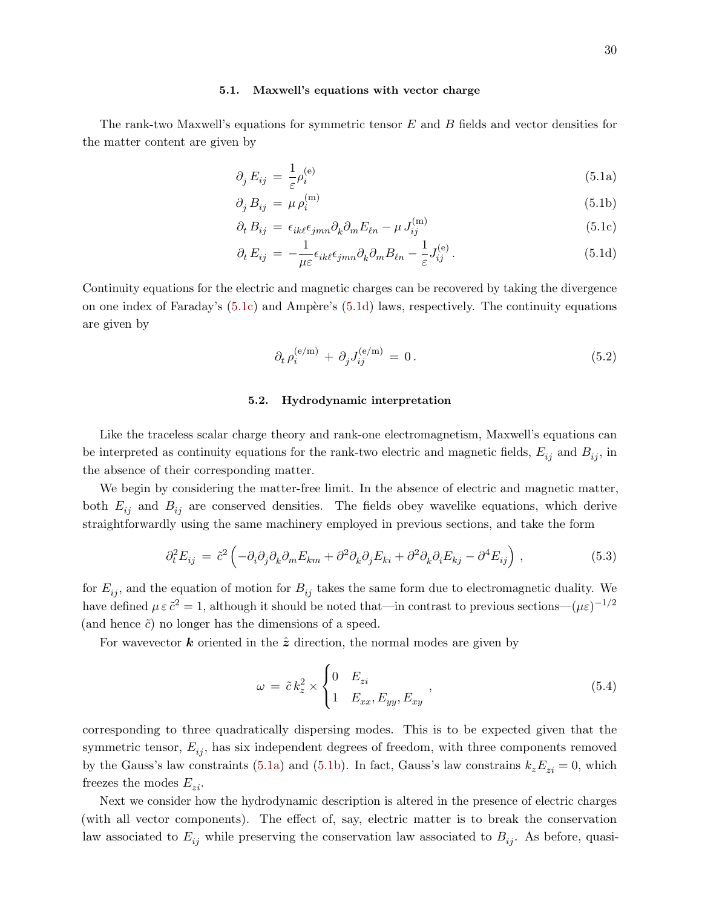#### <span id="page-29-0"></span>5.1. Maxwell's equations with vector charge

The rank-two Maxwell's equations for symmetric tensor E and B fields and vector densities for the matter content are given by

<span id="page-29-5"></span><span id="page-29-4"></span>
$$
\partial_j E_{ij} = \frac{1}{\varepsilon} \rho_i^{(e)} \tag{5.1a}
$$

$$
\partial_j B_{ij} = \mu \rho_i^{(m)} \tag{5.1b}
$$

$$
\partial_t B_{ij} = \epsilon_{ik\ell} \epsilon_{jmn} \partial_k \partial_m E_{\ell n} - \mu J_{ij}^{(m)}
$$
(5.1c)

$$
\partial_t E_{ij} = -\frac{1}{\mu \varepsilon} \epsilon_{ik\ell} \epsilon_{jmn} \partial_k \partial_m B_{\ell n} - \frac{1}{\varepsilon} J_{ij}^{(e)}.
$$
\n(5.1d)

Continuity equations for the electric and magnetic charges can be recovered by taking the divergence on one index of Faraday's  $(5.1c)$  and Ampère's  $(5.1d)$  laws, respectively. The continuity equations are given by

<span id="page-29-3"></span><span id="page-29-2"></span>
$$
\partial_t \rho_i^{(e/m)} + \partial_j J_{ij}^{(e/m)} = 0. \tag{5.2}
$$

# <span id="page-29-1"></span>5.2. Hydrodynamic interpretation

Like the traceless scalar charge theory and rank-one electromagnetism, Maxwell's equations can be interpreted as continuity equations for the rank-two electric and magnetic fields,  $E_{ij}$  and  $B_{ij}$ , in the absence of their corresponding matter.

We begin by considering the matter-free limit. In the absence of electric and magnetic matter, both  $E_{ij}$  and  $B_{ij}$  are conserved densities. The fields obey wavelike equations, which derive straightforwardly using the same machinery employed in previous sections, and take the form

$$
\partial_t^2 E_{ij} = \tilde{c}^2 \left( -\partial_i \partial_j \partial_k \partial_m E_{km} + \partial^2 \partial_k \partial_j E_{ki} + \partial^2 \partial_k \partial_i E_{kj} - \partial^4 E_{ij} \right), \qquad (5.3)
$$

for  $E_{ij}$ , and the equation of motion for  $B_{ij}$  takes the same form due to electromagnetic duality. We have defined  $\mu \in \tilde{c}^2 = 1$ , although it should be noted that—in contrast to previous sections— $(\mu \varepsilon)^{-1/2}$ (and hence  $\tilde{c}$ ) no longer has the dimensions of a speed.

For wavevector **k** oriented in the  $\hat{z}$  direction, the normal modes are given by

$$
\omega = \tilde{c} k_z^2 \times \begin{cases} 0 & E_{zi} \\ 1 & E_{xx}, E_{yy}, E_{xy} \end{cases} \tag{5.4}
$$

corresponding to three quadratically dispersing modes. This is to be expected given that the symmetric tensor,  $E_{ij}$ , has six independent degrees of freedom, with three components removed by the Gauss's law constraints [\(5.1a\)](#page-29-4) and [\(5.1b\)](#page-29-5). In fact, Gauss's law constrains  $k_zE_{zi} = 0$ , which freezes the modes  $E_{zi}$ .

Next we consider how the hydrodynamic description is altered in the presence of electric charges (with all vector components). The effect of, say, electric matter is to break the conservation law associated to  $E_{ij}$  while preserving the conservation law associated to  $B_{ij}$ . As before, quasi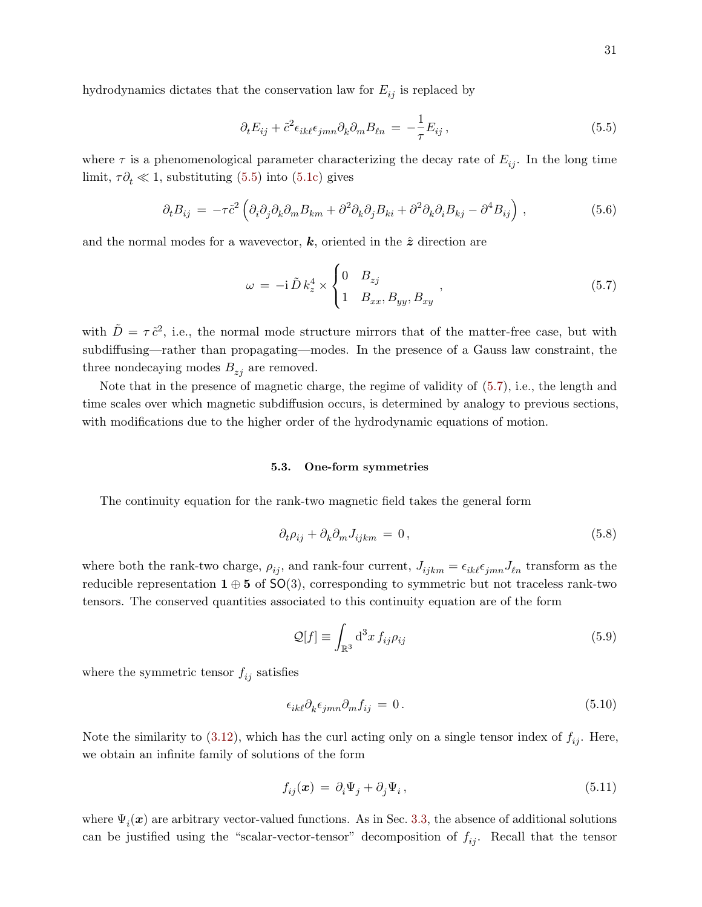hydrodynamics dictates that the conservation law for  $E_{ij}$  is replaced by

<span id="page-30-1"></span>
$$
\partial_t E_{ij} + \tilde{c}^2 \epsilon_{ik\ell} \epsilon_{jmn} \partial_k \partial_m B_{\ell n} = -\frac{1}{\tau} E_{ij} \,, \tag{5.5}
$$

where  $\tau$  is a phenomenological parameter characterizing the decay rate of  $E_{ij}$ . In the long time limit,  $\tau \partial_t \ll 1$ , substituting [\(5.5\)](#page-30-1) into [\(5.1c\)](#page-29-2) gives

$$
\partial_t B_{ij} = -\tau \tilde{c}^2 \left( \partial_i \partial_j \partial_k \partial_m B_{km} + \partial^2 \partial_k \partial_j B_{ki} + \partial^2 \partial_k \partial_i B_{kj} - \partial^4 B_{ij} \right), \qquad (5.6)
$$

and the normal modes for a wavevector,  $k$ , oriented in the  $\hat{z}$  direction are

<span id="page-30-2"></span>
$$
\omega = -\mathrm{i}\,\tilde{D}\,k_z^4 \times \begin{cases} 0 & B_{zj} \\ 1 & B_{xx}, B_{yy}, B_{xy} \end{cases},\tag{5.7}
$$

with  $\tilde{D} = \tau \tilde{c}^2$ , i.e., the normal mode structure mirrors that of the matter-free case, but with subdiffusing—rather than propagating—modes. In the presence of a Gauss law constraint, the three nondecaying modes  $B_{z_i}$  are removed.

Note that in the presence of magnetic charge, the regime of validity of [\(5.7\)](#page-30-2), i.e., the length and time scales over which magnetic subdiffusion occurs, is determined by analogy to previous sections, with modifications due to the higher order of the hydrodynamic equations of motion.

## <span id="page-30-0"></span>5.3. One-form symmetries

The continuity equation for the rank-two magnetic field takes the general form

$$
\partial_t \rho_{ij} + \partial_k \partial_m J_{ijkm} = 0, \qquad (5.8)
$$

where both the rank-two charge,  $\rho_{ij}$ , and rank-four current,  $J_{ijkm} = \epsilon_{ik\ell}\epsilon_{jmn}J_{\ell n}$  transform as the reducible representation  $1 \oplus 5$  of  $SO(3)$ , corresponding to symmetric but not traceless rank-two tensors. The conserved quantities associated to this continuity equation are of the form

$$
\mathcal{Q}[f] \equiv \int_{\mathbb{R}^3} d^3x \, f_{ij} \rho_{ij} \tag{5.9}
$$

where the symmetric tensor  $f_{ij}$  satisfies

<span id="page-30-3"></span>
$$
\epsilon_{ik\ell}\partial_k \epsilon_{jmn}\partial_m f_{ij} = 0. \tag{5.10}
$$

Note the similarity to [\(3.12\)](#page-17-2), which has the curl acting only on a single tensor index of  $f_{ij}$ . Here, we obtain an infinite family of solutions of the form

<span id="page-30-4"></span>
$$
f_{ij}(\boldsymbol{x}) = \partial_i \Psi_j + \partial_j \Psi_i, \qquad (5.11)
$$

where  $\Psi_i(\boldsymbol{x})$  are arbitrary vector-valued functions. As in Sec. [3.3,](#page-17-0) the absence of additional solutions can be justified using the "scalar-vector-tensor" decomposition of  $f_{ij}$ . Recall that the tensor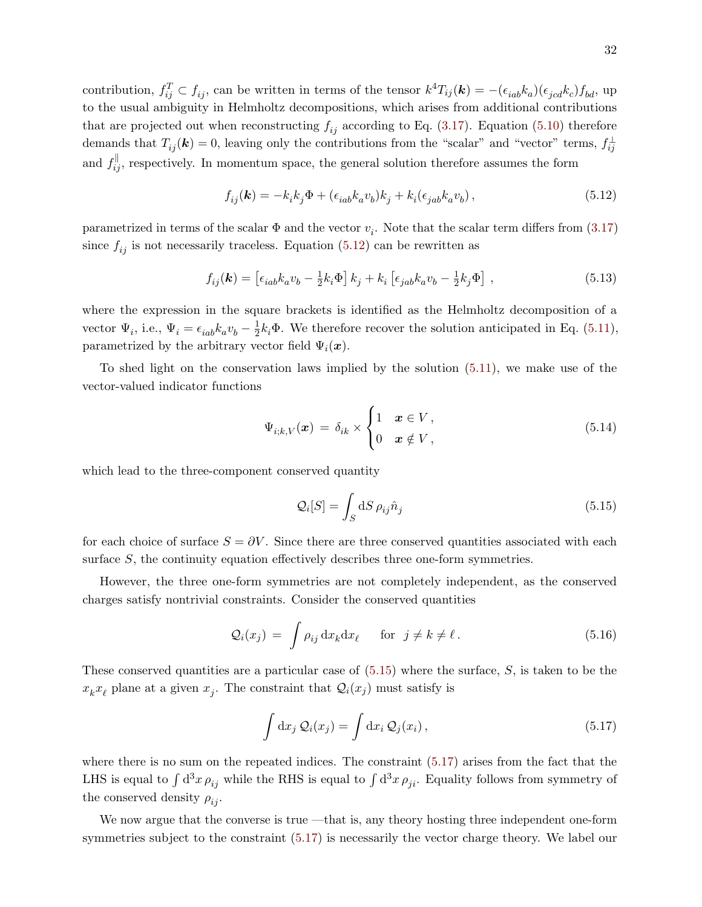contribution,  $f_{ij}^T \subset f_{ij}$ , can be written in terms of the tensor  $k^4 T_{ij}(\mathbf{k}) = - (\epsilon_{iab} k_a)(\epsilon_{jcd} k_c) f_{bd}$ , up to the usual ambiguity in Helmholtz decompositions, which arises from additional contributions that are projected out when reconstructing  $f_{ij}$  according to Eq. [\(3.17\)](#page-18-2). Equation [\(5.10\)](#page-30-3) therefore demands that  $T_{ij}(\mathbf{k}) = 0$ , leaving only the contributions from the "scalar" and "vector" terms,  $f_{ij}^{\perp}$ and  $f_{ij}^{\parallel}$ , respectively. In momentum space, the general solution therefore assumes the form

<span id="page-31-0"></span>
$$
f_{ij}(\mathbf{k}) = -k_i k_j \Phi + (\epsilon_{iab} k_a v_b) k_j + k_i (\epsilon_{jab} k_a v_b), \qquad (5.12)
$$

parametrized in terms of the scalar  $\Phi$  and the vector  $v_i$ . Note that the scalar term differs from [\(3.17\)](#page-18-2) since  $f_{ij}$  is not necessarily traceless. Equation [\(5.12\)](#page-31-0) can be rewritten as

$$
f_{ij}(\mathbf{k}) = \left[\epsilon_{iab}k_a v_b - \frac{1}{2}k_i \Phi\right]k_j + k_i\left[\epsilon_{jab}k_a v_b - \frac{1}{2}k_j \Phi\right],\tag{5.13}
$$

where the expression in the square brackets is identified as the Helmholtz decomposition of a vector  $\Psi_i$ , i.e.,  $\Psi_i = \epsilon_{iab} k_a v_b - \frac{1}{2}$  $\frac{1}{2}k_i\Phi$ . We therefore recover the solution anticipated in Eq. [\(5.11\)](#page-30-4), parametrized by the arbitrary vector field  $\Psi_i(\boldsymbol{x})$ .

To shed light on the conservation laws implied by the solution [\(5.11\)](#page-30-4), we make use of the vector-valued indicator functions

$$
\Psi_{i;k,V}(\boldsymbol{x}) = \delta_{ik} \times \begin{cases} 1 & \boldsymbol{x} \in V, \\ 0 & \boldsymbol{x} \notin V, \end{cases}
$$
\n(5.14)

which lead to the three-component conserved quantity

<span id="page-31-1"></span>
$$
\mathcal{Q}_i[S] = \int_S \mathrm{d}S \,\rho_{ij} \hat{n}_j \tag{5.15}
$$

for each choice of surface  $S = \partial V$ . Since there are three conserved quantities associated with each surface S, the continuity equation effectively describes three one-form symmetries.

However, the three one-form symmetries are not completely independent, as the conserved charges satisfy nontrivial constraints. Consider the conserved quantities

$$
\mathcal{Q}_i(x_j) = \int \rho_{ij} \, dx_k dx_\ell \quad \text{for } j \neq k \neq \ell. \tag{5.16}
$$

These conserved quantities are a particular case of  $(5.15)$  where the surface, S, is taken to be the  $x_k x_{\ell}$  plane at a given  $x_j$ . The constraint that  $\mathcal{Q}_i(x_j)$  must satisfy is

<span id="page-31-2"></span>
$$
\int dx_j Q_i(x_j) = \int dx_i Q_j(x_i), \qquad (5.17)
$$

where there is no sum on the repeated indices. The constraint [\(5.17\)](#page-31-2) arises from the fact that the LHS is equal to  $\int d^3x \rho_{ij}$  while the RHS is equal to  $\int d^3x \rho_{ji}$ . Equality follows from symmetry of the conserved density  $\rho_{ij}$ .

We now argue that the converse is true —that is, any theory hosting three independent one-form symmetries subject to the constraint [\(5.17\)](#page-31-2) is necessarily the vector charge theory. We label our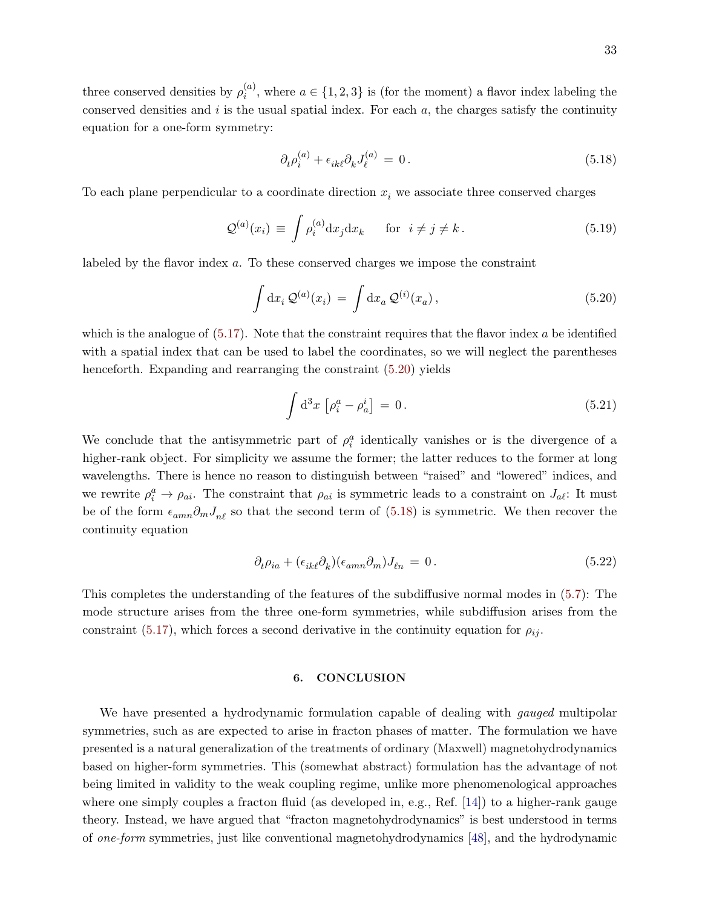three conserved densities by  $\rho_i^{(a)}$  $i<sup>a</sup>$ , where  $a \in \{1, 2, 3\}$  is (for the moment) a flavor index labeling the conserved densities and  $i$  is the usual spatial index. For each  $a$ , the charges satisfy the continuity equation for a one-form symmetry:

<span id="page-32-2"></span>
$$
\partial_t \rho_i^{(a)} + \epsilon_{ik\ell} \partial_k J_\ell^{(a)} = 0. \tag{5.18}
$$

To each plane perpendicular to a coordinate direction  $x_i$  we associate three conserved charges

$$
\mathcal{Q}^{(a)}(x_i) \equiv \int \rho_i^{(a)} dx_j dx_k \quad \text{for } i \neq j \neq k.
$$
 (5.19)

labeled by the flavor index a. To these conserved charges we impose the constraint

<span id="page-32-1"></span>
$$
\int dx_i Q^{(a)}(x_i) = \int dx_a Q^{(i)}(x_a), \qquad (5.20)
$$

which is the analogue of  $(5.17)$ . Note that the constraint requires that the flavor index a be identified with a spatial index that can be used to label the coordinates, so we will neglect the parentheses henceforth. Expanding and rearranging the constraint  $(5.20)$  yields

$$
\int d^3x \left[ \rho_i^a - \rho_a^i \right] = 0. \tag{5.21}
$$

We conclude that the antisymmetric part of  $\rho_i^a$  identically vanishes or is the divergence of a higher-rank object. For simplicity we assume the former; the latter reduces to the former at long wavelengths. There is hence no reason to distinguish between "raised" and "lowered" indices, and we rewrite  $\rho_i^a \to \rho_{ai}$ . The constraint that  $\rho_{ai}$  is symmetric leads to a constraint on  $J_{a\ell}$ : It must be of the form  $\epsilon_{amn}\partial_m J_{n\ell}$  so that the second term of [\(5.18\)](#page-32-2) is symmetric. We then recover the continuity equation

$$
\partial_t \rho_{ia} + (\epsilon_{ik\ell} \partial_k)(\epsilon_{amn} \partial_m) J_{\ell n} = 0. \tag{5.22}
$$

This completes the understanding of the features of the subdiffusive normal modes in [\(5.7\)](#page-30-2): The mode structure arises from the three one-form symmetries, while subdiffusion arises from the constraint [\(5.17\)](#page-31-2), which forces a second derivative in the continuity equation for  $\rho_{ij}$ .

# <span id="page-32-0"></span>6. CONCLUSION

We have presented a hydrodynamic formulation capable of dealing with *qauqed* multipolar symmetries, such as are expected to arise in fracton phases of matter. The formulation we have presented is a natural generalization of the treatments of ordinary (Maxwell) magnetohydrodynamics based on higher-form symmetries. This (somewhat abstract) formulation has the advantage of not being limited in validity to the weak coupling regime, unlike more phenomenological approaches where one simply couples a fracton fluid (as developed in, e.g., Ref. [\[14\]](#page-38-5)) to a higher-rank gauge theory. Instead, we have argued that "fracton magnetohydrodynamics" is best understood in terms of one-form symmetries, just like conventional magnetohydrodynamics [\[48\]](#page-40-4), and the hydrodynamic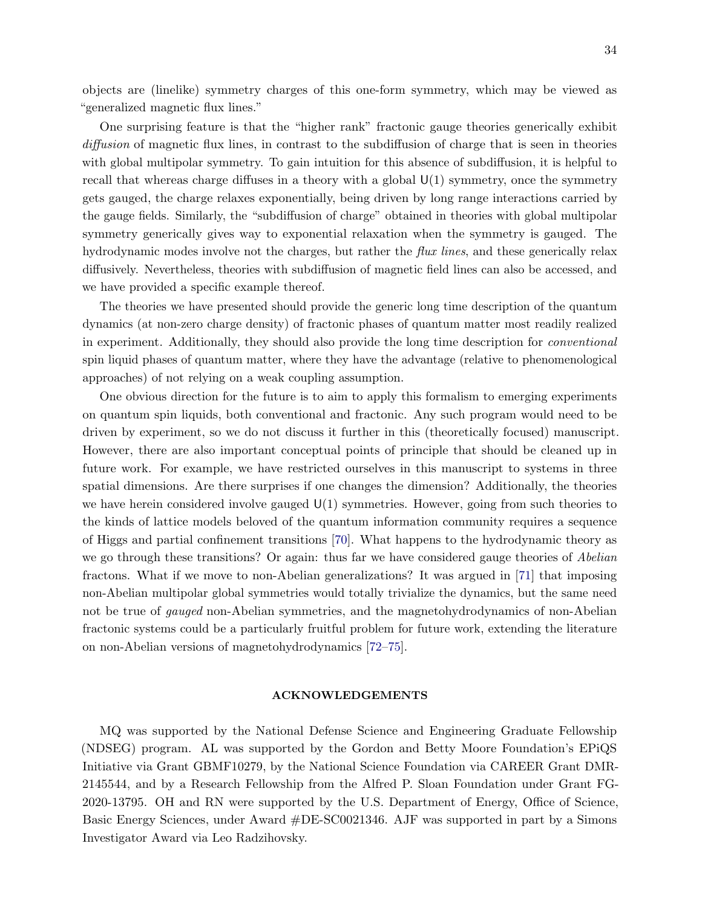objects are (linelike) symmetry charges of this one-form symmetry, which may be viewed as "generalized magnetic flux lines."

One surprising feature is that the "higher rank" fractonic gauge theories generically exhibit diffusion of magnetic flux lines, in contrast to the subdiffusion of charge that is seen in theories with global multipolar symmetry. To gain intuition for this absence of subdiffusion, it is helpful to recall that whereas charge diffuses in a theory with a global  $U(1)$  symmetry, once the symmetry gets gauged, the charge relaxes exponentially, being driven by long range interactions carried by the gauge fields. Similarly, the "subdiffusion of charge" obtained in theories with global multipolar symmetry generically gives way to exponential relaxation when the symmetry is gauged. The hydrodynamic modes involve not the charges, but rather the *flux lines*, and these generically relax diffusively. Nevertheless, theories with subdiffusion of magnetic field lines can also be accessed, and we have provided a specific example thereof.

The theories we have presented should provide the generic long time description of the quantum dynamics (at non-zero charge density) of fractonic phases of quantum matter most readily realized in experiment. Additionally, they should also provide the long time description for conventional spin liquid phases of quantum matter, where they have the advantage (relative to phenomenological approaches) of not relying on a weak coupling assumption.

One obvious direction for the future is to aim to apply this formalism to emerging experiments on quantum spin liquids, both conventional and fractonic. Any such program would need to be driven by experiment, so we do not discuss it further in this (theoretically focused) manuscript. However, there are also important conceptual points of principle that should be cleaned up in future work. For example, we have restricted ourselves in this manuscript to systems in three spatial dimensions. Are there surprises if one changes the dimension? Additionally, the theories we have herein considered involve gauged  $U(1)$  symmetries. However, going from such theories to the kinds of lattice models beloved of the quantum information community requires a sequence of Higgs and partial confinement transitions [\[70\]](#page-41-2). What happens to the hydrodynamic theory as we go through these transitions? Or again: thus far we have considered gauge theories of Abelian fractons. What if we move to non-Abelian generalizations? It was argued in [\[71\]](#page-41-3) that imposing non-Abelian multipolar global symmetries would totally trivialize the dynamics, but the same need not be true of *gauged* non-Abelian symmetries, and the magnetohydrodynamics of non-Abelian fractonic systems could be a particularly fruitful problem for future work, extending the literature on non-Abelian versions of magnetohydrodynamics [\[72–](#page-41-4)[75\]](#page-41-5).

#### <span id="page-33-0"></span>ACKNOWLEDGEMENTS

MQ was supported by the National Defense Science and Engineering Graduate Fellowship (NDSEG) program. AL was supported by the Gordon and Betty Moore Foundation's EPiQS Initiative via Grant GBMF10279, by the National Science Foundation via CAREER Grant DMR-2145544, and by a Research Fellowship from the Alfred P. Sloan Foundation under Grant FG-2020-13795. OH and RN were supported by the U.S. Department of Energy, Office of Science, Basic Energy Sciences, under Award #DE-SC0021346. AJF was supported in part by a Simons Investigator Award via Leo Radzihovsky.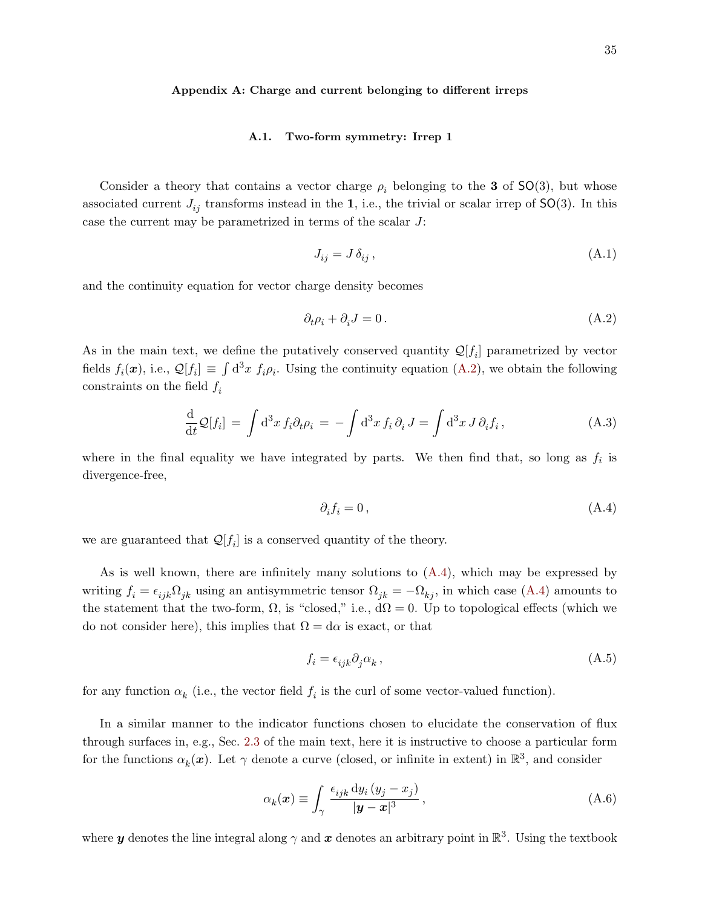#### <span id="page-34-0"></span>Appendix A: Charge and current belonging to different irreps

## <span id="page-34-1"></span>A.1. Two-form symmetry: Irrep 1

Consider a theory that contains a vector charge  $\rho_i$  belonging to the **3** of SO(3), but whose associated current  $J_{ij}$  transforms instead in the 1, i.e., the trivial or scalar irrep of  $SO(3)$ . In this case the current may be parametrized in terms of the scalar J:

$$
J_{ij} = J \,\delta_{ij} \,,\tag{A.1}
$$

and the continuity equation for vector charge density becomes

<span id="page-34-2"></span>
$$
\partial_t \rho_i + \partial_i J = 0. \tag{A.2}
$$

As in the main text, we define the putatively conserved quantity  $\mathcal{Q}[f_i]$  parametrized by vector fields  $f_i(\boldsymbol{x})$ , i.e.,  $\mathcal{Q}[f_i] \equiv \int d^3x \ f_i \rho_i$ . Using the continuity equation [\(A.2\)](#page-34-2), we obtain the following constraints on the field  $f_i$ 

$$
\frac{\mathrm{d}}{\mathrm{d}t}\mathcal{Q}[f_i] = \int \mathrm{d}^3x \, f_i \partial_t \rho_i = -\int \mathrm{d}^3x \, f_i \, \partial_i \, J = \int \mathrm{d}^3x \, J \, \partial_i f_i \,, \tag{A.3}
$$

where in the final equality we have integrated by parts. We then find that, so long as  $f_i$  is divergence-free,

<span id="page-34-3"></span>
$$
\partial_i f_i = 0 \,, \tag{A.4}
$$

we are guaranteed that  $\mathcal{Q}[f_i]$  is a conserved quantity of the theory.

As is well known, there are infinitely many solutions to [\(A.4\)](#page-34-3), which may be expressed by writing  $f_i = \epsilon_{ijk}\Omega_{jk}$  using an antisymmetric tensor  $\Omega_{jk} = -\Omega_{kj}$ , in which case [\(A.4\)](#page-34-3) amounts to the statement that the two-form,  $\Omega$ , is "closed," i.e.,  $d\Omega = 0$ . Up to topological effects (which we do not consider here), this implies that  $\Omega = d\alpha$  is exact, or that

$$
f_i = \epsilon_{ijk}\partial_j \alpha_k \,,\tag{A.5}
$$

for any function  $\alpha_k$  (i.e., the vector field  $f_i$  is the curl of some vector-valued function).

In a similar manner to the indicator functions chosen to elucidate the conservation of flux through surfaces in, e.g., Sec. [2.3](#page-11-0) of the main text, here it is instructive to choose a particular form for the functions  $\alpha_k(x)$ . Let  $\gamma$  denote a curve (closed, or infinite in extent) in  $\mathbb{R}^3$ , and consider

$$
\alpha_k(\boldsymbol{x}) \equiv \int_{\gamma} \frac{\epsilon_{ijk} \, \mathrm{d}y_i \, (y_j - x_j)}{|\boldsymbol{y} - \boldsymbol{x}|^3}, \tag{A.6}
$$

where  $y$  denotes the line integral along  $\gamma$  and  $x$  denotes an arbitrary point in  $\mathbb{R}^3$ . Using the textbook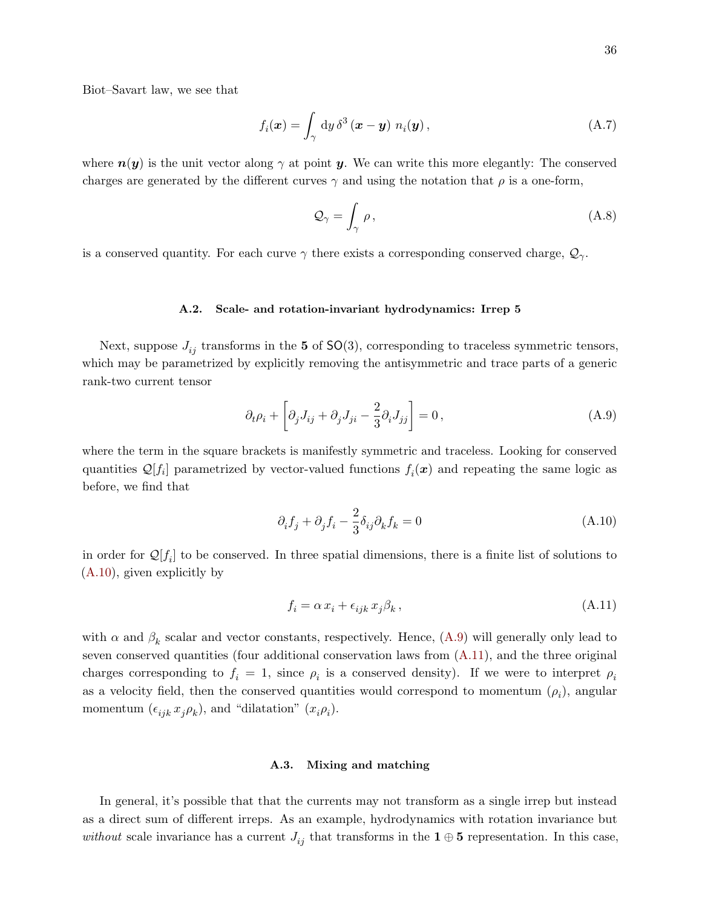Biot–Savart law, we see that

$$
f_i(\boldsymbol{x}) = \int_{\gamma} \mathrm{d}y \, \delta^3(\boldsymbol{x} - \boldsymbol{y}) \, n_i(\boldsymbol{y}), \tag{A.7}
$$

where  $n(y)$  is the unit vector along  $\gamma$  at point y. We can write this more elegantly: The conserved charges are generated by the different curves  $\gamma$  and using the notation that  $\rho$  is a one-form,

$$
\mathcal{Q}_{\gamma} = \int_{\gamma} \rho, \tag{A.8}
$$

is a conserved quantity. For each curve  $\gamma$  there exists a corresponding conserved charge,  $\mathcal{Q}_{\gamma}$ .

#### <span id="page-35-0"></span>A.2. Scale- and rotation-invariant hydrodynamics: Irrep 5

Next, suppose  $J_{ij}$  transforms in the 5 of SO(3), corresponding to traceless symmetric tensors, which may be parametrized by explicitly removing the antisymmetric and trace parts of a generic rank-two current tensor

<span id="page-35-3"></span>
$$
\partial_t \rho_i + \left[ \partial_j J_{ij} + \partial_j J_{ji} - \frac{2}{3} \partial_i J_{jj} \right] = 0, \qquad (A.9)
$$

where the term in the square brackets is manifestly symmetric and traceless. Looking for conserved quantities  $\mathcal{Q}[f_i]$  parametrized by vector-valued functions  $f_i(\boldsymbol{x})$  and repeating the same logic as before, we find that

<span id="page-35-2"></span>
$$
\partial_i f_j + \partial_j f_i - \frac{2}{3} \delta_{ij} \partial_k f_k = 0 \tag{A.10}
$$

in order for  $\mathcal{Q}[f_i]$  to be conserved. In three spatial dimensions, there is a finite list of solutions to [\(A.10\)](#page-35-2), given explicitly by

<span id="page-35-4"></span>
$$
f_i = \alpha x_i + \epsilon_{ijk} x_j \beta_k, \qquad (A.11)
$$

with  $\alpha$  and  $\beta_k$  scalar and vector constants, respectively. Hence,  $(A.9)$  will generally only lead to seven conserved quantities (four additional conservation laws from [\(A.11\)](#page-35-4), and the three original charges corresponding to  $f_i = 1$ , since  $\rho_i$  is a conserved density). If we were to interpret  $\rho_i$ as a velocity field, then the conserved quantities would correspond to momentum  $(\rho_i)$ , angular momentum  $(\epsilon_{ijk} x_j \rho_k)$ , and "dilatation"  $(x_i \rho_i)$ .

# <span id="page-35-1"></span>A.3. Mixing and matching

In general, it's possible that that the currents may not transform as a single irrep but instead as a direct sum of different irreps. As an example, hydrodynamics with rotation invariance but without scale invariance has a current  $J_{ij}$  that transforms in the 1 ⊕ 5 representation. In this case,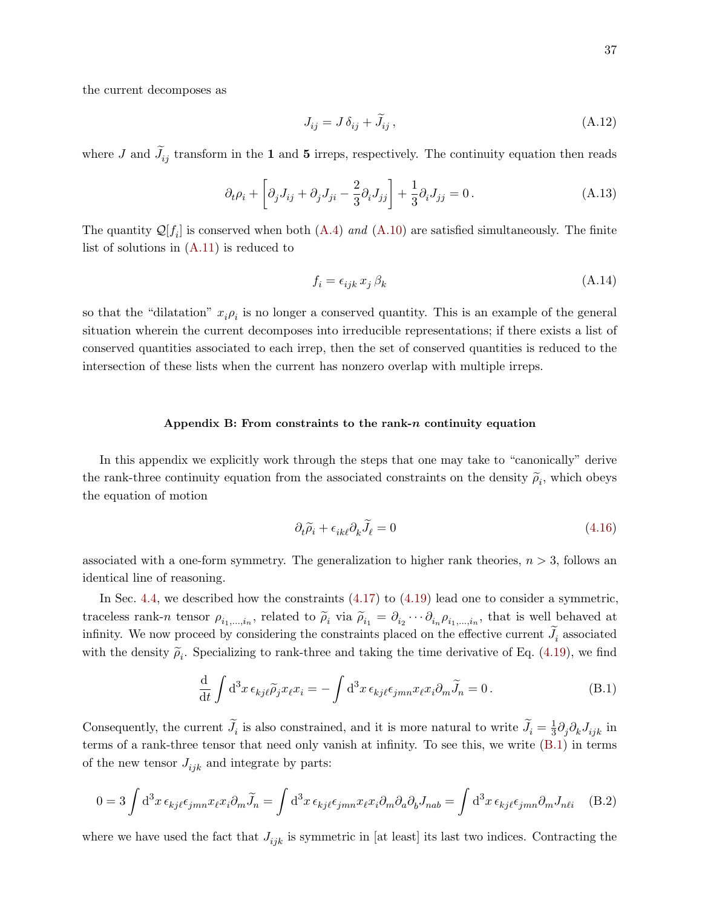the current decomposes as

$$
J_{ij} = J \,\delta_{ij} + \tilde{J}_{ij} \,,\tag{A.12}
$$

where J and  $J_{ij}$  transform in the 1 and 5 irreps, respectively. The continuity equation then reads

$$
\partial_t \rho_i + \left[ \partial_j J_{ij} + \partial_j J_{ji} - \frac{2}{3} \partial_i J_{jj} \right] + \frac{1}{3} \partial_i J_{jj} = 0. \tag{A.13}
$$

The quantity  $\mathcal{Q}[f_i]$  is conserved when both  $(A.4)$  and  $(A.10)$  are satisfied simultaneously. The finite list of solutions in [\(A.11\)](#page-35-4) is reduced to

$$
f_i = \epsilon_{ijk} x_j \,\beta_k \tag{A.14}
$$

so that the "dilatation"  $x_i \rho_i$  is no longer a conserved quantity. This is an example of the general situation wherein the current decomposes into irreducible representations; if there exists a list of conserved quantities associated to each irrep, then the set of conserved quantities is reduced to the intersection of these lists when the current has nonzero overlap with multiple irreps.

# <span id="page-36-0"></span>Appendix B: From constraints to the rank- $n$  continuity equation

In this appendix we explicitly work through the steps that one may take to "canonically" derive the rank-three continuity equation from the associated constraints on the density  $\tilde{\rho}_i$ , which obeys the equation of motion

$$
\partial_t \widetilde{\rho}_i + \epsilon_{ik\ell} \partial_k \widetilde{J}_\ell = 0 \tag{4.16}
$$

associated with a one-form symmetry. The generalization to higher rank theories,  $n > 3$ , follows an identical line of reasoning.

In Sec. [4.4,](#page-27-0) we described how the constraints  $(4.17)$  to  $(4.19)$  lead one to consider a symmetric, traceless rank-n tensor  $\rho_{i_1,\dots,i_n}$ , related to  $\rho_i$  via  $\rho_{i_1} = \partial_{i_2} \cdots \partial_{i_n} \rho_{i_1,\dots,i_n}$ , that is well behaved at infinity. We now proceed by considering the constraints placed on the effective current  $J_i$  associated with the density  $\tilde{\rho}_i$ . Specializing to rank-three and taking the time derivative of Eq. [\(4.19\)](#page-28-1), we find

<span id="page-36-1"></span>
$$
\frac{\mathrm{d}}{\mathrm{d}t} \int \mathrm{d}^3 x \,\epsilon_{kj\ell} \widetilde{\rho}_j x_{\ell} x_i = -\int \mathrm{d}^3 x \,\epsilon_{kj\ell} \epsilon_{jmn} x_{\ell} x_i \partial_m \widetilde{J}_n = 0. \tag{B.1}
$$

Consequently, the current  $\tilde{J}_i$  is also constrained, and it is more natural to write  $\tilde{J}_i = \frac{1}{3}$  $\frac{1}{3} \partial_j \partial_k J_{ijk}$  in terms of a rank-three tensor that need only vanish at infinity. To see this, we write [\(B.1\)](#page-36-1) in terms of the new tensor  $J_{ijk}$  and integrate by parts:

$$
0 = 3 \int d^3x \,\epsilon_{kj\ell}\epsilon_{jmn} x_{\ell} x_i \partial_m \widetilde{J}_n = \int d^3x \,\epsilon_{kj\ell}\epsilon_{jmn} x_{\ell} x_i \partial_m \partial_a \partial_b J_{nab} = \int d^3x \,\epsilon_{kj\ell}\epsilon_{jmn} \partial_m J_{n\ell i} \quad (B.2)
$$

where we have used the fact that  $J_{ijk}$  is symmetric in [at least] its last two indices. Contracting the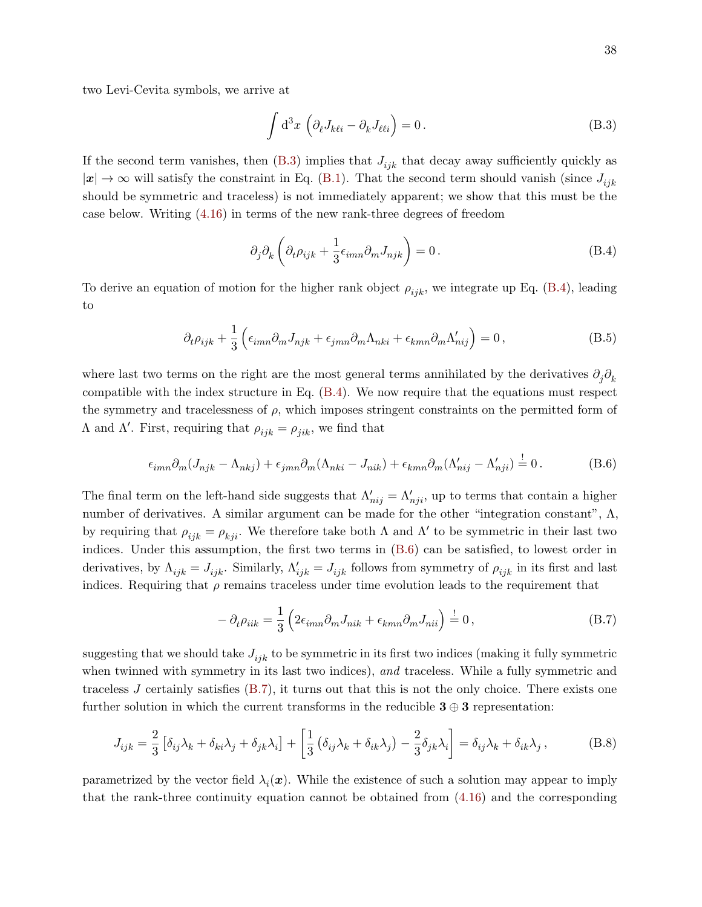two Levi-Cevita symbols, we arrive at

<span id="page-37-0"></span>
$$
\int d^3x \left( \partial_{\ell} J_{k\ell i} - \partial_k J_{\ell \ell i} \right) = 0.
$$
\n(B.3)

If the second term vanishes, then  $(B.3)$  implies that  $J_{ijk}$  that decay away sufficiently quickly as  $|x| \to \infty$  will satisfy the constraint in Eq. [\(B.1\)](#page-36-1). That the second term should vanish (since  $J_{ijk}$ should be symmetric and traceless) is not immediately apparent; we show that this must be the case below. Writing [\(4.16\)](#page-27-3) in terms of the new rank-three degrees of freedom

<span id="page-37-1"></span>
$$
\partial_j \partial_k \left( \partial_t \rho_{ijk} + \frac{1}{3} \epsilon_{imn} \partial_m J_{njk} \right) = 0. \tag{B.4}
$$

To derive an equation of motion for the higher rank object  $\rho_{ijk}$ , we integrate up Eq. [\(B.4\)](#page-37-1), leading to

$$
\partial_t \rho_{ijk} + \frac{1}{3} \left( \epsilon_{imn} \partial_m J_{njk} + \epsilon_{jmn} \partial_m \Lambda_{nki} + \epsilon_{kmn} \partial_m \Lambda'_{nij} \right) = 0, \qquad (B.5)
$$

where last two terms on the right are the most general terms annihilated by the derivatives  $\partial_j \partial_k$ compatible with the index structure in Eq. [\(B.4\)](#page-37-1). We now require that the equations must respect the symmetry and tracelessness of  $\rho$ , which imposes stringent constraints on the permitted form of Λ and Λ'. First, requiring that  $ρ_{ijk} = ρ_{jik}$ , we find that

<span id="page-37-2"></span>
$$
\epsilon_{imn}\partial_m(J_{njk}-\Lambda_{nkj})+\epsilon_{jmn}\partial_m(\Lambda_{nki}-J_{nik})+\epsilon_{kmn}\partial_m(\Lambda'_{nij}-\Lambda'_{nji})=0.
$$
 (B.6)

The final term on the left-hand side suggests that  $\Lambda'_{nij} = \Lambda'_{nji}$ , up to terms that contain a higher number of derivatives. A similar argument can be made for the other "integration constant",  $\Lambda$ , by requiring that  $\rho_{ijk} = \rho_{kji}$ . We therefore take both  $\Lambda$  and  $\Lambda'$  to be symmetric in their last two indices. Under this assumption, the first two terms in [\(B.6\)](#page-37-2) can be satisfied, to lowest order in derivatives, by  $\Lambda_{ijk} = J_{ijk}$ . Similarly,  $\Lambda'_{ijk} = J_{ijk}$  follows from symmetry of  $\rho_{ijk}$  in its first and last indices. Requiring that  $\rho$  remains traceless under time evolution leads to the requirement that

<span id="page-37-3"></span>
$$
-\partial_t \rho_{iik} = \frac{1}{3} \left( 2\epsilon_{imn} \partial_m J_{nik} + \epsilon_{kmn} \partial_m J_{nii} \right) \stackrel{!}{=} 0, \tag{B.7}
$$

suggesting that we should take  $J_{ijk}$  to be symmetric in its first two indices (making it fully symmetric when twinned with symmetry in its last two indices), and traceless. While a fully symmetric and traceless J certainly satisfies [\(B.7\)](#page-37-3), it turns out that this is not the only choice. There exists one further solution in which the current transforms in the reducible  $3 \oplus 3$  representation:

<span id="page-37-4"></span>
$$
J_{ijk} = \frac{2}{3} \left[ \delta_{ij} \lambda_k + \delta_{ki} \lambda_j + \delta_{jk} \lambda_i \right] + \left[ \frac{1}{3} \left( \delta_{ij} \lambda_k + \delta_{ik} \lambda_j \right) - \frac{2}{3} \delta_{jk} \lambda_i \right] = \delta_{ij} \lambda_k + \delta_{ik} \lambda_j , \tag{B.8}
$$

parametrized by the vector field  $\lambda_i(x)$ . While the existence of such a solution may appear to imply that the rank-three continuity equation cannot be obtained from [\(4.16\)](#page-27-3) and the corresponding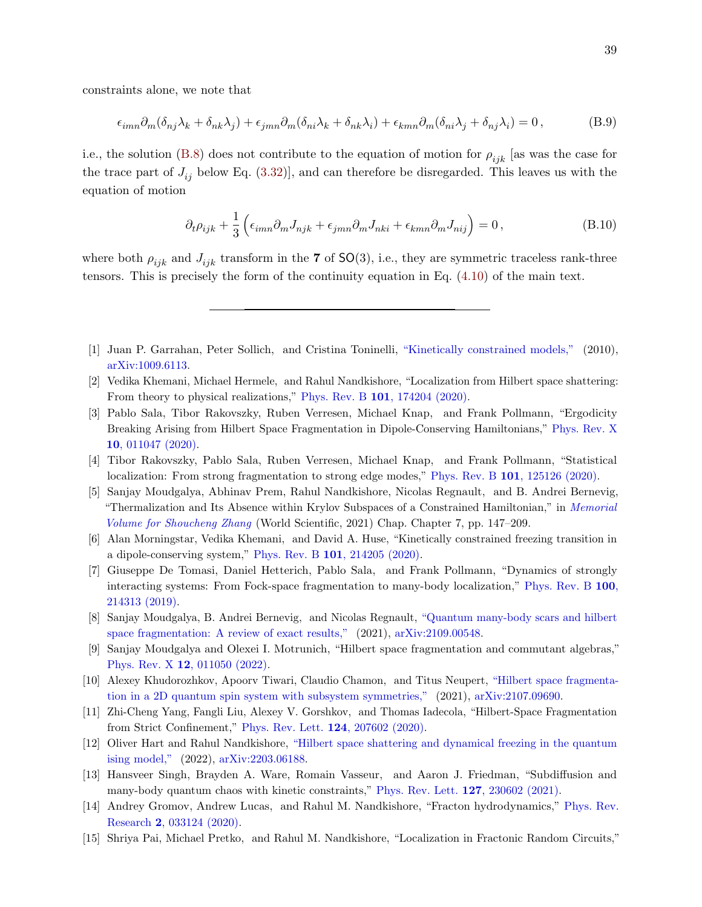constraints alone, we note that

$$
\epsilon_{imn}\partial_m(\delta_{nj}\lambda_k + \delta_{nk}\lambda_j) + \epsilon_{jmn}\partial_m(\delta_{ni}\lambda_k + \delta_{nk}\lambda_i) + \epsilon_{kmn}\partial_m(\delta_{ni}\lambda_j + \delta_{nj}\lambda_i) = 0,
$$
\n(B.9)

i.e., the solution [\(B.8\)](#page-37-4) does not contribute to the equation of motion for  $\rho_{ijk}$  [as was the case for the trace part of  $J_{ij}$  below Eq. [\(3.32\)](#page-22-0)], and can therefore be disregarded. This leaves us with the equation of motion

<span id="page-38-0"></span>
$$
\partial_t \rho_{ijk} + \frac{1}{3} \left( \epsilon_{imn} \partial_m J_{njk} + \epsilon_{jmn} \partial_m J_{nki} + \epsilon_{kmn} \partial_m J_{nij} \right) = 0, \qquad (B.10)
$$

where both  $\rho_{ijk}$  and  $J_{ijk}$  transform in the 7 of SO(3), i.e., they are symmetric traceless rank-three tensors. This is precisely the form of the continuity equation in Eq. [\(4.10\)](#page-26-3) of the main text.

- <span id="page-38-1"></span>[1] Juan P. Garrahan, Peter Sollich, and Cristina Toninelli, ["Kinetically constrained models,"](http://dx.doi.org/10.48550/ARXIV.1009.6113) (2010), [arXiv:1009.6113.](http://arxiv.org/abs/1009.6113)
- <span id="page-38-2"></span>[2] Vedika Khemani, Michael Hermele, and Rahul Nandkishore, "Localization from Hilbert space shattering: From theory to physical realizations," Phys. Rev. B 101[, 174204 \(2020\).](http://dx.doi.org/10.1103/PhysRevB.101.174204)
- <span id="page-38-3"></span>[3] Pablo Sala, Tibor Rakovszky, Ruben Verresen, Michael Knap, and Frank Pollmann, "Ergodicity Breaking Arising from Hilbert Space Fragmentation in Dipole-Conserving Hamiltonians," [Phys. Rev. X](http://dx.doi.org/10.1103/PhysRevX.10.011047) 10[, 011047 \(2020\).](http://dx.doi.org/10.1103/PhysRevX.10.011047)
- [4] Tibor Rakovszky, Pablo Sala, Ruben Verresen, Michael Knap, and Frank Pollmann, "Statistical localization: From strong fragmentation to strong edge modes," Phys. Rev. B 101[, 125126 \(2020\).](http://dx.doi.org/ 10.1103/PhysRevB.101.125126)
- [5] Sanjay Moudgalya, Abhinav Prem, Rahul Nandkishore, Nicolas Regnault, and B. Andrei Bernevig, "Thermalization and Its Absence within Krylov Subspaces of a Constrained Hamiltonian," in [Memorial](http://dx.doi.org/10.1142/9789811231711_0009) [Volume for Shoucheng Zhang](http://dx.doi.org/10.1142/9789811231711_0009) (World Scientific, 2021) Chap. Chapter 7, pp. 147–209.
- [6] Alan Morningstar, Vedika Khemani, and David A. Huse, "Kinetically constrained freezing transition in a dipole-conserving system," Phys. Rev. B 101[, 214205 \(2020\).](http://dx.doi.org/10.1103/PhysRevB.101.214205)
- [7] Giuseppe De Tomasi, Daniel Hetterich, Pablo Sala, and Frank Pollmann, "Dynamics of strongly interacting systems: From Fock-space fragmentation to many-body localization," [Phys. Rev. B](http://dx.doi.org/10.1103/PhysRevB.100.214313) 100, [214313 \(2019\).](http://dx.doi.org/10.1103/PhysRevB.100.214313)
- [8] Sanjay Moudgalya, B. Andrei Bernevig, and Nicolas Regnault, ["Quantum many-body scars and hilbert](http://dx.doi.org/10.48550/ARXIV.2109.00548) [space fragmentation: A review of exact results,"](http://dx.doi.org/10.48550/ARXIV.2109.00548) (2021), [arXiv:2109.00548.](http://arxiv.org/abs/2109.00548)
- [9] Sanjay Moudgalya and Olexei I. Motrunich, "Hilbert space fragmentation and commutant algebras," Phys. Rev. X 12[, 011050 \(2022\).](http://dx.doi.org/ 10.1103/PhysRevX.12.011050)
- [10] Alexey Khudorozhkov, Apoorv Tiwari, Claudio Chamon, and Titus Neupert, ["Hilbert space fragmenta](http://dx.doi.org/10.48550/ARXIV.2107.09690)[tion in a 2D quantum spin system with subsystem symmetries,"](http://dx.doi.org/10.48550/ARXIV.2107.09690) (2021), [arXiv:2107.09690.](http://arxiv.org/abs/2107.09690)
- [11] Zhi-Cheng Yang, Fangli Liu, Alexey V. Gorshkov, and Thomas Iadecola, "Hilbert-Space Fragmentation from Strict Confinement," [Phys. Rev. Lett.](http://dx.doi.org/ 10.1103/PhysRevLett.124.207602) 124, 207602 (2020).
- [12] Oliver Hart and Rahul Nandkishore, ["Hilbert space shattering and dynamical freezing in the quantum](http://dx.doi.org/10.48550/ARXIV.2203.06188) [ising model,"](http://dx.doi.org/10.48550/ARXIV.2203.06188) (2022), [arXiv:2203.06188.](http://arxiv.org/abs/2203.06188)
- <span id="page-38-4"></span>[13] Hansveer Singh, Brayden A. Ware, Romain Vasseur, and Aaron J. Friedman, "Subdiffusion and many-body quantum chaos with kinetic constraints," [Phys. Rev. Lett.](http://dx.doi.org/ 10.1103/PhysRevLett.127.230602) 127, 230602 (2021).
- <span id="page-38-5"></span>[14] Andrey Gromov, Andrew Lucas, and Rahul M. Nandkishore, "Fracton hydrodynamics," [Phys. Rev.](http://dx.doi.org/10.1103/PhysRevResearch.2.033124) Research 2[, 033124 \(2020\).](http://dx.doi.org/10.1103/PhysRevResearch.2.033124)
- <span id="page-38-6"></span>[15] Shriya Pai, Michael Pretko, and Rahul M. Nandkishore, "Localization in Fractonic Random Circuits,"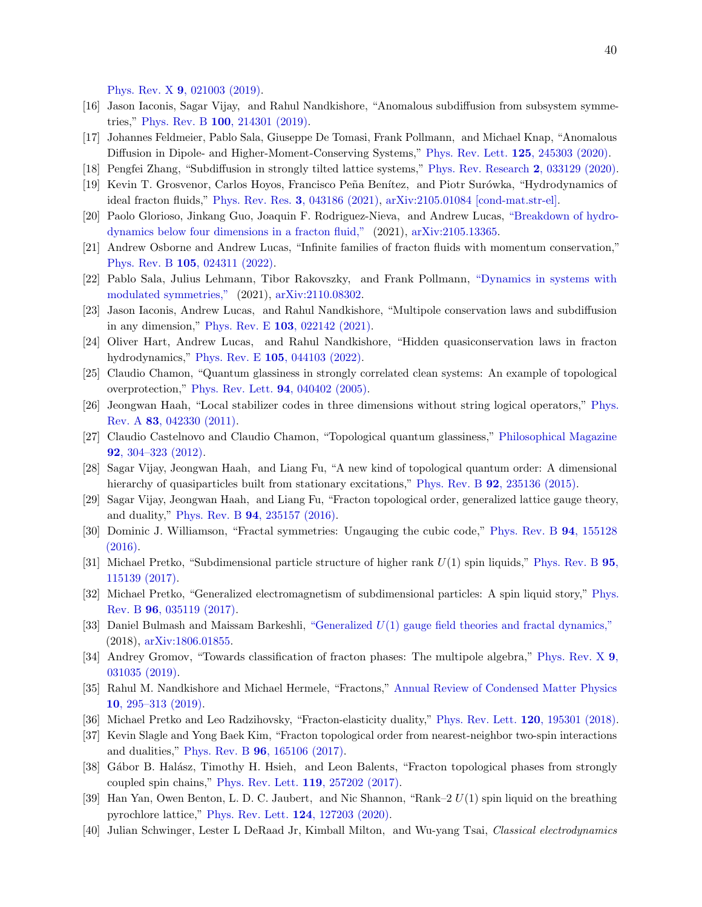Phys. Rev. X 9[, 021003 \(2019\).](http://dx.doi.org/ 10.1103/PhysRevX.9.021003)

- <span id="page-39-0"></span>[16] Jason Iaconis, Sagar Vijay, and Rahul Nandkishore, "Anomalous subdiffusion from subsystem symmetries," Phys. Rev. B 100[, 214301 \(2019\).](http://dx.doi.org/ 10.1103/PhysRevB.100.214301)
- <span id="page-39-1"></span>[17] Johannes Feldmeier, Pablo Sala, Giuseppe De Tomasi, Frank Pollmann, and Michael Knap, "Anomalous Diffusion in Dipole- and Higher-Moment-Conserving Systems," [Phys. Rev. Lett.](http://dx.doi.org/10.1103/PhysRevLett.125.245303) 125, 245303 (2020).
- [18] Pengfei Zhang, "Subdiffusion in strongly tilted lattice systems," [Phys. Rev. Research](http://dx.doi.org/ 10.1103/PhysRevResearch.2.033129) 2, 033129 (2020).
- [19] Kevin T. Grosvenor, Carlos Hoyos, Francisco Peña Benítez, and Piotr Surówka, "Hydrodynamics of ideal fracton fluids," [Phys. Rev. Res.](http://dx.doi.org/ 10.1103/PhysRevResearch.3.043186) 3, 043186 (2021), [arXiv:2105.01084 \[cond-mat.str-el\].](http://arxiv.org/abs/2105.01084)
- [20] Paolo Glorioso, Jinkang Guo, Joaquin F. Rodriguez-Nieva, and Andrew Lucas, ["Breakdown of hydro](http://dx.doi.org/10.48550/ARXIV.2105.13365)[dynamics below four dimensions in a fracton fluid,"](http://dx.doi.org/10.48550/ARXIV.2105.13365) (2021), [arXiv:2105.13365.](http://arxiv.org/abs/2105.13365)
- [21] Andrew Osborne and Andrew Lucas, "Infinite families of fracton fluids with momentum conservation," Phys. Rev. B 105[, 024311 \(2022\).](http://dx.doi.org/ 10.1103/PhysRevB.105.024311)
- [22] Pablo Sala, Julius Lehmann, Tibor Rakovszky, and Frank Pollmann, ["Dynamics in systems with](http://dx.doi.org/10.48550/ARXIV.2110.08302) [modulated symmetries,"](http://dx.doi.org/10.48550/ARXIV.2110.08302) (2021), [arXiv:2110.08302.](http://arxiv.org/abs/2110.08302)
- [23] Jason Iaconis, Andrew Lucas, and Rahul Nandkishore, "Multipole conservation laws and subdiffusion in any dimension," Phys. Rev. E 103[, 022142 \(2021\).](http://dx.doi.org/ 10.1103/PhysRevE.103.022142)
- <span id="page-39-2"></span>[24] Oliver Hart, Andrew Lucas, and Rahul Nandkishore, "Hidden quasiconservation laws in fracton hydrodynamics," Phys. Rev. E 105[, 044103 \(2022\).](http://dx.doi.org/ 10.1103/PhysRevE.105.044103)
- <span id="page-39-3"></span>[25] Claudio Chamon, "Quantum glassiness in strongly correlated clean systems: An example of topological overprotection," [Phys. Rev. Lett.](http://dx.doi.org/10.1103/PhysRevLett.94.040402) 94, 040402 (2005).
- [26] Jeongwan Haah, "Local stabilizer codes in three dimensions without string logical operators," [Phys.](http://dx.doi.org/10.1103/PhysRevA.83.042330) Rev. A 83[, 042330 \(2011\).](http://dx.doi.org/10.1103/PhysRevA.83.042330)
- [27] Claudio Castelnovo and Claudio Chamon, "Topological quantum glassiness," [Philosophical Magazine](http://dx.doi.org/10.1080/14786435.2011.609152) 92[, 304–323 \(2012\).](http://dx.doi.org/10.1080/14786435.2011.609152)
- [28] Sagar Vijay, Jeongwan Haah, and Liang Fu, "A new kind of topological quantum order: A dimensional hierarchy of quasiparticles built from stationary excitations," Phys. Rev. B **92**[, 235136 \(2015\).](http://dx.doi.org/10.1103/PhysRevB.92.235136)
- [29] Sagar Vijay, Jeongwan Haah, and Liang Fu, "Fracton topological order, generalized lattice gauge theory, and duality," Phys. Rev. B 94[, 235157 \(2016\).](http://dx.doi.org/ 10.1103/PhysRevB.94.235157)
- [30] Dominic J. Williamson, "Fractal symmetries: Ungauging the cubic code," [Phys. Rev. B](http://dx.doi.org/ 10.1103/PhysRevB.94.155128) 94, 155128 [\(2016\).](http://dx.doi.org/ 10.1103/PhysRevB.94.155128)
- <span id="page-39-5"></span>[31] Michael Pretko, "Subdimensional particle structure of higher rank U(1) spin liquids," [Phys. Rev. B](http://dx.doi.org/ 10.1103/PhysRevB.95.115139) 95, [115139 \(2017\).](http://dx.doi.org/ 10.1103/PhysRevB.95.115139)
- <span id="page-39-11"></span>[32] Michael Pretko, "Generalized electromagnetism of subdimensional particles: A spin liquid story," [Phys.](http://dx.doi.org/10.1103/PhysRevB.96.035119) Rev. B 96[, 035119 \(2017\).](http://dx.doi.org/10.1103/PhysRevB.96.035119)
- <span id="page-39-12"></span>[33] Daniel Bulmash and Maissam Barkeshli, "Generalized U[\(1\) gauge field theories and fractal dynamics,"](http://dx.doi.org/10.48550/ARXIV.1806.01855) (2018), [arXiv:1806.01855.](http://arxiv.org/abs/1806.01855)
- <span id="page-39-6"></span>[34] Andrey Gromov, "Towards classification of fracton phases: The multipole algebra," [Phys. Rev. X](http://dx.doi.org/10.1103/PhysRevX.9.031035) 9, [031035 \(2019\).](http://dx.doi.org/10.1103/PhysRevX.9.031035)
- <span id="page-39-4"></span>[35] Rahul M. Nandkishore and Michael Hermele, "Fractons," [Annual Review of Condensed Matter Physics](http://dx.doi.org/10.1146/annurev-conmatphys-031218-013604) 10[, 295–313 \(2019\).](http://dx.doi.org/10.1146/annurev-conmatphys-031218-013604)
- <span id="page-39-7"></span>[36] Michael Pretko and Leo Radzihovsky, "Fracton-elasticity duality," [Phys. Rev. Lett.](http://dx.doi.org/ 10.1103/PhysRevLett.120.195301) 120, 195301 (2018).
- <span id="page-39-8"></span>[37] Kevin Slagle and Yong Baek Kim, "Fracton topological order from nearest-neighbor two-spin interactions and dualities," Phys. Rev. B 96[, 165106 \(2017\).](http://dx.doi.org/10.1103/PhysRevB.96.165106)
- [38] Gábor B. Halász, Timothy H. Hsieh, and Leon Balents, "Fracton topological phases from strongly coupled spin chains," [Phys. Rev. Lett.](http://dx.doi.org/10.1103/PhysRevLett.119.257202) 119, 257202 (2017).
- <span id="page-39-9"></span>[39] Han Yan, Owen Benton, L. D. C. Jaubert, and Nic Shannon, "Rank–2 U(1) spin liquid on the breathing pyrochlore lattice," [Phys. Rev. Lett.](http://dx.doi.org/ 10.1103/PhysRevLett.124.127203) 124, 127203 (2020).
- <span id="page-39-10"></span>[40] Julian Schwinger, Lester L DeRaad Jr, Kimball Milton, and Wu-yang Tsai, Classical electrodynamics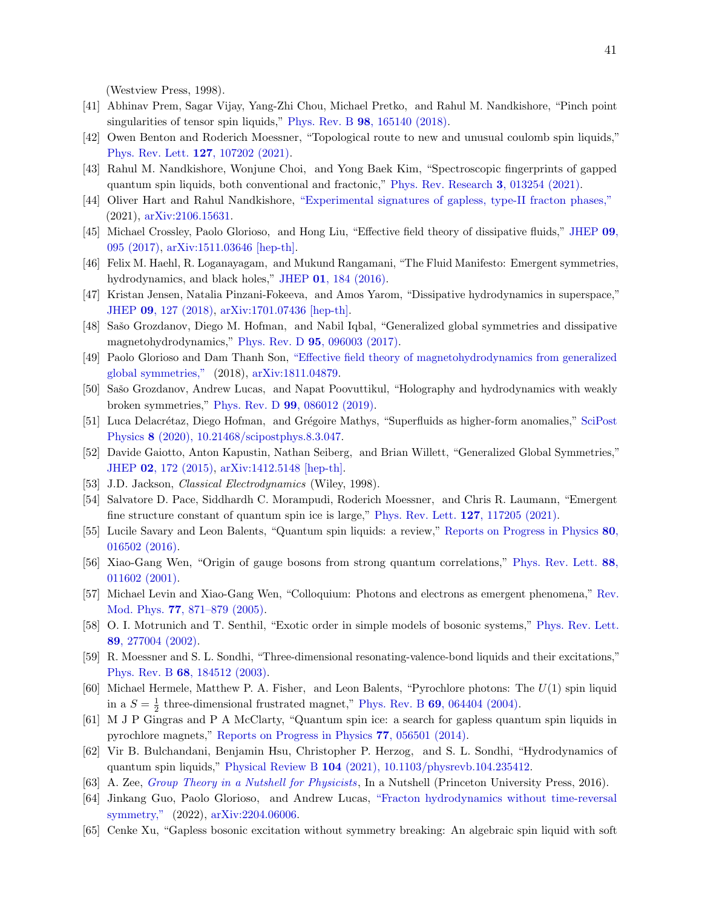(Westview Press, 1998).

- <span id="page-40-0"></span>[41] Abhinav Prem, Sagar Vijay, Yang-Zhi Chou, Michael Pretko, and Rahul M. Nandkishore, "Pinch point singularities of tensor spin liquids," Phys. Rev. B **98**[, 165140 \(2018\).](http://dx.doi.org/10.1103/PhysRevB.98.165140)
- [42] Owen Benton and Roderich Moessner, "Topological route to new and unusual coulomb spin liquids," [Phys. Rev. Lett.](http://dx.doi.org/ 10.1103/PhysRevLett.127.107202) 127, 107202 (2021).
- [43] Rahul M. Nandkishore, Wonjune Choi, and Yong Baek Kim, "Spectroscopic fingerprints of gapped quantum spin liquids, both conventional and fractonic," [Phys. Rev. Research](http://dx.doi.org/10.1103/PhysRevResearch.3.013254) 3, 013254 (2021).
- <span id="page-40-1"></span>[44] Oliver Hart and Rahul Nandkishore, ["Experimental signatures of gapless, type-II fracton phases,"](http://dx.doi.org/10.48550/ARXIV.2106.15631) (2021), [arXiv:2106.15631.](http://arxiv.org/abs/2106.15631)
- <span id="page-40-2"></span>[45] Michael Crossley, Paolo Glorioso, and Hong Liu, "Effective field theory of dissipative fluids," [JHEP](http://dx.doi.org/10.1007/JHEP09(2017)095) 09, [095 \(2017\),](http://dx.doi.org/10.1007/JHEP09(2017)095) [arXiv:1511.03646 \[hep-th\].](http://arxiv.org/abs/1511.03646)
- [46] Felix M. Haehl, R. Loganayagam, and Mukund Rangamani, "The Fluid Manifesto: Emergent symmetries, hydrodynamics, and black holes," JHEP 01[, 184 \(2016\).](http://dx.doi.org/10.1007/JHEP01(2016)184)
- <span id="page-40-3"></span>[47] Kristan Jensen, Natalia Pinzani-Fokeeva, and Amos Yarom, "Dissipative hydrodynamics in superspace," JHEP 09[, 127 \(2018\),](http://dx.doi.org/ 10.1007/JHEP09(2018)127) [arXiv:1701.07436 \[hep-th\].](http://arxiv.org/abs/1701.07436)
- <span id="page-40-4"></span>[48] Sašo Grozdanov, Diego M. Hofman, and Nabil Iqbal, "Generalized global symmetries and dissipative magnetohydrodynamics," Phys. Rev. D 95[, 096003 \(2017\).](http://dx.doi.org/10.1103/PhysRevD.95.096003)
- [49] Paolo Glorioso and Dam Thanh Son, ["Effective field theory of magnetohydrodynamics from generalized](http://dx.doi.org/10.48550/ARXIV.1811.04879) [global symmetries,"](http://dx.doi.org/10.48550/ARXIV.1811.04879) (2018), [arXiv:1811.04879.](http://arxiv.org/abs/1811.04879)
- <span id="page-40-15"></span>[50] Sašo Grozdanov, Andrew Lucas, and Napat Poovuttikul, "Holography and hydrodynamics with weakly broken symmetries," Phys. Rev. D 99[, 086012 \(2019\).](http://dx.doi.org/10.1103/PhysRevD.99.086012)
- <span id="page-40-5"></span>[51] Luca Delacrétaz, Diego Hofman, and Grégoire Mathys, "Superfluids as higher-form anomalies," [SciPost](http://dx.doi.org/ 10.21468/scipostphys.8.3.047) Physics 8 [\(2020\), 10.21468/scipostphys.8.3.047.](http://dx.doi.org/ 10.21468/scipostphys.8.3.047)
- <span id="page-40-6"></span>[52] Davide Gaiotto, Anton Kapustin, Nathan Seiberg, and Brian Willett, "Generalized Global Symmetries," JHEP 02[, 172 \(2015\),](http://dx.doi.org/10.1007/JHEP02(2015)172) [arXiv:1412.5148 \[hep-th\].](http://arxiv.org/abs/1412.5148)
- <span id="page-40-7"></span>[53] J.D. Jackson, *Classical Electrodynamics* (Wiley, 1998).
- <span id="page-40-8"></span>[54] Salvatore D. Pace, Siddhardh C. Morampudi, Roderich Moessner, and Chris R. Laumann, "Emergent fine structure constant of quantum spin ice is large," [Phys. Rev. Lett.](http://dx.doi.org/10.1103/PhysRevLett.127.117205) 127, 117205 (2021).
- <span id="page-40-9"></span>[55] Lucile Savary and Leon Balents, "Quantum spin liquids: a review," [Reports on Progress in Physics](http://dx.doi.org/10.1088/0034-4885/80/1/016502) 80, [016502 \(2016\).](http://dx.doi.org/10.1088/0034-4885/80/1/016502)
- <span id="page-40-10"></span>[56] Xiao-Gang Wen, "Origin of gauge bosons from strong quantum correlations," [Phys. Rev. Lett.](http://dx.doi.org/ 10.1103/PhysRevLett.88.011602) 88, [011602 \(2001\).](http://dx.doi.org/ 10.1103/PhysRevLett.88.011602)
- [57] Michael Levin and Xiao-Gang Wen, "Colloquium: Photons and electrons as emergent phenomena," [Rev.](http://dx.doi.org/ 10.1103/RevModPhys.77.871) Mod. Phys. 77[, 871–879 \(2005\).](http://dx.doi.org/ 10.1103/RevModPhys.77.871)
- [58] O. I. Motrunich and T. Senthil, "Exotic order in simple models of bosonic systems," [Phys. Rev. Lett.](http://dx.doi.org/ 10.1103/PhysRevLett.89.277004) 89[, 277004 \(2002\).](http://dx.doi.org/ 10.1103/PhysRevLett.89.277004)
- <span id="page-40-11"></span>[59] R. Moessner and S. L. Sondhi, "Three-dimensional resonating-valence-bond liquids and their excitations," Phys. Rev. B 68[, 184512 \(2003\).](http://dx.doi.org/10.1103/PhysRevB.68.184512)
- <span id="page-40-12"></span>[60] Michael Hermele, Matthew P. A. Fisher, and Leon Balents, "Pyrochlore photons: The  $U(1)$  spin liquid in a  $S = \frac{1}{2}$  three-dimensional frustrated magnet," Phys. Rev. B **69**[, 064404 \(2004\).](http://dx.doi.org/10.1103/PhysRevB.69.064404)
- <span id="page-40-13"></span>[61] M J P Gingras and P A McClarty, "Quantum spin ice: a search for gapless quantum spin liquids in pyrochlore magnets," [Reports on Progress in Physics](http://dx.doi.org/10.1088/0034-4885/77/5/056501) 77, 056501 (2014).
- <span id="page-40-14"></span>[62] Vir B. Bulchandani, Benjamin Hsu, Christopher P. Herzog, and S. L. Sondhi, "Hydrodynamics of quantum spin liquids," Physical Review B 104 [\(2021\), 10.1103/physrevb.104.235412.](http://dx.doi.org/10.1103/physrevb.104.235412)
- <span id="page-40-16"></span>[63] A. Zee, [Group Theory in a Nutshell for Physicists](https://books.google.com/books?id=FWkujgEACAAJ), In a Nutshell (Princeton University Press, 2016).
- <span id="page-40-17"></span>[64] Jinkang Guo, Paolo Glorioso, and Andrew Lucas, ["Fracton hydrodynamics without time-reversal](http://dx.doi.org/10.48550/ARXIV.2204.06006) [symmetry,"](http://dx.doi.org/10.48550/ARXIV.2204.06006) (2022), [arXiv:2204.06006.](http://arxiv.org/abs/2204.06006)
- <span id="page-40-18"></span>[65] Cenke Xu, "Gapless bosonic excitation without symmetry breaking: An algebraic spin liquid with soft